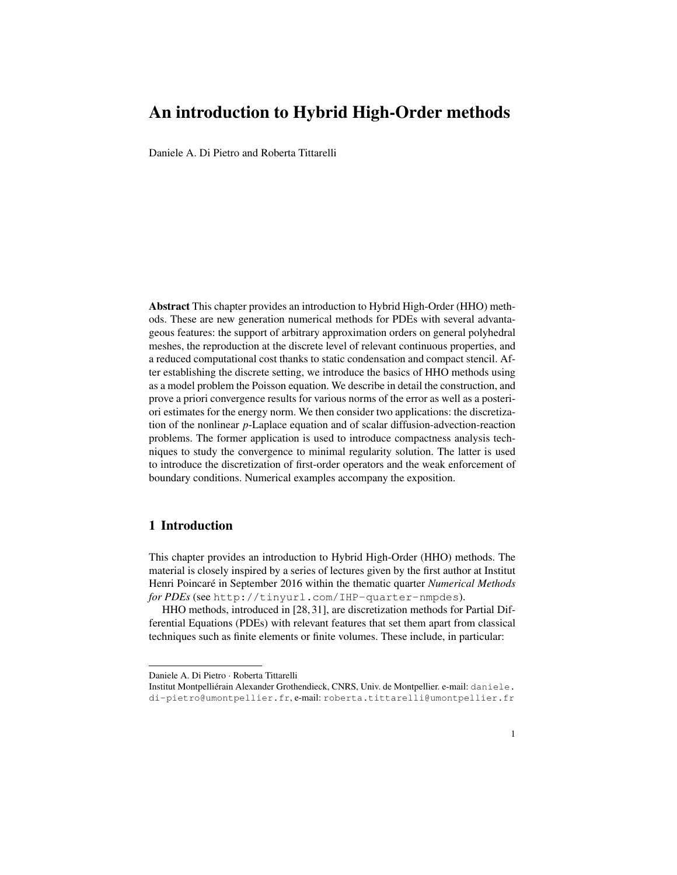Daniele A. Di Pietro and Roberta Tittarelli

Abstract This chapter provides an introduction to Hybrid High-Order (HHO) methods. These are new generation numerical methods for PDEs with several advantageous features: the support of arbitrary approximation orders on general polyhedral meshes, the reproduction at the discrete level of relevant continuous properties, and a reduced computational cost thanks to static condensation and compact stencil. After establishing the discrete setting, we introduce the basics of HHO methods using as a model problem the Poisson equation. We describe in detail the construction, and prove a priori convergence results for various norms of the error as well as a posteriori estimates for the energy norm. We then consider two applications: the discretization of the nonlinear *p*-Laplace equation and of scalar diffusion-advection-reaction problems. The former application is used to introduce compactness analysis techniques to study the convergence to minimal regularity solution. The latter is used to introduce the discretization of first-order operators and the weak enforcement of boundary conditions. Numerical examples accompany the exposition.

# 1 Introduction

This chapter provides an introduction to Hybrid High-Order (HHO) methods. The material is closely inspired by a series of lectures given by the first author at Institut Henri Poincaré in September 2016 within the thematic quarter *Numerical Methods for PDEs* (see <http://tinyurl.com/IHP-quarter-nmpdes>).

HHO methods, introduced in [\[28,](#page-48-0) [31\]](#page-48-1), are discretization methods for Partial Differential Equations (PDEs) with relevant features that set them apart from classical techniques such as finite elements or finite volumes. These include, in particular:

Daniele A. Di Pietro · Roberta Tittarelli

Institut Montpelliérain Alexander Grothendieck, CNRS, Univ. de Montpellier. e-mail: [daniele.](daniele.di-pietro@umontpellier.fr) [di-pietro@umontpellier.fr](daniele.di-pietro@umontpellier.fr), e-mail: <roberta.tittarelli@umontpellier.fr>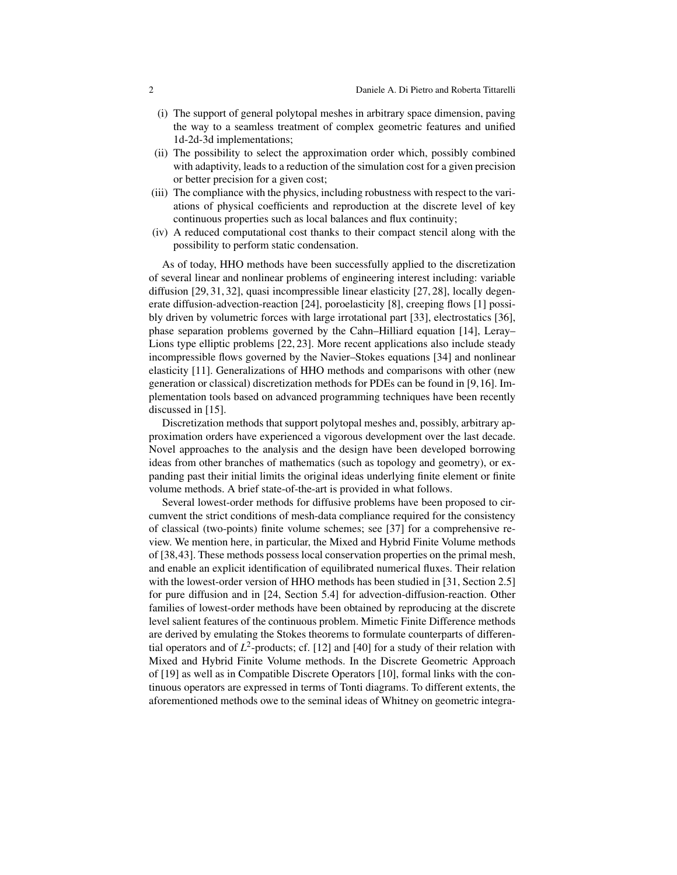- (i) The support of general polytopal meshes in arbitrary space dimension, paving the way to a seamless treatment of complex geometric features and unified 1d-2d-3d implementations;
- (ii) The possibility to select the approximation order which, possibly combined with adaptivity, leads to a reduction of the simulation cost for a given precision or better precision for a given cost;
- (iii) The compliance with the physics, including robustness with respect to the variations of physical coefficients and reproduction at the discrete level of key continuous properties such as local balances and flux continuity;
- (iv) A reduced computational cost thanks to their compact stencil along with the possibility to perform static condensation.

As of today, HHO methods have been successfully applied to the discretization of several linear and nonlinear problems of engineering interest including: variable diffusion [\[29,](#page-48-2) [31,](#page-48-1) [32\]](#page-48-3), quasi incompressible linear elasticity [\[27,](#page-48-4) [28\]](#page-48-0), locally degenerate diffusion-advection-reaction [\[24\]](#page-47-0), poroelasticity [\[8\]](#page-47-1), creeping flows [\[1\]](#page-46-0) possibly driven by volumetric forces with large irrotational part [\[33\]](#page-48-5), electrostatics [\[36\]](#page-48-6), phase separation problems governed by the Cahn–Hilliard equation [\[14\]](#page-47-2), Leray– Lions type elliptic problems [\[22,](#page-47-3) [23\]](#page-47-4). More recent applications also include steady incompressible flows governed by the Navier–Stokes equations [\[34\]](#page-48-7) and nonlinear elasticity [\[11\]](#page-47-5). Generalizations of HHO methods and comparisons with other (new generation or classical) discretization methods for PDEs can be found in [\[9,](#page-47-6)[16\]](#page-47-7). Implementation tools based on advanced programming techniques have been recently discussed in [\[15\]](#page-47-8).

Discretization methods that support polytopal meshes and, possibly, arbitrary approximation orders have experienced a vigorous development over the last decade. Novel approaches to the analysis and the design have been developed borrowing ideas from other branches of mathematics (such as topology and geometry), or expanding past their initial limits the original ideas underlying finite element or finite volume methods. A brief state-of-the-art is provided in what follows.

Several lowest-order methods for diffusive problems have been proposed to circumvent the strict conditions of mesh-data compliance required for the consistency of classical (two-points) finite volume schemes; see [\[37\]](#page-48-8) for a comprehensive review. We mention here, in particular, the Mixed and Hybrid Finite Volume methods of [\[38](#page-48-9)[,43\]](#page-48-10). These methods possess local conservation properties on the primal mesh, and enable an explicit identification of equilibrated numerical fluxes. Their relation with the lowest-order version of HHO methods has been studied in [\[31,](#page-48-1) Section 2.5] for pure diffusion and in [\[24,](#page-47-0) Section 5.4] for advection-diffusion-reaction. Other families of lowest-order methods have been obtained by reproducing at the discrete level salient features of the continuous problem. Mimetic Finite Difference methods are derived by emulating the Stokes theorems to formulate counterparts of differential operators and of  $L^2$ -products; cf. [\[12\]](#page-47-9) and [\[40\]](#page-48-11) for a study of their relation with Mixed and Hybrid Finite Volume methods. In the Discrete Geometric Approach of [\[19\]](#page-47-10) as well as in Compatible Discrete Operators [\[10\]](#page-47-11), formal links with the continuous operators are expressed in terms of Tonti diagrams. To different extents, the aforementioned methods owe to the seminal ideas of Whitney on geometric integra-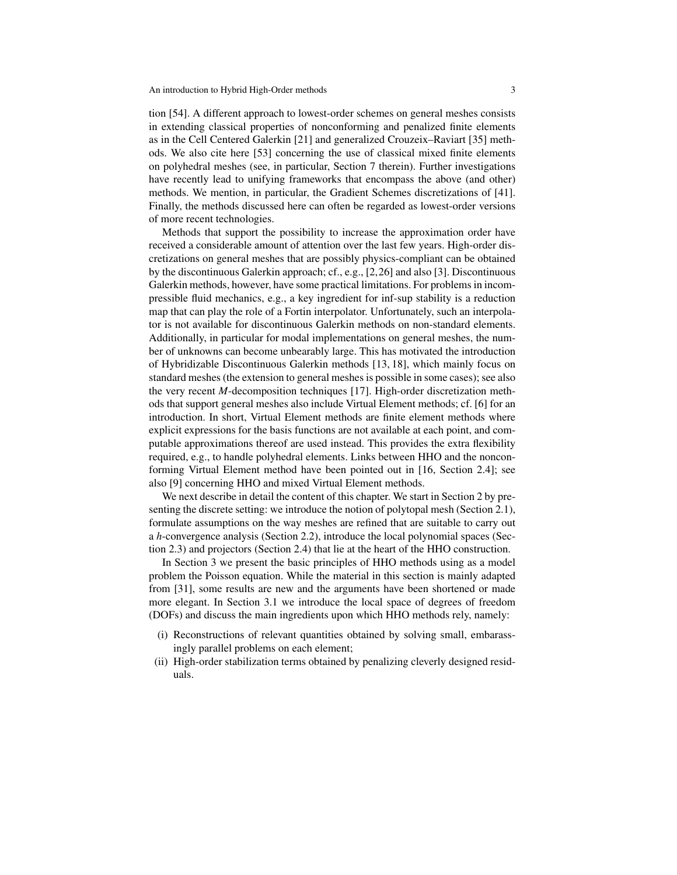tion [\[54\]](#page-49-0). A different approach to lowest-order schemes on general meshes consists in extending classical properties of nonconforming and penalized finite elements as in the Cell Centered Galerkin [\[21\]](#page-47-12) and generalized Crouzeix–Raviart [\[35\]](#page-48-12) methods. We also cite here [\[53\]](#page-49-1) concerning the use of classical mixed finite elements on polyhedral meshes (see, in particular, Section 7 therein). Further investigations have recently lead to unifying frameworks that encompass the above (and other) methods. We mention, in particular, the Gradient Schemes discretizations of [\[41\]](#page-48-13). Finally, the methods discussed here can often be regarded as lowest-order versions of more recent technologies.

Methods that support the possibility to increase the approximation order have received a considerable amount of attention over the last few years. High-order discretizations on general meshes that are possibly physics-compliant can be obtained by the discontinuous Galerkin approach; cf., e.g., [\[2](#page-46-1)[,26\]](#page-48-14) and also [\[3\]](#page-47-13). Discontinuous Galerkin methods, however, have some practical limitations. For problems in incompressible fluid mechanics, e.g., a key ingredient for inf-sup stability is a reduction map that can play the role of a Fortin interpolator. Unfortunately, such an interpolator is not available for discontinuous Galerkin methods on non-standard elements. Additionally, in particular for modal implementations on general meshes, the number of unknowns can become unbearably large. This has motivated the introduction of Hybridizable Discontinuous Galerkin methods [\[13,](#page-47-14) [18\]](#page-47-15), which mainly focus on standard meshes (the extension to general meshes is possible in some cases); see also the very recent *M*-decomposition techniques [\[17\]](#page-47-16). High-order discretization methods that support general meshes also include Virtual Element methods; cf. [\[6\]](#page-47-17) for an introduction. In short, Virtual Element methods are finite element methods where explicit expressions for the basis functions are not available at each point, and computable approximations thereof are used instead. This provides the extra flexibility required, e.g., to handle polyhedral elements. Links between HHO and the nonconforming Virtual Element method have been pointed out in [\[16,](#page-47-7) Section 2.4]; see also [\[9\]](#page-47-6) concerning HHO and mixed Virtual Element methods.

We next describe in detail the content of this chapter. We start in Section [2](#page-4-0) by presenting the discrete setting: we introduce the notion of polytopal mesh (Section [2.1\)](#page-4-1), formulate assumptions on the way meshes are refined that are suitable to carry out a *h*-convergence analysis (Section [2.2\)](#page-5-0), introduce the local polynomial spaces (Section [2.3\)](#page-6-0) and projectors (Section [2.4\)](#page-7-0) that lie at the heart of the HHO construction.

In Section [3](#page-9-0) we present the basic principles of HHO methods using as a model problem the Poisson equation. While the material in this section is mainly adapted from [\[31\]](#page-48-1), some results are new and the arguments have been shortened or made more elegant. In Section [3.1](#page-9-1) we introduce the local space of degrees of freedom (DOFs) and discuss the main ingredients upon which HHO methods rely, namely:

- (i) Reconstructions of relevant quantities obtained by solving small, embarassingly parallel problems on each element;
- (ii) High-order stabilization terms obtained by penalizing cleverly designed residuals.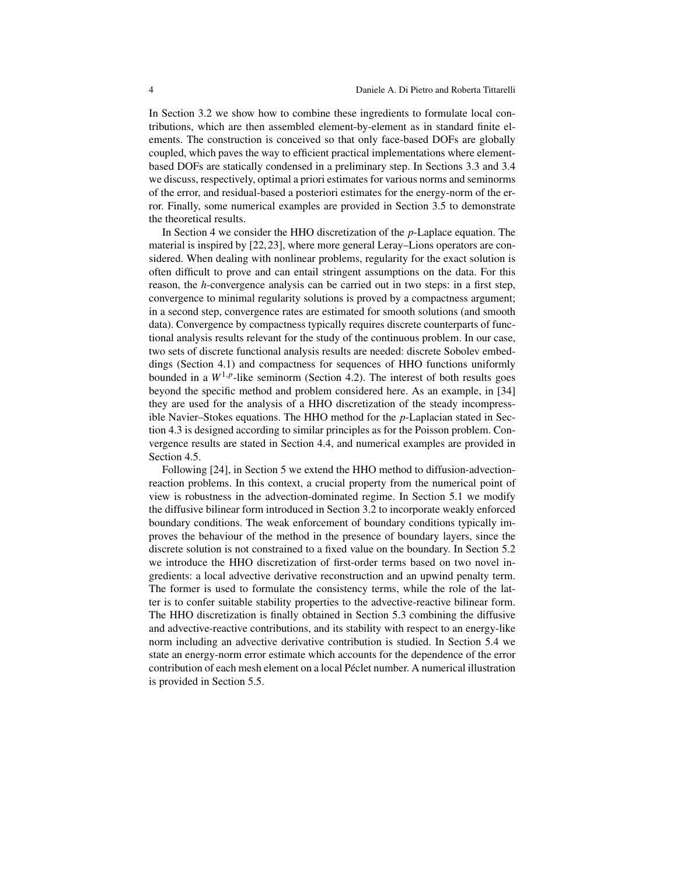In Section [3.2](#page-14-0) we show how to combine these ingredients to formulate local contributions, which are then assembled element-by-element as in standard finite elements. The construction is conceived so that only face-based DOFs are globally coupled, which paves the way to efficient practical implementations where elementbased DOFs are statically condensed in a preliminary step. In Sections [3.3](#page-20-0) and [3.4](#page-23-0) we discuss, respectively, optimal a priori estimates for various norms and seminorms of the error, and residual-based a posteriori estimates for the energy-norm of the error. Finally, some numerical examples are provided in Section [3.5](#page-30-0) to demonstrate the theoretical results.

In Section [4](#page-33-0) we consider the HHO discretization of the *p*-Laplace equation. The material is inspired by [\[22,](#page-47-3) [23\]](#page-47-4), where more general Leray–Lions operators are considered. When dealing with nonlinear problems, regularity for the exact solution is often difficult to prove and can entail stringent assumptions on the data. For this reason, the *h*-convergence analysis can be carried out in two steps: in a first step, convergence to minimal regularity solutions is proved by a compactness argument; in a second step, convergence rates are estimated for smooth solutions (and smooth data). Convergence by compactness typically requires discrete counterparts of functional analysis results relevant for the study of the continuous problem. In our case, two sets of discrete functional analysis results are needed: discrete Sobolev embeddings (Section [4.1\)](#page-34-0) and compactness for sequences of HHO functions uniformly bounded in a  $W^{1,p}$ -like seminorm (Section [4.2\)](#page-35-0). The interest of both results goes beyond the specific method and problem considered here. As an example, in [\[34\]](#page-48-7) they are used for the analysis of a HHO discretization of the steady incompressible Navier–Stokes equations. The HHO method for the *p*-Laplacian stated in Section [4.3](#page-36-0) is designed according to similar principles as for the Poisson problem. Convergence results are stated in Section [4.4,](#page-37-0) and numerical examples are provided in Section [4.5.](#page-38-0)

Following [\[24\]](#page-47-0), in Section [5](#page-39-0) we extend the HHO method to diffusion-advectionreaction problems. In this context, a crucial property from the numerical point of view is robustness in the advection-dominated regime. In Section [5.1](#page-41-0) we modify the diffusive bilinear form introduced in Section [3.2](#page-14-0) to incorporate weakly enforced boundary conditions. The weak enforcement of boundary conditions typically improves the behaviour of the method in the presence of boundary layers, since the discrete solution is not constrained to a fixed value on the boundary. In Section [5.2](#page-41-1) we introduce the HHO discretization of first-order terms based on two novel ingredients: a local advective derivative reconstruction and an upwind penalty term. The former is used to formulate the consistency terms, while the role of the latter is to confer suitable stability properties to the advective-reactive bilinear form. The HHO discretization is finally obtained in Section [5.3](#page-44-0) combining the diffusive and advective-reactive contributions, and its stability with respect to an energy-like norm including an advective derivative contribution is studied. In Section [5.4](#page-45-0) we state an energy-norm error estimate which accounts for the dependence of the error contribution of each mesh element on a local Péclet number. A numerical illustration is provided in Section [5.5.](#page-46-2)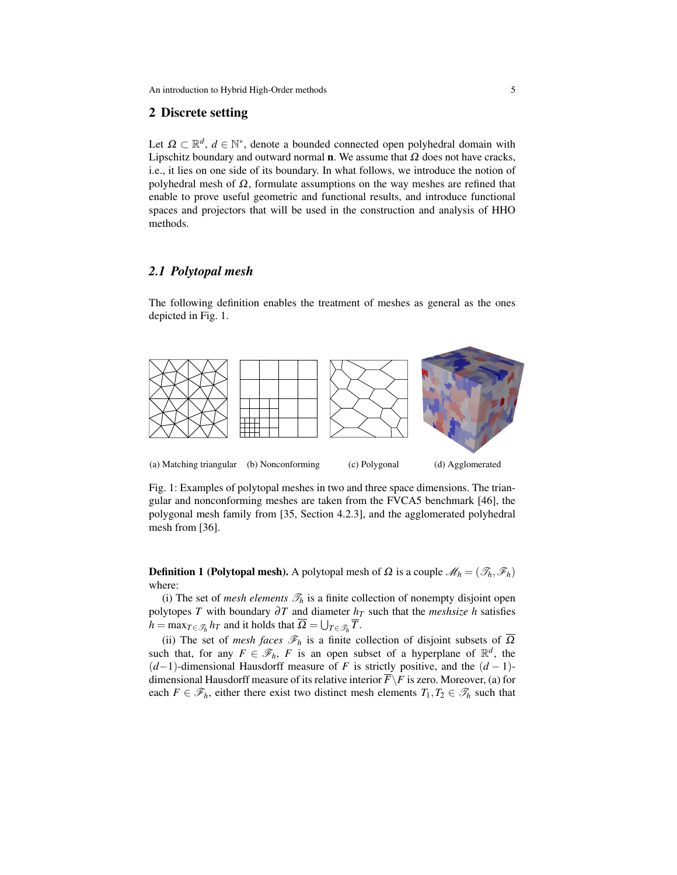## <span id="page-4-0"></span>2 Discrete setting

Let  $\Omega \subset \mathbb{R}^d$ ,  $d \in \mathbb{N}^*$ , denote a bounded connected open polyhedral domain with Lipschitz boundary and outward normal **n**. We assume that  $\Omega$  does not have cracks, i.e., it lies on one side of its boundary. In what follows, we introduce the notion of polyhedral mesh of  $\Omega$ , formulate assumptions on the way meshes are refined that enable to prove useful geometric and functional results, and introduce functional spaces and projectors that will be used in the construction and analysis of HHO methods.

# <span id="page-4-1"></span>*2.1 Polytopal mesh*

The following definition enables the treatment of meshes as general as the ones depicted in Fig. [1.](#page-4-2)

<span id="page-4-2"></span>

Fig. 1: Examples of polytopal meshes in two and three space dimensions. The triangular and nonconforming meshes are taken from the FVCA5 benchmark [\[46\]](#page-48-15), the polygonal mesh family from [\[35,](#page-48-12) Section 4.2.3], and the agglomerated polyhedral mesh from [\[36\]](#page-48-6).

**Definition 1 (Polytopal mesh).** A polytopal mesh of  $\Omega$  is a couple  $\mathcal{M}_h = (\mathcal{I}_h, \mathcal{F}_h)$ where:

(i) The set of *mesh elements*  $\mathcal{T}_h$  is a finite collection of nonempty disjoint open polytopes *T* with boundary  $\partial T$  and diameter  $h_T$  such that the *meshsize h* satisfies  $h = \max_{T \in \mathcal{T}_h} h_T$  and it holds that  $\Omega = \bigcup_{T \in \mathcal{T}_h} \overline{T}$ .

(ii) The set of *mesh faces*  $\mathcal{F}_h$  is a finite collection of disjoint subsets of  $\overline{\Omega}$ such that, for any  $F \in \mathscr{F}_h$ , *F* is an open subset of a hyperplane of  $\mathbb{R}^d$ , the (*d*−1)-dimensional Hausdorff measure of *F* is strictly positive, and the (*d* − 1) dimensional Hausdorff measure of its relative interior  $\overline{F} \backslash F$  is zero. Moreover, (a) for each  $F \in \mathscr{F}_h$ , either there exist two distinct mesh elements  $T_1, T_2 \in \mathscr{T}_h$  such that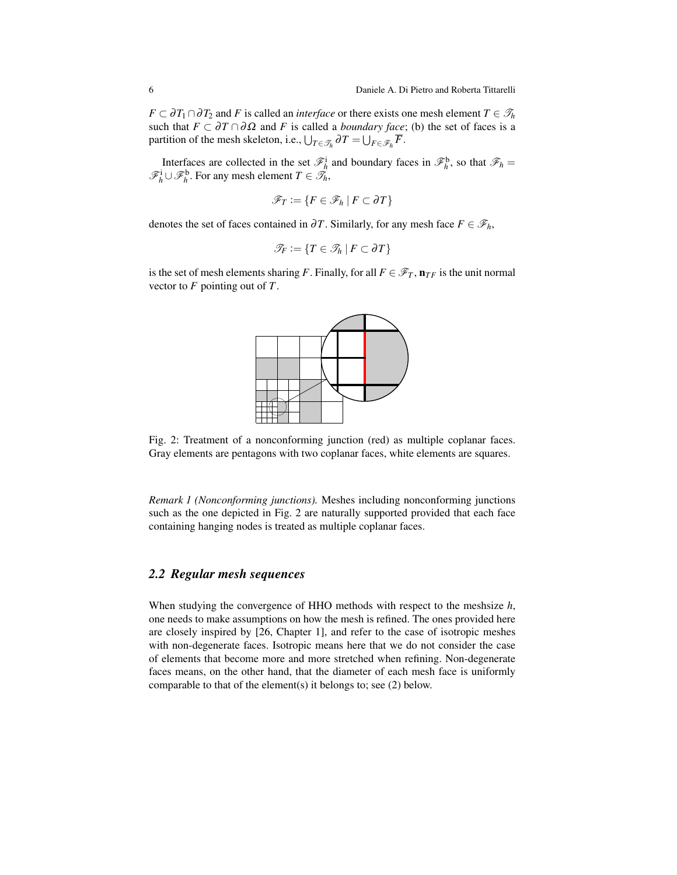$F \subset \partial T_1 \cap \partial T_2$  and *F* is called an *interface* or there exists one mesh element  $T \in \mathcal{T}_h$ such that  $F \subset \partial T \cap \partial \Omega$  and *F* is called a *boundary face*; (b) the set of faces is a partition of the mesh skeleton, i.e.,  $\bigcup_{T \in \mathcal{T}_h} \partial T = \bigcup_{F \in \mathcal{F}_h} \overline{F}$ .

Interfaces are collected in the set  $\mathcal{F}_h^i$  and boundary faces in  $\mathcal{F}_h^b$ , so that  $\mathcal{F}_h$  =  $\mathscr{F}_h^i$ ∪ $\mathscr{F}_h^b$ . For any mesh element  $T \in \mathscr{T}_h$ ,

$$
\mathscr{F}_T:=\{F\in\mathscr{F}_h\mid F\subset\partial T\}
$$

denotes the set of faces contained in  $\partial T$ . Similarly, for any mesh face  $F \in \mathcal{F}_h$ ,

$$
\mathscr{T}_F := \{ T \in \mathscr{T}_h \mid F \subset \partial T \}
$$

<span id="page-5-1"></span>is the set of mesh elements sharing *F*. Finally, for all  $F \in \mathscr{F}_T$ ,  $\mathbf{n}_{TF}$  is the unit normal vector to *F* pointing out of *T*.



Fig. 2: Treatment of a nonconforming junction (red) as multiple coplanar faces. Gray elements are pentagons with two coplanar faces, white elements are squares.

*Remark 1 (Nonconforming junctions).* Meshes including nonconforming junctions such as the one depicted in Fig. [2](#page-5-1) are naturally supported provided that each face containing hanging nodes is treated as multiple coplanar faces.

# <span id="page-5-0"></span>*2.2 Regular mesh sequences*

When studying the convergence of HHO methods with respect to the meshsize *h*, one needs to make assumptions on how the mesh is refined. The ones provided here are closely inspired by [\[26,](#page-48-14) Chapter 1], and refer to the case of isotropic meshes with non-degenerate faces. Isotropic means here that we do not consider the case of elements that become more and more stretched when refining. Non-degenerate faces means, on the other hand, that the diameter of each mesh face is uniformly comparable to that of the element(s) it belongs to; see [\(2\)](#page-6-1) below.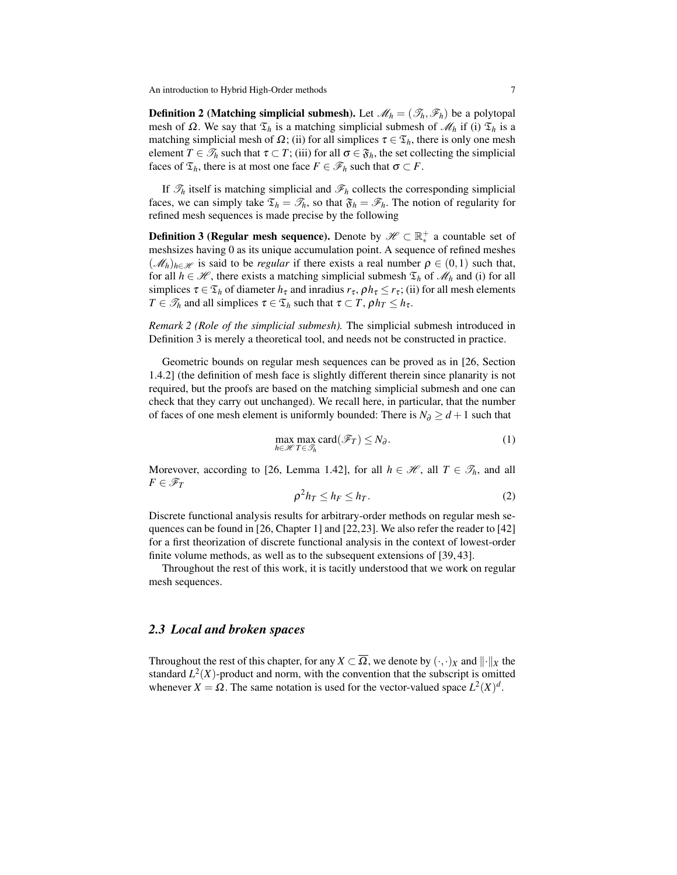**Definition 2** (Matching simplicial submesh). Let  $\mathcal{M}_h = (\mathcal{T}_h, \mathcal{F}_h)$  be a polytopal mesh of  $\Omega$ . We say that  $\mathfrak{T}_h$  is a matching simplicial submesh of  $\mathcal{M}_h$  if (i)  $\mathfrak{T}_h$  is a matching simplicial mesh of  $\Omega$ ; (ii) for all simplices  $\tau \in \mathfrak{T}_h$ , there is only one mesh element  $T \in \mathcal{T}_h$  such that  $\tau \subset T$ ; (iii) for all  $\sigma \in \mathfrak{F}_h$ , the set collecting the simplicial faces of  $\mathfrak{T}_h$ , there is at most one face  $F \in \mathscr{F}_h$  such that  $\sigma \subset F$ .

<span id="page-6-2"></span>If  $\mathcal{T}_h$  itself is matching simplicial and  $\mathcal{F}_h$  collects the corresponding simplicial faces, we can simply take  $\mathfrak{T}_h = \mathfrak{T}_h$ , so that  $\mathfrak{F}_h = \mathfrak{F}_h$ . The notion of regularity for refined mesh sequences is made precise by the following

**Definition 3 (Regular mesh sequence).** Denote by  $\mathscr{H} \subset \mathbb{R}_*^+$  a countable set of  $\mathcal{L}_{\text{m}}$  and  $\mathcal{L}_{\text{m}}$  is the mesh sizes having 0 as its unique accumulation point. A sequence of refined meshes  $(\mathcal{M}_h)_{h \in \mathcal{H}}$  is said to be *regular* if there exists a real number  $\rho \in (0,1)$  such that, for all  $h \in \mathcal{H}$ , there exists a matching simplicial submesh  $\mathcal{T}_h$  of  $\mathcal{M}_h$  and (i) for all simplices  $\tau \in \mathfrak{T}_h$  of diameter  $h_{\tau}$  and inradius  $r_{\tau}$ ,  $\rho h_{\tau} \leq r_{\tau}$ ; (ii) for all mesh elements *T*  $\in \mathcal{T}_h$  and all simplices  $\tau \in \mathcal{T}_h$  such that  $\tau \subset T$ ,  $\rho h_T \leq h_{\tau}$ .

*Remark 2 (Role of the simplicial submesh).* The simplicial submesh introduced in Definition [3](#page-6-2) is merely a theoretical tool, and needs not be constructed in practice.

Geometric bounds on regular mesh sequences can be proved as in [\[26,](#page-48-14) Section 1.4.2] (the definition of mesh face is slightly different therein since planarity is not required, but the proofs are based on the matching simplicial submesh and one can check that they carry out unchanged). We recall here, in particular, that the number of faces of one mesh element is uniformly bounded: There is  $N_{\partial} \geq d+1$  such that

<span id="page-6-3"></span>
$$
\max_{h \in \mathcal{H}} \max_{T \in \mathcal{F}_h} \text{card}(\mathcal{F}_T) \le N_\partial. \tag{1}
$$

Morevover, according to [\[26,](#page-48-14) Lemma 1.42], for all  $h \in \mathcal{H}$ , all  $T \in \mathcal{T}_h$ , and all  $F \in \mathscr{F}_T$ 

<span id="page-6-1"></span>
$$
\rho^2 h_T \le h_F \le h_T. \tag{2}
$$

Discrete functional analysis results for arbitrary-order methods on regular mesh sequences can be found in [\[26,](#page-48-14) Chapter 1] and [\[22,](#page-47-3)[23\]](#page-47-4). We also refer the reader to [\[42\]](#page-48-16) for a first theorization of discrete functional analysis in the context of lowest-order finite volume methods, as well as to the subsequent extensions of [\[39,](#page-48-17) [43\]](#page-48-10).

Throughout the rest of this work, it is tacitly understood that we work on regular mesh sequences.

### <span id="page-6-0"></span>*2.3 Local and broken spaces*

Throughout the rest of this chapter, for any *X*  $\subset \overline{\Omega}$ , we denote by  $(\cdot, \cdot)_X$  and  $\|\cdot\|_X$  the standard  $L^2(X)$ -product and norm, with the convention that the subscript is omitted whenever  $X = \Omega$ . The same notation is used for the vector-valued space  $L^2(X)^d$ .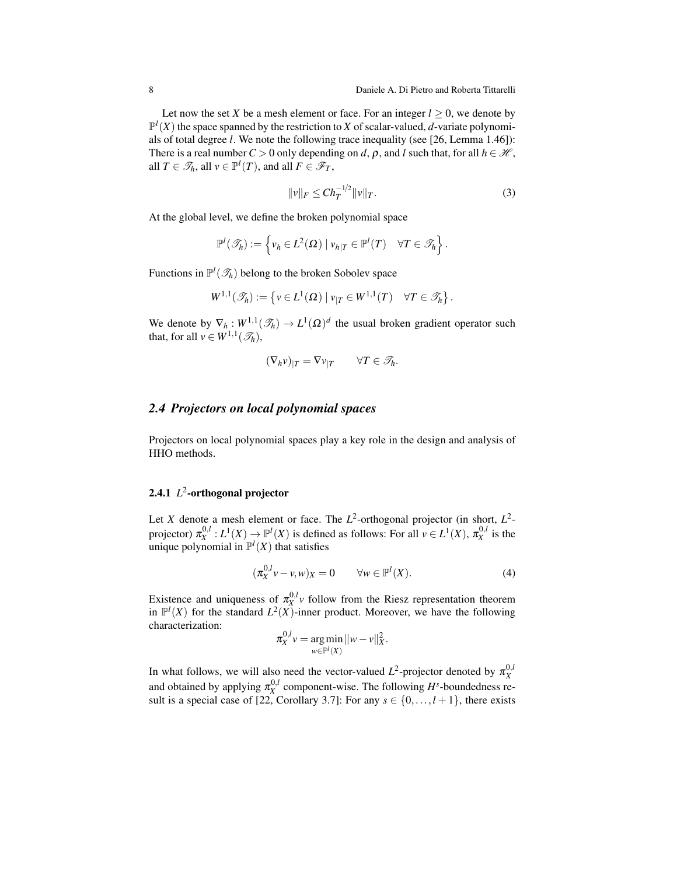Let now the set *X* be a mesh element or face. For an integer  $l > 0$ , we denote by  $\mathbb{P}^l(X)$  the space spanned by the restriction to *X* of scalar-valued, *d*-variate polynomials of total degree *l*. We note the following trace inequality (see [\[26,](#page-48-14) Lemma 1.46]): There is a real number  $C > 0$  only depending on *d*,  $\rho$ , and *l* such that, for all  $h \in \mathcal{H}$ , all  $T \in \mathcal{S}_h$ , all  $v \in \mathbb{P}^l(T)$ , and all  $F \in \mathcal{F}_T$ ,

$$
||v||_F \leq Ch_T^{-1/2}||v||_T.
$$
\n(3)

At the global level, we define the broken polynomial space

$$
\mathbb{P}^l(\mathcal{S}_h) := \left\{ v_h \in L^2(\Omega) \mid v_{h|T} \in \mathbb{P}^l(T) \quad \forall T \in \mathcal{S}_h \right\}.
$$

Functions in  $\mathbb{P}^l(\mathscr{T}_h)$  belong to the broken Sobolev space

$$
W^{1,1}(\mathscr{T}_h) := \left\{ v \in L^1(\Omega) \mid v_{|T} \in W^{1,1}(T) \quad \forall T \in \mathscr{T}_h \right\}.
$$

We denote by  $\nabla_h : W^{1,1}(\mathcal{F}_h) \to L^1(\Omega)^d$  the usual broken gradient operator such that, for all  $v \in W^{1,1}(\mathscr{T}_h)$ ,

$$
(\nabla_h v)_{|T} = \nabla v_{|T} \qquad \forall T \in \mathscr{T}_h.
$$

### <span id="page-7-0"></span>*2.4 Projectors on local polynomial spaces*

Projectors on local polynomial spaces play a key role in the design and analysis of HHO methods.

# 2.4.1 *L* 2 -orthogonal projector

Let *X* denote a mesh element or face. The  $L^2$ -orthogonal projector (in short,  $L^2$ projector)  $\pi_X^{0,l}: L^1(X) \to \mathbb{P}^l(X)$  is defined as follows: For all  $v \in L^1(X)$ ,  $\pi_X^{0,l}$  is the unique polynomial in  $\mathbb{P}^l(X)$  that satisfies

<span id="page-7-1"></span>
$$
(\pi_X^{0,l}v - v, w)_X = 0 \qquad \forall w \in \mathbb{P}^l(X). \tag{4}
$$

Existence and uniqueness of  $\pi_X^{0,l}$  follow from the Riesz representation theorem in  $\mathbb{P}^l(X)$  for the standard  $L^2(X)$ -inner product. Moreover, we have the following characterization:

$$
\pi_X^{0,l} v = \underset{w \in \mathbb{P}^l(X)}{\arg \min} ||w - v||_X^2.
$$

In what follows, we will also need the vector-valued  $L^2$ -projector denoted by  $\pi_X^{0,l}$ and obtained by applying  $\pi_X^{0,l}$  component-wise. The following  $H^s$ -boundedness re-sult is a special case of [\[22,](#page-47-3) Corollary 3.7]: For any  $s \in \{0, \ldots, l+1\}$ , there exists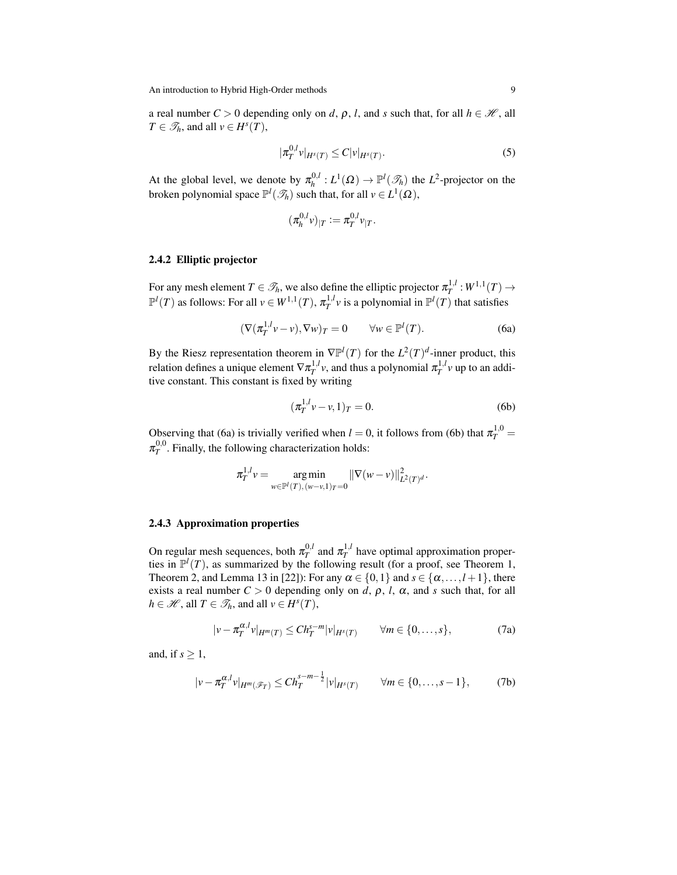a real number  $C > 0$  depending only on *d*,  $\rho$ , *l*, and *s* such that, for all  $h \in \mathcal{H}$ , all  $T \in \mathcal{T}_h$ , and all  $v \in H^s(T)$ ,

<span id="page-8-4"></span>
$$
|\pi_T^{0,l} v|_{H^s(T)} \le C|v|_{H^s(T)}.
$$
\n(5)

At the global level, we denote by  $\pi_h^{0,l}$  $h_h^{0,l}: L^1(\Omega) \to \mathbb{P}^l(\mathscr{T}_h)$  the *L*<sup>2</sup>-projector on the broken polynomial space  $\mathbb{P}^l(\mathcal{I}_h)$  such that, for all  $v \in L^1(\Omega)$ ,

<span id="page-8-2"></span>
$$
(\pi_h^{0,l} v)_{|T} := \pi_T^{0,l} v_{|T}.
$$

### 2.4.2 Elliptic projector

For any mesh element  $T \in \mathcal{T}_h$ , we also define the elliptic projector  $\pi_T^{1,l}: W^{1,1}(T) \to$  $\mathbb{P}^l(T)$  as follows: For all  $v \in W^{1,1}(T)$ ,  $\pi_T^{1,l}v$  is a polynomial in  $\mathbb{P}^l(T)$  that satisfies

<span id="page-8-0"></span>
$$
(\nabla(\pi_T^{1,l}v-v),\nabla w)_T=0 \qquad \forall w \in \mathbb{P}^l(T). \tag{6a}
$$

By the Riesz representation theorem in  $\nabla \mathbb{P}^l(T)$  for the  $L^2(T)^d$ -inner product, this relation defines a unique element  $\nabla \pi_T^{1,l}$  *v*, and thus a polynomial  $\pi_T^{1,l}$  *v* up to an additive constant. This constant is fixed by writing

<span id="page-8-1"></span>
$$
(\pi_T^{1,l} v - v, 1)_T = 0.
$$
 (6b)

Observing that [\(6a\)](#page-8-0) is trivially verified when  $l = 0$ , it follows from [\(6b\)](#page-8-1) that  $\pi_T^{1,0} =$  $\pi_T^{0,0}$ . Finally, the following characterization holds:

$$
\pi_T^{1,l} v = \underset{w \in \mathbb{P}^l(T), (w-v, 1)_T = 0}{\arg \min} ||\nabla(w-v)||_{L^2(T)^d}^2.
$$

#### 2.4.3 Approximation properties

On regular mesh sequences, both  $\pi_T^{0,l}$  and  $\pi_T^{1,l}$  have optimal approximation properties in  $\mathbb{P}^l(T)$ , as summarized by the following result (for a proof, see Theorem 1, Theorem 2, and Lemma 13 in [\[22\]](#page-47-3)): For any  $\alpha \in \{0,1\}$  and  $s \in \{\alpha, \ldots, l+1\}$ , there exists a real number  $C > 0$  depending only on *d*,  $\rho$ , *l*,  $\alpha$ , and *s* such that, for all  $h \in \mathcal{H}$ , all  $T \in \mathcal{I}_h$ , and all  $v \in H^s(T)$ ,

<span id="page-8-5"></span><span id="page-8-3"></span>
$$
|v - \pi_T^{\alpha, l} v|_{H^m(T)} \le C h_T^{s-m} |v|_{H^s(T)} \qquad \forall m \in \{0, \dots, s\},
$$
 (7a)

and, if  $s \geq 1$ ,

<span id="page-8-6"></span>
$$
|v - \pi_T^{\alpha, l} v|_{H^m(\mathscr{F}_T)} \leq C h_T^{s-m-\frac{1}{2}} |v|_{H^s(T)} \qquad \forall m \in \{0, \dots, s-1\},\tag{7b}
$$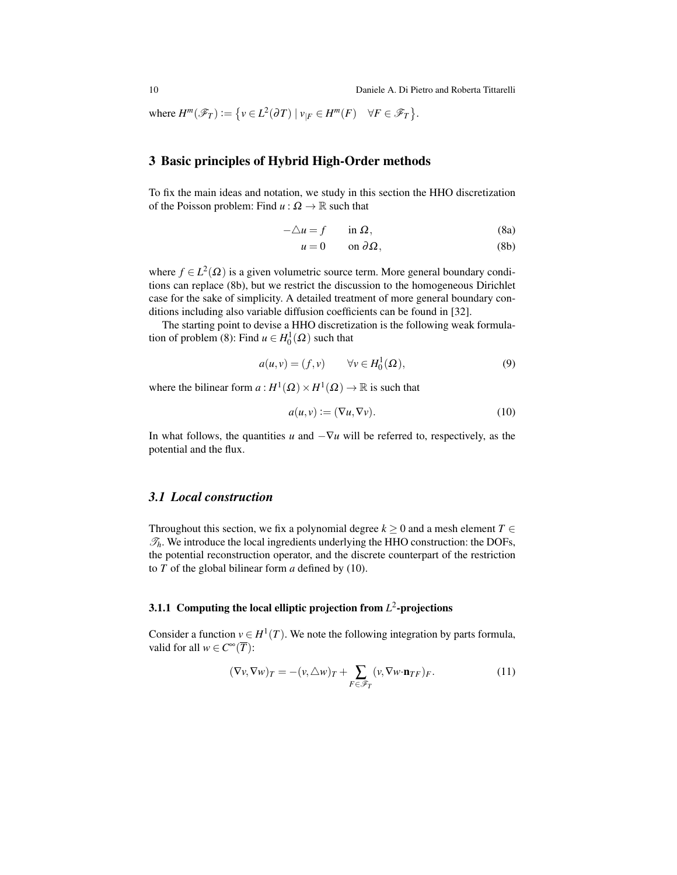where  $H^m(\mathscr{F}_T) := \{ v \in L^2(\partial T) \mid v_{|F} \in H^m(F) \quad \forall F \in \mathscr{F}_T \}.$ 

## <span id="page-9-0"></span>3 Basic principles of Hybrid High-Order methods

To fix the main ideas and notation, we study in this section the HHO discretization of the Poisson problem: Find  $u : \Omega \to \mathbb{R}$  such that

$$
-\triangle u = f \qquad \text{in } \Omega, \tag{8a}
$$

<span id="page-9-3"></span><span id="page-9-2"></span>
$$
u = 0 \qquad \text{on } \partial \Omega, \tag{8b}
$$

where  $f \in L^2(\Omega)$  is a given volumetric source term. More general boundary conditions can replace [\(8b\)](#page-9-2), but we restrict the discussion to the homogeneous Dirichlet case for the sake of simplicity. A detailed treatment of more general boundary conditions including also variable diffusion coefficients can be found in [\[32\]](#page-48-3).

The starting point to devise a HHO discretization is the following weak formula-tion of problem [\(8\)](#page-9-3): Find  $u \in H_0^1(\Omega)$  such that

<span id="page-9-6"></span>
$$
a(u,v) = (f,v) \qquad \forall v \in H_0^1(\Omega), \tag{9}
$$

where the bilinear form  $a: H^1(\Omega) \times H^1(\Omega) \to \mathbb{R}$  is such that

<span id="page-9-4"></span>
$$
a(u, v) := (\nabla u, \nabla v). \tag{10}
$$

In what follows, the quantities *u* and  $-\nabla u$  will be referred to, respectively, as the potential and the flux.

### <span id="page-9-1"></span>*3.1 Local construction*

Throughout this section, we fix a polynomial degree  $k \geq 0$  and a mesh element  $T \in$  $\mathcal{T}_h$ . We introduce the local ingredients underlying the HHO construction: the DOFs, the potential reconstruction operator, and the discrete counterpart of the restriction to *T* of the global bilinear form *a* defined by [\(10\)](#page-9-4).

# <span id="page-9-7"></span>3.1.1 Computing the local elliptic projection from *L* 2 -projections

Consider a function  $v \in H^1(T)$ . We note the following integration by parts formula, valid for all  $w \in C^{\infty}(\overline{T})$ :

<span id="page-9-5"></span>
$$
(\nabla v, \nabla w)_T = - (v, \triangle w)_T + \sum_{F \in \mathscr{F}_T} (v, \nabla w \cdot \mathbf{n}_{TF})_F.
$$
 (11)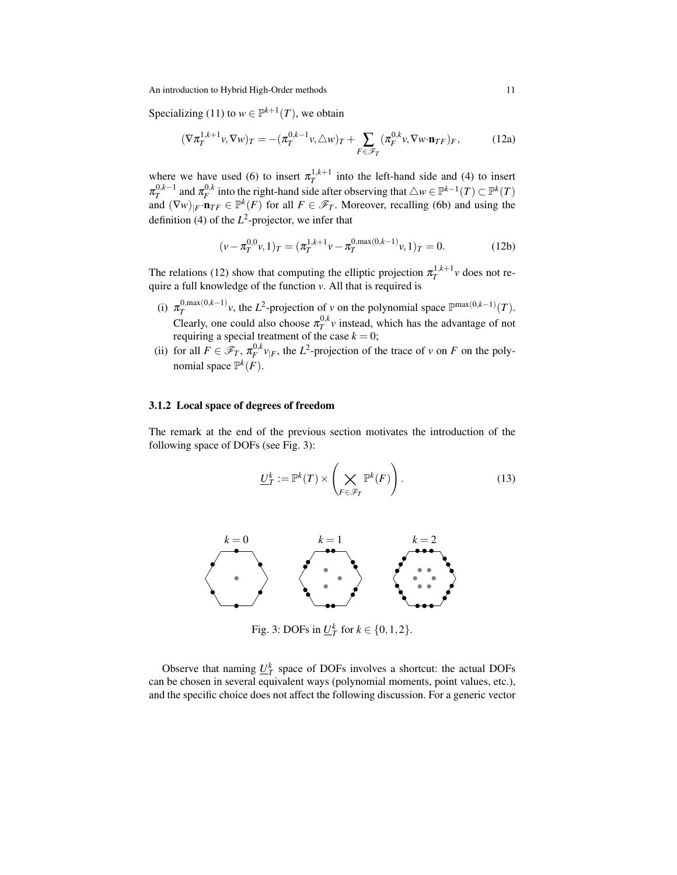Specializing [\(11\)](#page-9-5) to  $w \in \mathbb{P}^{k+1}(T)$ , we obtain

<span id="page-10-0"></span>
$$
(\nabla \pi_T^{1,k+1} \nu, \nabla w)_T = -(\pi_T^{0,k-1} \nu, \triangle w)_T + \sum_{F \in \mathscr{F}_T} (\pi_F^{0,k} \nu, \nabla w \cdot \mathbf{n}_{TF})_F, \tag{12a}
$$

where we have used [\(6\)](#page-8-2) to insert  $\pi_T^{1,k+1}$  into the left-hand side and [\(4\)](#page-7-1) to insert *T*  $\pi_T^{0,k-1}$  and  $\pi_F^{0,k}$  into the right-hand side after observing that  $\triangle w \in \mathbb{P}^{k-1}(T) \subset \mathbb{P}^k(T)$ and  $(\nabla w)_{|F} \cdot \mathbf{n}_{TF} \in \mathbb{P}^k(F)$  for all  $F \in \mathcal{F}_T$ . Moreover, recalling [\(6b\)](#page-8-1) and using the definition [\(4\)](#page-7-1) of the  $L^2$ -projector, we infer that

$$
(\nu - \pi_T^{0,0}\nu, 1)_T = (\pi_T^{1,k+1}\nu - \pi_T^{0,\max(0,k-1)}\nu, 1)_T = 0.
$$
 (12b)

The relations [\(12\)](#page-10-0) show that computing the elliptic projection  $\pi_T^{1,k+1}$  *v* does not require a full knowledge of the function *v*. All that is required is

- (i)  $\pi_T^{0,\max(0,k-1)}$ , the *L*<sup>2</sup>-projection of *v* on the polynomial space  $\mathbb{P}^{\max(0,k-1)}(T)$ . Clearly, one could also choose  $\pi_T^{0,k}$  *v* instead, which has the advantage of not requiring a special treatment of the case  $k = 0$ ;
- (ii) for all  $F \in \mathcal{F}_T$ ,  $\pi_F^{0,k} v_{|F}$ , the *L*<sup>2</sup>-projection of the trace of *v* on *F* on the polynomial space  $\mathbb{P}^k(F)$ .

#### 3.1.2 Local space of degrees of freedom

The remark at the end of the previous section motivates the introduction of the following space of DOFs (see Fig. [3\)](#page-10-1):

$$
\underline{U}_T^k := \mathbb{P}^k(T) \times \left(\bigtimes_{F \in \mathscr{F}_T} \mathbb{P}^k(F)\right). \tag{13}
$$

<span id="page-10-1"></span>

Fig. 3: DOFs in  $\underline{U}_T^k$  for  $k \in \{0, 1, 2\}$ .

Observe that naming  $U_T^k$  space of DOFs involves a shortcut: the actual DOFs can be chosen in several equivalent ways (polynomial moments, point values, etc.), and the specific choice does not affect the following discussion. For a generic vector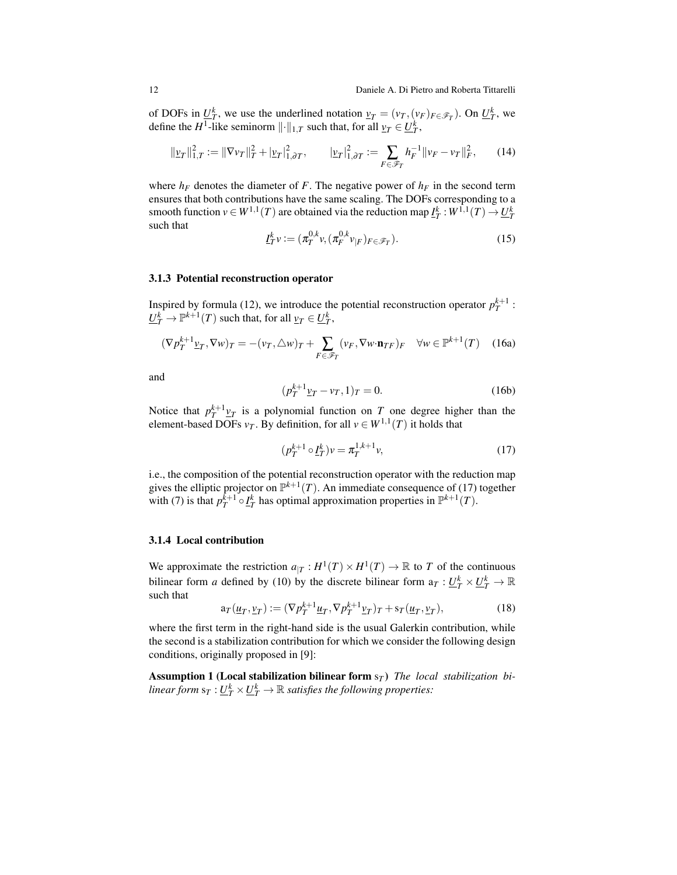of DOFs in  $U_f^k$ , we use the underlined notation  $v_T = (v_T, (v_F)_{F \in \mathscr{F}_T})$ . On  $U_T^k$ , we define the *H*<sup>1</sup>-like seminorm  $\|\cdot\|_{1,T}$  such that, for all  $\underline{v}_T \in \underline{U}_T^k$ ,

<span id="page-11-1"></span>
$$
\|\underline{v}_T\|_{1,T}^2 := \|\nabla v_T\|_T^2 + |\underline{v}_T|_{1,\partial T}^2, \qquad |\underline{v}_T|_{1,\partial T}^2 := \sum_{F \in \mathscr{F}_T} h_F^{-1} \|v_F - v_T\|_F^2, \qquad (14)
$$

where  $h_F$  denotes the diameter of *F*. The negative power of  $h_F$  in the second term ensures that both contributions have the same scaling. The DOFs corresponding to a smooth function  $v \in W^{1,1}(T)$  are obtained via the reduction map  $\underline{I}_T^k : W^{1,1}(T) \to \underline{U}_T^k$ such that

$$
\underline{I}_T^k v := (\pi_T^{0,k} v, (\pi_F^{0,k} v_{|F})_{F \in \mathscr{F}_T}). \tag{15}
$$

#### 3.1.3 Potential reconstruction operator

Inspired by formula [\(12\)](#page-10-0), we introduce the potential reconstruction operator  $p_T^{k+1}$ :  $\underline{U}_T^k \to \mathbb{P}^{k+1}(T)$  such that, for all  $\underline{v}_T \in \underline{U}_T^k$ ,

<span id="page-11-4"></span>
$$
(\nabla p_T^{k+1} \underline{v}_T, \nabla w)_T = -(\nu_T, \triangle w)_T + \sum_{F \in \mathscr{F}_T} (\nu_F, \nabla w \cdot \mathbf{n}_{TF})_F \quad \forall w \in \mathbb{P}^{k+1}(T) \quad (16a)
$$

and

<span id="page-11-3"></span>
$$
p_T^{k+1} \underline{v}_T - v_T, 1)_T = 0.
$$
 (16b)

Notice that  $p_T^{k+1} \underline{v}_T$  is a polynomial function on *T* one degree higher than the element-based DOFs  $v_T$ . By definition, for all  $v \in W^{1,1}(T)$  it holds that

(*p*

<span id="page-11-0"></span>
$$
(p_T^{k+1} \circ \underline{I}_T^k) v = \pi_T^{1,k+1} v,\tag{17}
$$

i.e., the composition of the potential reconstruction operator with the reduction map gives the elliptic projector on  $\mathbb{P}^{k+1}(T)$ . An immediate consequence of [\(17\)](#page-11-0) together with [\(7\)](#page-8-3) is that  $p_T^{k+1} \circ I_T^k$  has optimal approximation properties in  $\mathbb{P}^{k+1}(T)$ .

### 3.1.4 Local contribution

We approximate the restriction  $a_{|T}: H^1(T) \times H^1(T) \to \mathbb{R}$  to *T* of the continuous bilinear form *a* defined by [\(10\)](#page-9-4) by the discrete bilinear form  $a_T : L_f^k \times L_f^k \to \mathbb{R}$ such that

<span id="page-11-2"></span>
$$
\mathbf{a}_T(\underline{u}_T, \underline{v}_T) := (\nabla p_T^{k+1} \underline{u}_T, \nabla p_T^{k+1} \underline{v}_T)_T + \mathbf{s}_T(\underline{u}_T, \underline{v}_T),\tag{18}
$$

where the first term in the right-hand side is the usual Galerkin contribution, while the second is a stabilization contribution for which we consider the following design conditions, originally proposed in [\[9\]](#page-47-6):

<span id="page-11-5"></span>Assumption 1 (Local stabilization bilinear form s*<sup>T</sup>* ) *The local stabilization bilinear form*  $s_T : \underline{U}_T^k \times \underline{U}_T^k \to \mathbb{R}$  *satisfies the following properties:*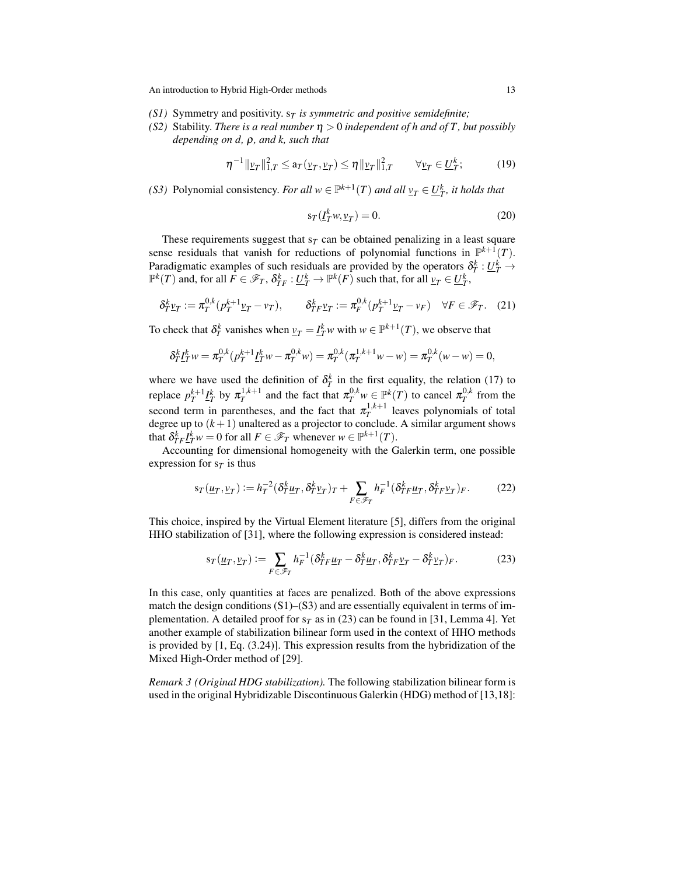- *(S1)* Symmetry and positivity.  $s_T$  *is symmetric and positive semidefinite;*
- *(S2)* Stability. *There is a real number* η > 0 *independent of h and of T , but possibly depending on d,* ρ*, and k, such that*

<span id="page-12-1"></span>
$$
\eta^{-1} \| \nu_T \|_{1,T}^2 \le a_T(\nu_T, \nu_T) \le \eta \| \nu_T \|_{1,T}^2 \qquad \forall \nu_T \in \underline{U}_T^k; \tag{19}
$$

*(S3)* Polynomial consistency. *For all*  $w \in \mathbb{P}^{k+1}(T)$  *and all*  $\underline{v}_T \in \underline{U}_T^k$ , *it holds that* 

$$
s_T(\underline{I}_T^k w, \underline{v}_T) = 0. \tag{20}
$$

These requirements suggest that  $s_T$  can be obtained penalizing in a least square sense residuals that vanish for reductions of polynomial functions in  $\mathbb{P}^{k+1}(T)$ . Paradigmatic examples of such residuals are provided by the operators  $\delta_T^k : \underline{U}_T^k \to$  $\mathbb{P}^k(T)$  and, for all  $F \in \mathscr{F}_T$ ,  $\delta^k_{TF} : \underline{U^k_T} \to \mathbb{P}^k(F)$  such that, for all  $\underline{v}_T \in \underline{U^k_T}$ ,

<span id="page-12-2"></span>
$$
\delta^k_T \underline{v}_T := \pi_T^{0,k} (p_T^{k+1} \underline{v}_T - v_T), \qquad \delta^k_{TF} \underline{v}_T := \pi_F^{0,k} (p_T^{k+1} \underline{v}_T - v_F) \quad \forall F \in \mathcal{F}_T. \tag{21}
$$

To check that  $\delta_T^k$  vanishes when  $\underline{v}_T = \underline{I}_T^k w$  with  $w \in \mathbb{P}^{k+1}(T)$ , we observe that

$$
\delta_T^k \underline{I}_T^k w = \pi_T^{0,k} (p_T^{k+1} \underline{I}_T^k w - \pi_T^{0,k} w) = \pi_T^{0,k} (\pi_T^{1,k+1} w - w) = \pi_T^{0,k} (w - w) = 0,
$$

where we have used the definition of  $\delta_T^k$  in the first equality, the relation [\(17\)](#page-11-0) to replace  $p_T^{k+1} I_T^k$  by  $\pi_T^{1,k+1}$  and the fact that  $\pi_T^{0,k} w \in \mathbb{P}^k(T)$  to cancel  $\pi_T^{0,k}$  from the second term in parentheses, and the fact that  $\pi_T^{1,k+1}$  leaves polynomials of total degree up to  $(k+1)$  unaltered as a projector to conclude. A similar argument shows that  $\delta_{TF}^k \underline{I}_T^k w = 0$  for all  $F \in \mathcal{F}_T$  whenever  $w \in \mathbb{P}^{k+1}(T)$ .

Accounting for dimensional homogeneity with the Galerkin term, one possible expression for  $s<sub>T</sub>$  is thus

<span id="page-12-3"></span>
$$
s_T(\underline{u}_T, \underline{v}_T) := h_T^{-2}(\delta_T^k \underline{u}_T, \delta_T^k \underline{v}_T)_T + \sum_{F \in \mathscr{F}_T} h_F^{-1}(\delta_{TF}^k \underline{u}_T, \delta_{TF}^k \underline{v}_T)_F. \tag{22}
$$

This choice, inspired by the Virtual Element literature [\[5\]](#page-47-18), differs from the original HHO stabilization of [\[31\]](#page-48-1), where the following expression is considered instead:

<span id="page-12-0"></span>
$$
s_T(\underline{u}_T, \underline{v}_T) := \sum_{F \in \mathscr{F}_T} h_F^{-1} (\delta_{TF}^k \underline{u}_T - \delta_T^k \underline{u}_T, \delta_{TF}^k \underline{v}_T - \delta_T^k \underline{v}_T)_F. \tag{23}
$$

In this case, only quantities at faces are penalized. Both of the above expressions match the design conditions  $(S1)$ – $(S3)$  and are essentially equivalent in terms of implementation. A detailed proof for  $s_T$  as in [\(23\)](#page-12-0) can be found in [\[31,](#page-48-1) Lemma 4]. Yet another example of stabilization bilinear form used in the context of HHO methods is provided by [\[1,](#page-46-0) Eq. (3.24)]. This expression results from the hybridization of the Mixed High-Order method of [\[29\]](#page-48-2).

*Remark 3 (Original HDG stabilization).* The following stabilization bilinear form is used in the original Hybridizable Discontinuous Galerkin (HDG) method of [\[13](#page-47-14)[,18\]](#page-47-15):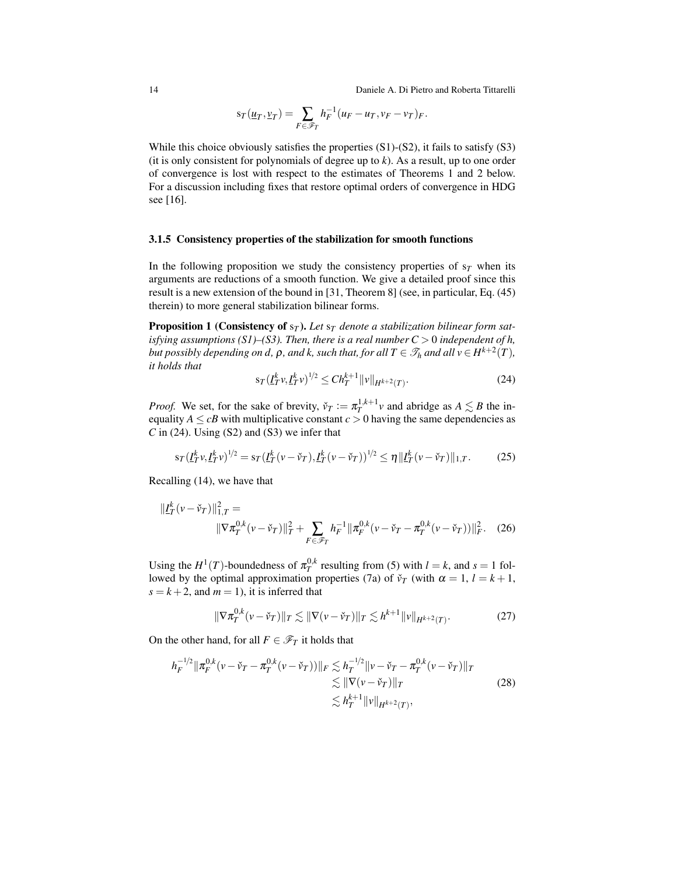14 Daniele A. Di Pietro and Roberta Tittarelli

$$
s_T(\underline{u}_T, \underline{v}_T) = \sum_{F \in \mathscr{F}_T} h_F^{-1}(u_F - u_T, v_F - v_T)_F.
$$

While this choice obviously satisfies the properties  $(S1)-(S2)$ , it fails to satisfy  $(S3)$ (it is only consistent for polynomials of degree up to *k*). As a result, up to one order of convergence is lost with respect to the estimates of Theorems [1](#page-21-0) and [2](#page-23-1) below. For a discussion including fixes that restore optimal orders of convergence in HDG see [\[16\]](#page-47-7).

#### 3.1.5 Consistency properties of the stabilization for smooth functions

In the following proposition we study the consistency properties of  $s<sub>T</sub>$  when its arguments are reductions of a smooth function. We give a detailed proof since this result is a new extension of the bound in [\[31,](#page-48-1) Theorem 8] (see, in particular, Eq. (45) therein) to more general stabilization bilinear forms.

**Proposition 1 (Consistency of**  $s_T$ ). Let  $s_T$  denote a stabilization bilinear form sat*isfying assumptions (S1)–(S3). Then, there is a real number*  $C > 0$  *independent of h, but possibly depending on d,*  $\rho$ *, and k, such that, for all*  $T \in \mathscr{T}_h$  *and all*  $v \in H^{k+2}(T)$ *, it holds that*

<span id="page-13-3"></span><span id="page-13-0"></span>
$$
s_T(I_T^k v, I_T^k v)^{1/2} \le C h_T^{k+1} ||v||_{H^{k+2}(T)}.
$$
\n(24)

*Proof.* We set, for the sake of brevity,  $\check{\nu}_T := \pi_T^{1,k+1} \nu$  and abridge as  $A \lesssim B$  the inequality  $A \leq cB$  with multiplicative constant  $c > 0$  having the same dependencies as  $C$  in [\(24\)](#page-13-0). Using (S2) and (S3) we infer that

<span id="page-13-4"></span>
$$
s_T(I_T^k v, I_T^k v)^{1/2} = s_T(I_T^k (v - \check{v}_T), I_T^k (v - \check{v}_T))^{1/2} \le \eta \|I_T^k (v - \check{v}_T)\|_{1,T}.
$$
 (25)

Recalling [\(14\)](#page-11-1), we have that

$$
\| \underline{I}_T^k (\nu - \check{\nu}_T) \|_{1,T}^2 =
$$
  
 
$$
\| \nabla \pi_T^{0,k} (\nu - \check{\nu}_T) \|_T^2 + \sum_{F \in \mathscr{F}_T} h_F^{-1} \| \pi_F^{0,k} (\nu - \check{\nu}_T - \pi_T^{0,k} (\nu - \check{\nu}_T)) \|_F^2.
$$
 (26)

Using the  $H^1(T)$ -boundedness of  $\pi_T^{0,k}$  resulting from [\(5\)](#page-8-4) with  $l = k$ , and  $s = 1$  fol-lowed by the optimal approximation properties [\(7a\)](#page-8-5) of  $\check{\nu}_T$  (with  $\alpha = 1, l = k + 1$ ,  $s = k + 2$ , and  $m = 1$ ), it is inferred that

<span id="page-13-1"></span>
$$
\|\nabla \pi_T^{0,k}(\nu - \check{\nu}_T)\|_T \lesssim \|\nabla (\nu - \check{\nu}_T)\|_T \lesssim h^{k+1} \|\nu\|_{H^{k+2}(T)}.
$$
 (27)

On the other hand, for all  $F \in \mathcal{F}_T$  it holds that

<span id="page-13-2"></span>
$$
h_F^{-1/2} \|\pi_F^{0,k}(\nu - \check{\nu}_T - \pi_T^{0,k}(\nu - \check{\nu}_T))\|_F \lesssim h_T^{-1/2} \|\nu - \check{\nu}_T - \pi_T^{0,k}(\nu - \check{\nu}_T)\|_T
$$
  
\n
$$
\lesssim \|\nabla(\nu - \check{\nu}_T)\|_T
$$
  
\n
$$
\lesssim h_T^{k+1} \|\nu\|_{H^{k+2}(T)},
$$
\n(28)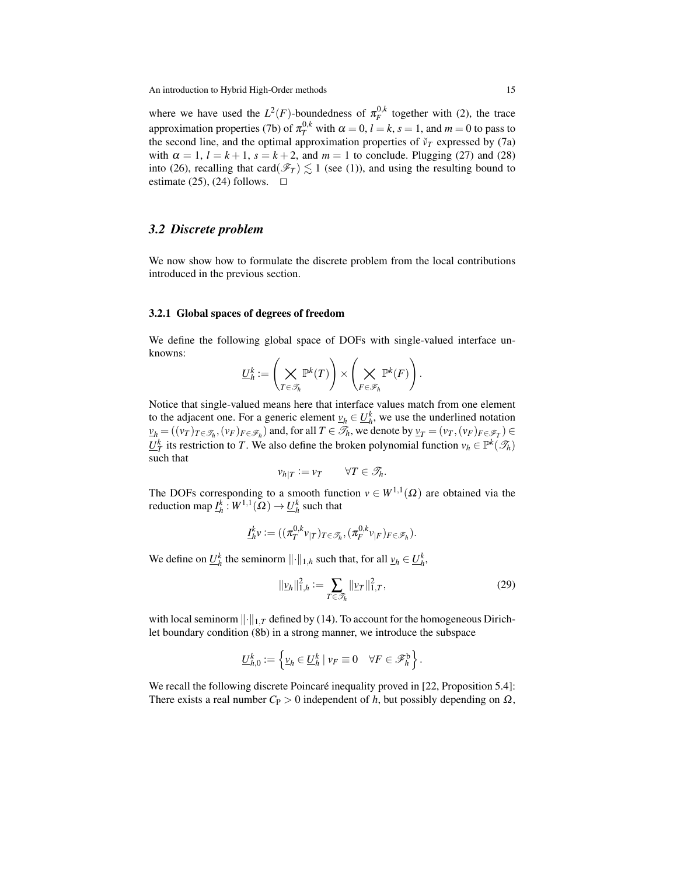where we have used the  $L^2(F)$ -boundedness of  $\pi_F^{0,k}$  together with [\(2\)](#page-6-1), the trace approximation properties [\(7b\)](#page-8-6) of  $\pi_T^{0,k}$  with  $\alpha = 0$ ,  $l = k$ ,  $s = 1$ , and  $m = 0$  to pass to the second line, and the optimal approximation properties of  $\check{\nu}_T$  expressed by [\(7a\)](#page-8-5) with  $\alpha = 1$ ,  $l = k + 1$ ,  $s = k + 2$ , and  $m = 1$  to conclude. Plugging [\(27\)](#page-13-1) and [\(28\)](#page-13-2) into [\(26\)](#page-13-3), recalling that card( $\mathcal{F}_T$ )  $\leq$  1 (see [\(1\)](#page-6-3)), and using the resulting bound to estimate [\(25\)](#page-13-4), [\(24\)](#page-13-0) follows.  $\Box$ 

# <span id="page-14-0"></span>*3.2 Discrete problem*

We now show how to formulate the discrete problem from the local contributions introduced in the previous section.

#### 3.2.1 Global spaces of degrees of freedom

We define the following global space of DOFs with single-valued interface unknowns:

$$
\underline{U}_h^k:=\left(\bigtimes_{T\in\mathscr{T}_h}\mathbb{P}^k(T)\right)\times\left(\bigtimes_{F\in\mathscr{F}_h}\mathbb{P}^k(F)\right).
$$

Notice that single-valued means here that interface values match from one element to the adjacent one. For a generic element  $v_h \in U_h^k$ , we use the underlined notation  $\nu_h = ((\nu_T)_{T \in \mathcal{T}_h}, (\nu_F)_{F \in \mathcal{F}_h})$  and, for all  $T \in \mathcal{T}_h$ , we denote by  $\nu_T = (\nu_T, (\nu_F)_{F \in \mathcal{F}_T}) \in$ *U*<sup>*k*</sup><sub>*I*</sub> its restriction to *T*. We also define the broken polynomial function  $v_h \in \mathbb{P}^k(\mathcal{F}_h)$ such that

$$
v_{h|T} := v_T \qquad \forall T \in \mathscr{T}_h.
$$

The DOFs corresponding to a smooth function  $v \in W^{1,1}(\Omega)$  are obtained via the reduction map  $\underline{I}^k_h:W^{1,1}(\Omega)\to \underline{U}^k_h$  such that

$$
\underline{I}_h^k v := ((\pi_T^{0,k} v_{|T})_{T \in \mathscr{T}_h}, (\pi_F^{0,k} v_{|F})_{F \in \mathscr{F}_h}).
$$

We define on  $\underline{U}_h^k$  the seminorm  $\lVert \cdot \rVert_{1,h}$  such that, for all  $\underline{v}_h \in \underline{U}_h^k$ ,

<span id="page-14-1"></span>
$$
\|\underline{v}_h\|_{1,h}^2 := \sum_{T \in \mathcal{F}_h} \|\underline{v}_T\|_{1,T}^2,\tag{29}
$$

with local seminorm  $\lVert \cdot \rVert_{1,T}$  defined by [\(14\)](#page-11-1). To account for the homogeneous Dirichlet boundary condition [\(8b\)](#page-9-2) in a strong manner, we introduce the subspace

$$
\underline{U}_{h,0}^k := \left\{ \underline{v}_h \in \underline{U}_h^k \mid v_F \equiv 0 \quad \forall F \in \mathscr{F}_h^b \right\}.
$$

We recall the following discrete Poincaré inequality proved in [\[22,](#page-47-3) Proposition 5.4]: There exists a real number  $C_P > 0$  independent of *h*, but possibly depending on  $\Omega$ ,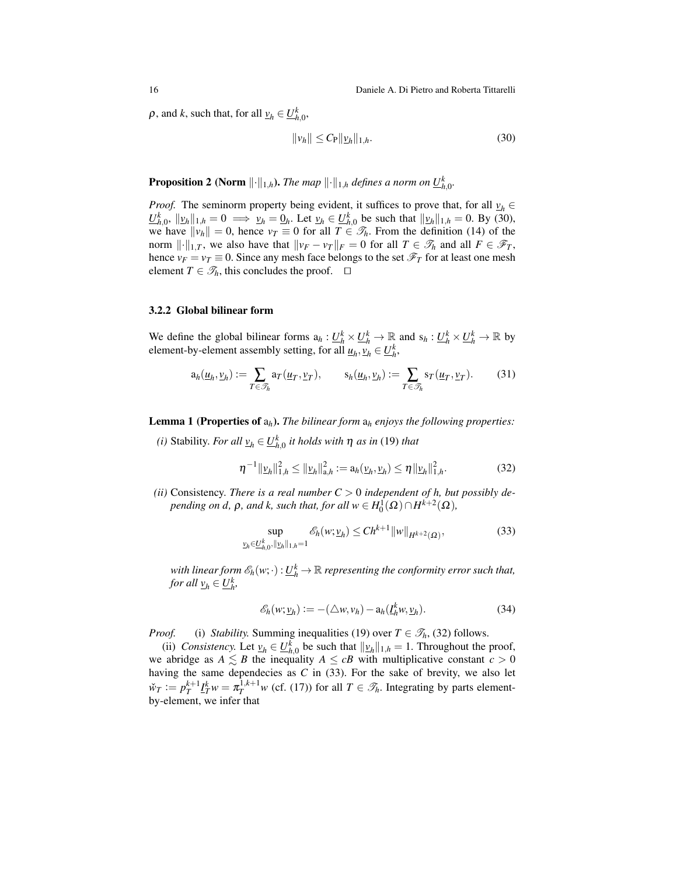$\rho$ , and *k*, such that, for all  $\underline{v}_h \in \underline{U}_{h,0}^k$ ,

<span id="page-15-0"></span>
$$
\|\nu_h\| \le C_P \|\underline{\nu}_h\|_{1,h}.\tag{30}
$$

**Proposition 2 (Norm**  $\lVert \cdot \rVert_{1,h}$ ). *The map*  $\lVert \cdot \rVert_{1,h}$  *defines a norm on*  $\underline{U}_{h,0}^k$ .

*Proof.* The seminorm property being evident, it suffices to prove that, for all  $v_h \in$  $\underline{U}_{h,0}^k$ ,  $||\underline{v}_h||_{1,h} = 0 \implies \underline{v}_h = \underline{0}_h$ . Let  $\underline{v}_h \in \underline{U}_{h,0}^k$  be such that  $||\underline{v}_h||_{1,h} = 0$ . By [\(30\)](#page-15-0), we have  $\|v_h\| = 0$ , hence  $v_T \equiv 0$  for all  $T \in \mathcal{T}_h$ . From the definition [\(14\)](#page-11-1) of the norm  $\|\cdot\|_{1,T}$ , we also have that  $\|v_F - v_T\|_F = 0$  for all  $T \in \mathcal{T}_h$  and all  $F \in \mathcal{F}_T$ , hence  $v_F = v_T \equiv 0$ . Since any mesh face belongs to the set  $\mathcal{F}_T$  for at least one mesh element  $T \in \mathcal{T}_h$ , this concludes the proof.  $\Box$ 

### 3.2.2 Global bilinear form

We define the global bilinear forms  $a_h: U_h^k \times U_h^k \to \mathbb{R}$  and  $s_h: U_h^k \times U_h^k \to \mathbb{R}$  by element-by-element assembly setting, for all  $\underline{u}_h$ ,  $\underline{v}_h \in \underline{U}_h^k$ ,

<span id="page-15-3"></span>
$$
a_h(\underline{u}_h, \underline{v}_h) := \sum_{T \in \mathcal{T}_h} a_T(\underline{u}_T, \underline{v}_T), \qquad s_h(\underline{u}_h, \underline{v}_h) := \sum_{T \in \mathcal{T}_h} s_T(\underline{u}_T, \underline{v}_T). \tag{31}
$$

Lemma 1 (Properties of a*h*). *The bilinear form* a*<sup>h</sup> enjoys the following properties:*

*(i)* Stability. *For all*  $\underline{v}_h \in \underline{U}_{h,0}^k$  *it holds with*  $\eta$  *as in* [\(19\)](#page-12-1) *that* 

<span id="page-15-1"></span>
$$
\eta^{-1} \|\underline{\nu}_h\|_{1,h}^2 \le \|\underline{\nu}_h\|_{a,h}^2 := a_h(\underline{\nu}_h, \underline{\nu}_h) \le \eta \|\underline{\nu}_h\|_{1,h}^2. \tag{32}
$$

(*ii*) Consistency. *There is a real number*  $C > 0$  *independent of h, but possibly depending on d,*  $\rho$ *, and k, such that, for all*  $w \in H_0^1(\Omega) \cap H^{k+2}(\Omega)$ *,* 

<span id="page-15-2"></span>
$$
\sup_{\underline{v}_h \in \underline{U}_{h,0}^k, ||\underline{v}_h||_{1,h}=1} \mathcal{E}_h(w; \underline{v}_h) \le Ch^{k+1} ||w||_{H^{k+2}(\Omega)},
$$
\n(33)

*with linear form*  $\mathscr{E}_h(w; \cdot): \underline{U}_h^k \to \mathbb{R}$  *representing the conformity error such that, for all*  $\underline{v}_h \in \underline{U}_h^k$ ,

<span id="page-15-4"></span>
$$
\mathscr{E}_h(w; \underline{v}_h) := -(\triangle w, v_h) - a_h(\underline{I}_h^k w, \underline{v}_h). \tag{34}
$$

*Proof.* (i) *Stability.* Summing inequalities [\(19\)](#page-12-1) over  $T \in \mathcal{T}_h$ , [\(32\)](#page-15-1) follows.

(ii) *Consistency.* Let  $v_h \in U_{h,0}^k$  be such that  $||v_h||_{1,h} = 1$ . Throughout the proof, we abridge as  $A \leq B$  the inequality  $A \leq cB$  with multiplicative constant  $c > 0$ having the same dependecies as *C* in [\(33\)](#page-15-2). For the sake of brevity, we also let  $\tilde{w}_T := p_T^{k+1} \underline{I}_T^k w = \pi_T^{1,k+1} w$  (cf. [\(17\)](#page-11-0)) for all  $T \in \mathcal{T}_h$ . Integrating by parts elementby-element, we infer that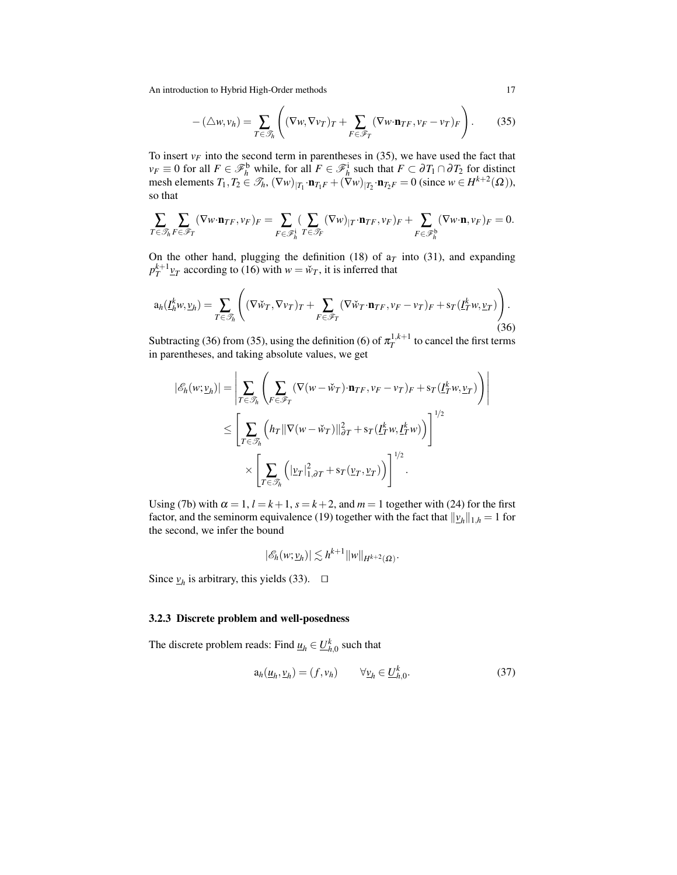<span id="page-16-0"></span>
$$
- (\triangle w, v_h) = \sum_{T \in \mathcal{I}_h} \left( (\nabla w, \nabla v_T)_T + \sum_{F \in \mathcal{F}_T} (\nabla w \cdot \mathbf{n}_{TF}, v_F - v_T)_F \right).
$$
 (35)

To insert  $v_F$  into the second term in parentheses in [\(35\)](#page-16-0), we have used the fact that  $v_F \equiv 0$  for all  $F \in \mathcal{F}_h^{\text{b}}$  while, for all  $F \in \mathcal{F}_h^{\text{i}}$  such that  $F \subset \partial T_1 \cap \partial T_2$  for distinct mesh elements  $T_1, T_2 \in \mathcal{T}_h$ ,  $(\nabla w)_{|T_1} \cdot \mathbf{n}_{T_1F} + (\nabla w)_{|T_2} \cdot \mathbf{n}_{T_2F} = 0$  (since  $w \in H^{k+2}(\Omega)$ ), so that

$$
\sum_{T\in\mathscr{T}_h}\sum_{F\in\mathscr{F}_T}(\nabla w\cdot\mathbf{n}_{TF},v_F)_F=\sum_{F\in\mathscr{F}_h^1}(\sum_{T\in\mathscr{T}_F}(\nabla w)_{|T}\cdot\mathbf{n}_{TF},v_F)_F+\sum_{F\in\mathscr{F}_h^b}(\nabla w\cdot\mathbf{n},v_F)_F=0.
$$

On the other hand, plugging the definition [\(18\)](#page-11-2) of  $a_T$  into [\(31\)](#page-15-3), and expanding  $p_T^{k+1}$   $\mathbf{v}_T$  according to [\(16\)](#page-11-3) with  $w = \check{w}_T$ , it is inferred that

<span id="page-16-1"></span>
$$
\mathbf{a}_{h}(I_{h}^{k}w, \underline{v}_{h}) = \sum_{T \in \mathcal{F}_{h}} \left( (\nabla \tilde{w}_{T}, \nabla v_{T})_{T} + \sum_{F \in \mathcal{F}_{T}} (\nabla \tilde{w}_{T} \cdot \mathbf{n}_{TF}, v_{F} - v_{T})_{F} + \mathbf{s}_{T} (I_{T}^{k}w, \underline{v}_{T}) \right). \tag{36}
$$

Subtracting [\(36\)](#page-16-1) from [\(35\)](#page-16-0), using the definition [\(6\)](#page-8-2) of  $\pi_T^{1,k+1}$  to cancel the first terms in parentheses, and taking absolute values, we get

$$
|\mathscr{E}_h(w; \underline{v}_h)| = \left| \sum_{T \in \mathscr{T}_h} \left( \sum_{F \in \mathscr{F}_T} (\nabla (w - \check{w}_T) \cdot \mathbf{n}_{TF}, v_F - v_T)_F + s_T(\underline{I}_T^k w, \underline{v}_T) \right) \right|
$$
  

$$
\leq \left[ \sum_{T \in \mathscr{T}_h} \left( h_T \|\nabla (w - \check{w}_T)\|_{\partial T}^2 + s_T(\underline{I}_T^k w, \underline{I}_T^k w) \right) \right]^{1/2}
$$
  

$$
\times \left[ \sum_{T \in \mathscr{T}_h} \left( |\underline{v}_T|_{1, \partial T}^2 + s_T(\underline{v}_T, \underline{v}_T) \right) \right]^{1/2}.
$$

Using [\(7b\)](#page-8-6) with  $\alpha = 1$ ,  $l = k + 1$ ,  $s = k + 2$ , and  $m = 1$  together with [\(24\)](#page-13-0) for the first factor, and the seminorm equivalence [\(19\)](#page-12-1) together with the fact that  $\|\underline{v}_h\|_{1,h} = 1$  for the second, we infer the bound

$$
|\mathscr{E}_h(w; \underline{v}_h)| \lesssim h^{k+1} ||w||_{H^{k+2}(\Omega)}.
$$

Since  $v_h$  is arbitrary, this yields [\(33\)](#page-15-2).  $\Box$ 

### 3.2.3 Discrete problem and well-posedness

The discrete problem reads: Find  $\underline{u}_h \in \underline{U}_{h,0}^k$  such that

<span id="page-16-2"></span>
$$
a_h(\underline{u}_h, \underline{v}_h) = (f, v_h) \qquad \forall \underline{v}_h \in \underline{U}_{h,0}^k. \tag{37}
$$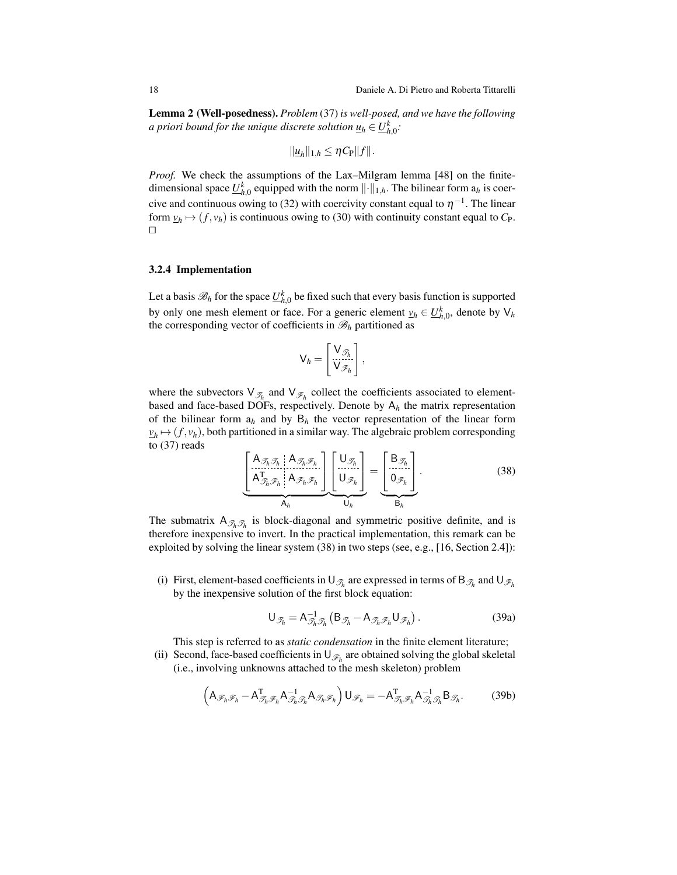Lemma 2 (Well-posedness). *Problem* [\(37\)](#page-16-2) *is well-posed, and we have the following a priori bound for the unique discrete solution*  $\underline{u}_h \in \underline{U}_{h,0}^k$ *:* 

$$
\|\underline{u}_h\|_{1,h}\leq \eta C_{\mathrm{P}}\|f\|.
$$

*Proof.* We check the assumptions of the Lax–Milgram lemma [\[48\]](#page-49-2) on the finitedimensional space  $\underline{U}_{h,0}^k$  equipped with the norm  $\lVert \cdot \rVert_{1,h}$ . The bilinear form  $a_h$  is coer-cive and continuous owing to [\(32\)](#page-15-1) with coercivity constant equal to  $\eta^{-1}$ . The linear form  $v_h \mapsto (f, v_h)$  is continuous owing to [\(30\)](#page-15-0) with continuity constant equal to  $C_P$ .  $\Box$ 

#### <span id="page-17-3"></span>3.2.4 Implementation

Let a basis  $\mathscr{B}_h$  for the space  $\underline{U}^k_{h,0}$  be fixed such that every basis function is supported by only one mesh element or face. For a generic element  $v_h \in U_{h,0}^k$ , denote by  $V_h$ the corresponding vector of coefficients in  $\mathcal{B}_h$  partitioned as

$$
\mathsf{V}_h = \begin{bmatrix} \mathsf{V}_{\mathscr{T}_h} \\ \mathsf{V}_{\mathscr{F}_h} \end{bmatrix},
$$

where the subvectors  $\vee_{\mathscr{T}_h}$  and  $\vee_{\mathscr{F}_h}$  collect the coefficients associated to elementbased and face-based DOFs, respectively. Denote by A*<sup>h</sup>* the matrix representation of the bilinear form  $a_h$  and by  $B_h$  the vector representation of the linear form  $\nu_h \mapsto (f, v_h)$ , both partitioned in a similar way. The algebraic problem corresponding to [\(37\)](#page-16-2) reads

<span id="page-17-0"></span>
$$
\underbrace{\begin{bmatrix} A_{\mathcal{F}_h} & A_{\mathcal{F}_h} & B_{\mathcal{F}_h} \\ A_{\mathcal{F}_h} & A_{\mathcal{F}_h} & B_{\mathcal{F}_h} \end{bmatrix}}_{A_h} \underbrace{\begin{bmatrix} U_{\mathcal{F}_h} \\ U_{\mathcal{F}_h} \end{bmatrix}}_{U_h} = \underbrace{\begin{bmatrix} B_{\mathcal{F}_h} \\ 0_{\mathcal{F}_h} \end{bmatrix}}_{B_h}.
$$
\n(38)

The submatrix  $A_{\mathcal{T}_h, \mathcal{T}_h}$  is block-diagonal and symmetric positive definite, and is therefore inexpensive to invert. In the practical implementation, this remark can be exploited by solving the linear system [\(38\)](#page-17-0) in two steps (see, e.g., [\[16,](#page-47-7) Section 2.4]):

(i) First, element-based coefficients in  $\cup_{\mathcal{T}_h}$  are expressed in terms of  $\mathsf{B}_{\mathcal{T}_h}$  and  $\cup_{\mathcal{T}_h}$ by the inexpensive solution of the first block equation:

<span id="page-17-1"></span>
$$
\bigcup_{\mathcal{J}_h} = A_{\mathcal{J}_h, \mathcal{J}_h}^{-1} \left( B_{\mathcal{J}_h} - A_{\mathcal{J}_h, \mathcal{F}_h} \bigcup_{\mathcal{F}_h} \right). \tag{39a}
$$

This step is referred to as *static condensation* in the finite element literature;

(ii) Second, face-based coefficients in  $\bigcup_{\mathscr{F}_h}$  are obtained solving the global skeletal (i.e., involving unknowns attached to the mesh skeleton) problem

<span id="page-17-2"></span>
$$
\left(A_{\mathscr{F}_h\mathscr{F}_h} - A_{\mathscr{T}_h\mathscr{F}_h}^{\mathrm{T}} A_{\mathscr{T}_h\mathscr{T}_h}^{-1} A_{\mathscr{T}_h\mathscr{F}_h}\right) \mathsf{U}_{\mathscr{F}_h} = -A_{\mathscr{T}_h\mathscr{F}_h}^{\mathrm{T}} A_{\mathscr{T}_h\mathscr{T}_h}^{-1} \mathsf{B}_{\mathscr{T}_h}.
$$
 (39b)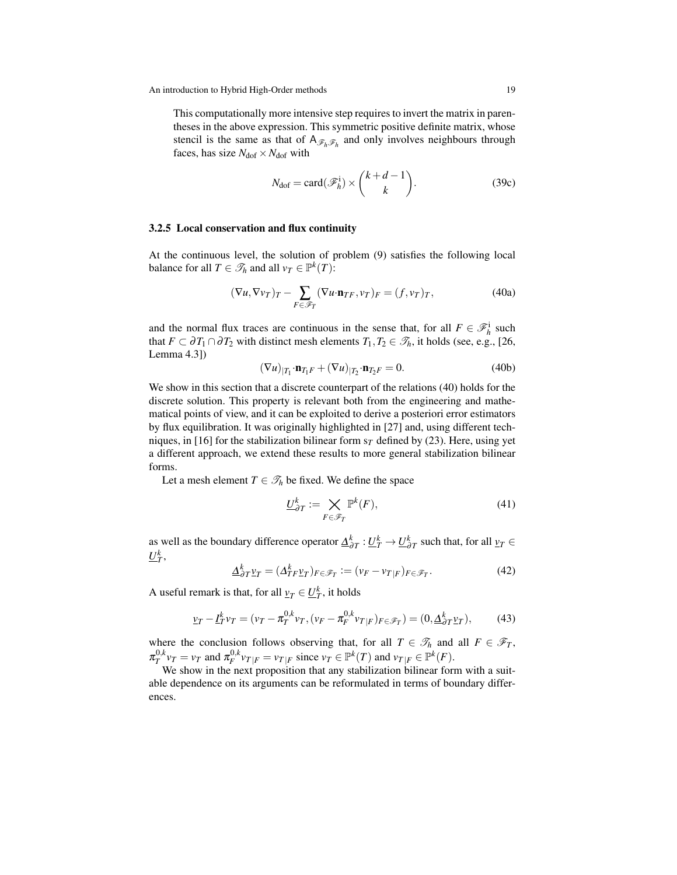This computationally more intensive step requires to invert the matrix in parentheses in the above expression. This symmetric positive definite matrix, whose stencil is the same as that of  $A_{\mathscr{F}_h\mathscr{F}_h}$  and only involves neighbours through faces, has size  $N_{\text{dof}} \times N_{\text{dof}}$  with

<span id="page-18-6"></span><span id="page-18-0"></span>
$$
N_{\text{dof}} = \text{card}(\mathcal{F}_h^i) \times \binom{k+d-1}{k}.
$$
 (39c)

### 3.2.5 Local conservation and flux continuity

At the continuous level, the solution of problem [\(9\)](#page-9-6) satisfies the following local balance for all  $T \in \mathcal{I}_h$  and all  $v_T \in \mathbb{P}^k(T)$ :

<span id="page-18-4"></span>
$$
(\nabla u, \nabla v_T)_T - \sum_{F \in \mathscr{F}_T} (\nabla u \cdot \mathbf{n}_{TF}, v_T)_F = (f, v_T)_T, \tag{40a}
$$

and the normal flux traces are continuous in the sense that, for all  $F \in \mathcal{F}_h^i$  such that *F* ⊂  $\partial T_1 \cap \partial T_2$  with distinct mesh elements  $T_1, T_2 \in \mathcal{T}_h$ , it holds (see, e.g., [\[26,](#page-48-14) Lemma 4.3])

<span id="page-18-5"></span>
$$
(\nabla u)_{|T_1} \cdot \mathbf{n}_{T_1 F} + (\nabla u)_{|T_2} \cdot \mathbf{n}_{T_2 F} = 0. \tag{40b}
$$

We show in this section that a discrete counterpart of the relations [\(40\)](#page-18-0) holds for the discrete solution. This property is relevant both from the engineering and mathematical points of view, and it can be exploited to derive a posteriori error estimators by flux equilibration. It was originally highlighted in [\[27\]](#page-48-4) and, using different tech-niques, in [\[16\]](#page-47-7) for the stabilization bilinear form  $s_T$  defined by [\(23\)](#page-12-0). Here, using yet a different approach, we extend these results to more general stabilization bilinear forms.

Let a mesh element  $T \in \mathcal{T}_h$  be fixed. We define the space

<span id="page-18-2"></span>
$$
\underline{U}_{\partial T}^k := \bigtimes_{F \in \mathcal{F}_T} \mathbb{P}^k(F),\tag{41}
$$

as well as the boundary difference operator  $\underline{\Delta}_{\partial T}^k : \underline{U}_T^k \to \underline{U}_{\partial T}^k$  such that, for all  $\underline{v}_T \in$  $\underline{U}_T^k$ ,

$$
\underline{\Delta}_{\partial T}^k \underline{v}_T = (\Delta_{TF}^k \underline{v}_T)_{F \in \mathscr{F}_T} := (\underline{v}_F - \underline{v}_T)_{F \in \mathscr{F}_T}.\tag{42}
$$

A useful remark is that, for all  $v_T \in \underline{U}_T^k$ , it holds

<span id="page-18-1"></span>
$$
\underline{v}_T - \underline{I}_T^k v_T = (v_T - \pi_T^{0,k} v_T, (v_F - \pi_F^{0,k} v_{T|F})_{F \in \mathscr{F}_T}) = (0, \underline{\Delta}_{\partial T}^k \underline{v}_T), \tag{43}
$$

where the conclusion follows observing that, for all  $T \in \mathcal{T}_h$  and all  $F \in \mathcal{F}_T$ ,  $\pi_T^{0,k} v_T = v_T$  and  $\pi_F^{0,k} v_{T|F} = v_{T|F}$  since  $v_T \in \mathbb{P}^k(T)$  and  $v_{T|F} \in \mathbb{P}^k(F)$ .

<span id="page-18-3"></span>We show in the next proposition that any stabilization bilinear form with a suitable dependence on its arguments can be reformulated in terms of boundary differences.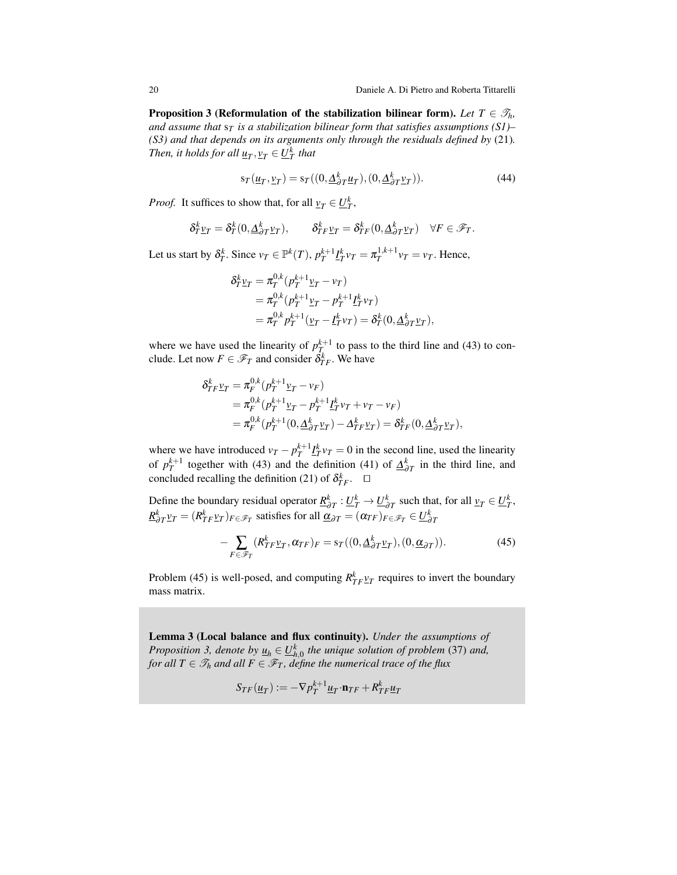**Proposition 3 (Reformulation of the stabilization bilinear form).** Let  $T \in \mathscr{T}_h$ , *and assume that* s*<sup>T</sup> is a stabilization bilinear form that satisfies assumptions (S1)– (S3) and that depends on its arguments only through the residuals defined by* [\(21\)](#page-12-2)*. Then, it holds for all*  $\underline{u}_T, \underline{v}_T \in \underline{U}_T^k$  that

<span id="page-19-1"></span>
$$
s_T(\underline{u}_T, \underline{v}_T) = s_T((0, \underline{\Delta}_{\partial T}^k \underline{u}_T), (0, \underline{\Delta}_{\partial T}^k \underline{v}_T)).
$$
\n(44)

*Proof.* It suffices to show that, for all  $v_T \in \underline{U}_T^k$ ,

$$
\delta_T^k \underline{v}_T = \delta_T^k(0, \underline{\Delta}_{\partial T}^k \underline{v}_T), \qquad \delta_{TF}^k \underline{v}_T = \delta_{TF}^k(0, \underline{\Delta}_{\partial T}^k \underline{v}_T) \quad \forall F \in \mathscr{F}_T.
$$

Let us start by  $\delta_T^k$ . Since  $v_T \in \mathbb{P}^k(T)$ ,  $p_T^{k+1} \underline{I}_T^k v_T = \pi_T^{1,k+1} v_T = v_T$ . Hence,

$$
\delta_T^k \underline{v}_T = \pi_T^{0,k} (p_T^{k+1} \underline{v}_T - v_T) \n= \pi_T^{0,k} (p_T^{k+1} \underline{v}_T - p_T^{k+1} \underline{I}_T^k v_T) \n= \pi_T^{0,k} p_T^{k+1} (\underline{v}_T - \underline{I}_T^k v_T) = \delta_T^k (0, \underline{\Delta}_{\partial T}^k \underline{v}_T),
$$

where we have used the linearity of  $p_T^{k+1}$  to pass to the third line and [\(43\)](#page-18-1) to conclude. Let now  $F \in \mathscr{F}_T$  and consider  $\delta_{TF}^k$ . We have

$$
\delta_{TF}^k \underline{v}_T = \pi_F^{0,k} (p_T^{k+1} \underline{v}_T - v_F) \n= \pi_F^{0,k} (p_T^{k+1} \underline{v}_T - p_T^{k+1} \underline{t}_T^k v_T + v_T - v_F) \n= \pi_F^{0,k} (p_T^{k+1} (0, \underline{\Delta}_{\partial T}^k \underline{v}_T) - \Delta_{TF}^k \underline{v}_T) = \delta_{TF}^k (0, \underline{\Delta}_{\partial T}^k \underline{v}_T),
$$

where we have introduced  $v_T - p_T^{k+1} \underline{I}_T^k v_T = 0$  in the second line, used the linearity of  $p_T^{k+1}$  together with [\(43\)](#page-18-1) and the definition [\(41\)](#page-18-2) of  $\Delta_{\partial T}^k$  in the third line, and concluded recalling the definition [\(21\)](#page-12-2) of  $\delta_{TF}^k$ .  $\Box$ 

Define the boundary residual operator  $\underline{R}^k_{\partial T} : \underline{U}^k_T \to \underline{U}^k_{\partial T}$  such that, for all  $\underline{v}_T \in \underline{U}^k_T$ ,  $\underline{R}^k_{\partial T}$ *v<sub>T</sub>* = ( $R^k_{TF}$ *v<sub>T</sub>*)*F*∈ $\mathscr{F}_T$  satisfies for all  $\underline{\alpha}_{\partial T} = (\alpha_{TF})_{F \in \mathscr{F}_T} \in \underline{U}^k_{\partial T}$ 

<span id="page-19-0"></span>
$$
-\sum_{F \in \mathcal{F}_T} (R_{TF}^k \underline{v}_T, \alpha_{TF})_F = s_T((0, \underline{\Delta}_{\partial T}^k \underline{v}_T), (0, \underline{\alpha}_{\partial T})). \tag{45}
$$

Problem [\(45\)](#page-19-0) is well-posed, and computing  $R_{TF}^k \gamma_T$  requires to invert the boundary mass matrix.

<span id="page-19-2"></span>Lemma 3 (Local balance and flux continuity). *Under the assumptions of Proposition* [3,](#page-18-3) *denote* by  $\underline{u}_h \in \underline{U}^k_{h,0}$  *the unique solution of problem* [\(37\)](#page-16-2) *and*, *for all*  $T \in \mathcal{T}_h$  *and all*  $F \in \mathcal{F}_T$ *, define the numerical trace of the flux* 

$$
S_{TF}(\underline{u}_T) := -\nabla p_T^{k+1} \underline{u}_T \cdot \mathbf{n}_{TF} + R_{TF}^k \underline{u}_T
$$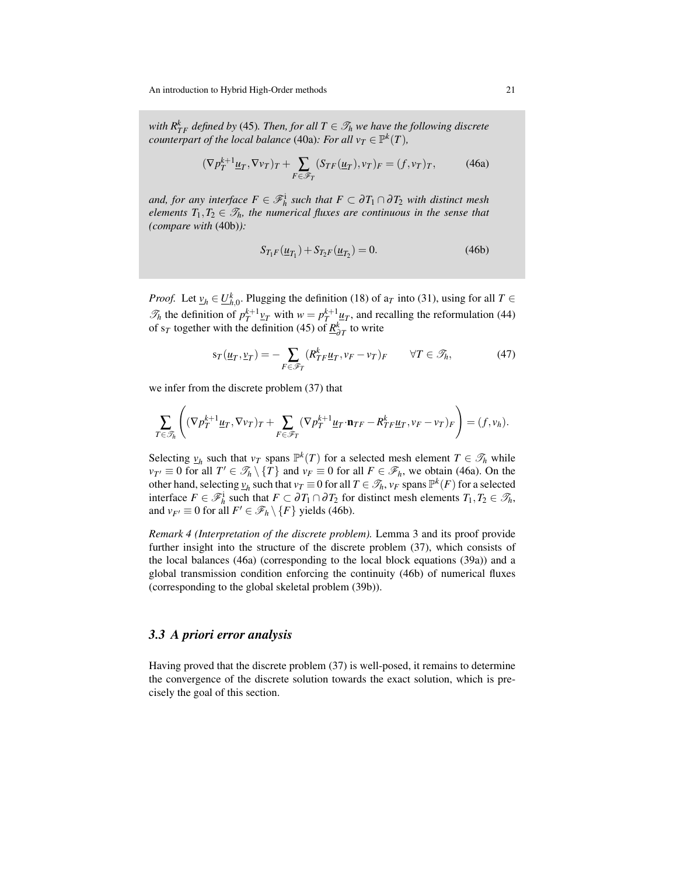*with*  $R_{TF}^k$  *defined by* [\(45\)](#page-19-0)*. Then, for all*  $T \in \mathcal{T}_h$  *we have the following discrete counterpart of the local balance* [\(40a\)](#page-18-4)*: For all*  $v_T \in \mathbb{P}^k(T)$ *,* 

<span id="page-20-1"></span>
$$
(\nabla p_T^{k+1} \underline{u}_T, \nabla v_T)_T + \sum_{F \in \mathscr{F}_T} (S_{TF}(\underline{u}_T), v_T)_F = (f, v_T)_T, \tag{46a}
$$

*and, for any interface*  $F \in \mathscr{F}_h^i$  *such that*  $F \subset \partial T_1 \cap \partial T_2$  *with distinct mesh elements*  $T_1, T_2 \in \mathcal{T}_h$ *, the numerical fluxes are continuous in the sense that (compare with* [\(40b\)](#page-18-5)*):*

<span id="page-20-2"></span>
$$
S_{T_1F}(\underline{u}_{T_1}) + S_{T_2F}(\underline{u}_{T_2}) = 0.
$$
 (46b)

*Proof.* Let  $v_h \in U_{h,0}^k$ . Plugging the definition [\(18\)](#page-11-2) of  $a_T$  into [\(31\)](#page-15-3), using for all  $T \in$  $\mathcal{T}_h$  the definition of  $p_T^{k+1} \underline{v}_T$  with  $w = p_T^{k+1} \underline{u}_T$ , and recalling the reformulation [\(44\)](#page-19-1) of s<sub>*T*</sub> together with the definition [\(45\)](#page-19-0) of  $\underline{R}^k_{\partial T}$  to write

<span id="page-20-3"></span>
$$
s_T(\underline{u}_T, \underline{v}_T) = -\sum_{F \in \mathscr{F}_T} \left( R_{TF}^k \underline{u}_T, v_F - v_T \right)_F \qquad \forall T \in \mathscr{T}_h,\tag{47}
$$

we infer from the discrete problem [\(37\)](#page-16-2) that

$$
\sum_{T \in \mathcal{T}_h} \left( (\nabla p_T^{k+1} \underline{u}_T, \nabla v_T)_T + \sum_{F \in \mathcal{F}_T} (\nabla p_T^{k+1} \underline{u}_T \cdot \mathbf{n}_{TF} - R_{TF}^k \underline{u}_T, v_F - v_T)_F \right) = (f, v_h).
$$

Selecting  $v_h$  such that  $v_T$  spans  $\mathbb{P}^k(T)$  for a selected mesh element  $T \in \mathcal{T}_h$  while  $v_{T'} \equiv 0$  for all  $T' \in \mathcal{T}_h \setminus \{T\}$  and  $v_F \equiv 0$  for all  $F \in \mathcal{F}_h$ , we obtain [\(46a\)](#page-20-1). On the other hand, selecting  $v_h$  such that  $v_T \equiv 0$  for all  $T \in \mathcal{T}_h$ ,  $v_F$  spans  $\mathbb{P}^k(F)$  for a selected interface  $F \in \mathcal{F}_h^i$  such that  $F \subset \partial T_1 \cap \partial T_2$  for distinct mesh elements  $T_1, T_2 \in \mathcal{T}_h$ , and  $v_{F'} \equiv 0$  for all  $F' \in \mathscr{F}_h \setminus \{F\}$  yields [\(46b\)](#page-20-2).

*Remark 4 (Interpretation of the discrete problem).* Lemma [3](#page-19-2) and its proof provide further insight into the structure of the discrete problem [\(37\)](#page-16-2), which consists of the local balances [\(46a\)](#page-20-1) (corresponding to the local block equations [\(39a\)](#page-17-1)) and a global transmission condition enforcing the continuity [\(46b\)](#page-20-2) of numerical fluxes (corresponding to the global skeletal problem [\(39b\)](#page-17-2)).

### <span id="page-20-0"></span>*3.3 A priori error analysis*

Having proved that the discrete problem [\(37\)](#page-16-2) is well-posed, it remains to determine the convergence of the discrete solution towards the exact solution, which is precisely the goal of this section.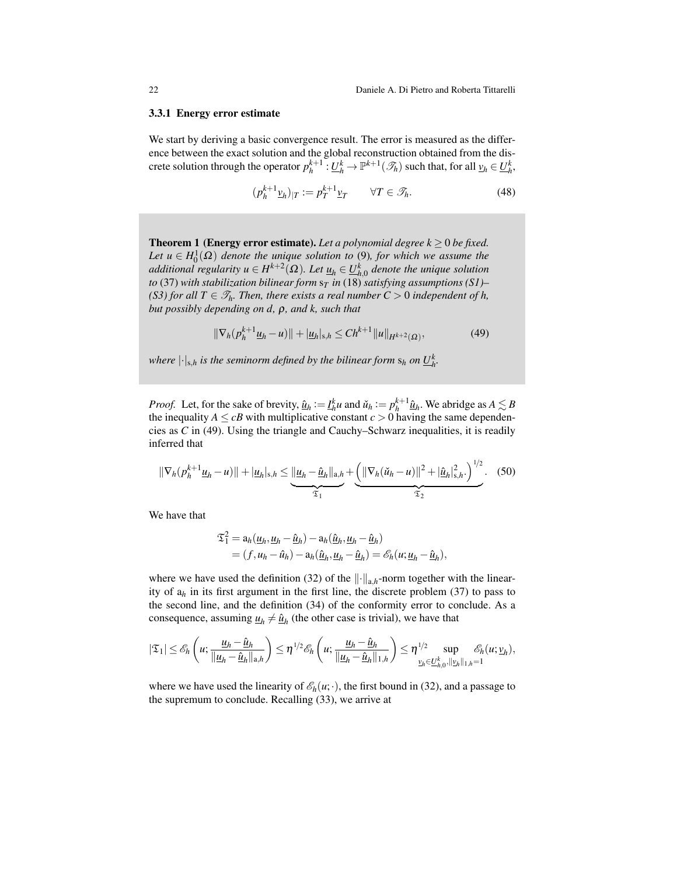#### 3.3.1 Energy error estimate

We start by deriving a basic convergence result. The error is measured as the difference between the exact solution and the global reconstruction obtained from the discrete solution through the operator  $p_h^{k+1}$ :  $\underline{U}_h^k \to \mathbb{P}^{k+1}(\mathcal{I}_h)$  such that, for all  $\underline{v}_h \in \underline{U}_h^k$ ,

$$
(p_h^{k+1} \underline{v}_h)_{|T} := p_T^{k+1} \underline{v}_T \qquad \forall T \in \mathcal{T}_h. \tag{48}
$$

<span id="page-21-0"></span>**Theorem 1 (Energy error estimate).** Let a polynomial degree  $k \geq 0$  be fixed. *Let*  $u \in H_0^1(\Omega)$  *denote the unique solution to* [\(9\)](#page-9-6)*, for which we assume the additional regularity*  $u \in H^{k+2}(\Omega)$ *. Let*  $\underline{u}_h \in \underline{U}_{h,0}^k$  *denote the unique solution to* [\(37\)](#page-16-2) *with stabilization bilinear form* s*<sup>T</sup> in* [\(18\)](#page-11-2) *satisfying assumptions (S1)– (S3) for all T*  $\in \mathcal{T}_h$ *. Then, there exists a real number C* > 0 *independent of h, but possibly depending on d,* ρ*, and k, such that*

<span id="page-21-1"></span>
$$
\|\nabla_h (p_h^{k+1} \underline{u}_h - u)\| + |\underline{u}_h|_{s,h} \le Ch^{k+1} \|u\|_{H^{k+2}(\Omega)},
$$
\n(49)

*where*  $|\cdot|_{s,h}$  *is the seminorm defined by the bilinear form*  $s_h$  *on*  $\underline{U}_h^k$ .

*Proof.* Let, for the sake of brevity,  $\hat{\underline{u}}_h := \underline{I}_h^k u$  and  $\check{u}_h := p_h^{k+1} \hat{\underline{u}}_h$ . We abridge as  $A \lesssim B$ the inequality  $A \leq cB$  with multiplicative constant  $c > 0$  having the same dependencies as *C* in [\(49\)](#page-21-1). Using the triangle and Cauchy–Schwarz inequalities, it is readily inferred that

<span id="page-21-2"></span>
$$
\|\nabla_h(p_h^{k+1}\underline{u}_h - u)\| + |\underline{u}_h|_{s,h} \le \underbrace{\|\underline{u}_h - \hat{\underline{u}}_h\|_{a,h}}_{\mathfrak{T}_1} + \underbrace{\left(\|\nabla_h(\check{u}_h - u)\|^2 + |\hat{\underline{u}}_h|_{s,h}^2\right)^{1/2}}_{\mathfrak{T}_2}.\tag{50}
$$

We have that

$$
\mathfrak{I}_{1}^{2} = a_{h}(\underline{u}_{h}, \underline{u}_{h} - \underline{\hat{u}}_{h}) - a_{h}(\underline{\hat{u}}_{h}, \underline{u}_{h} - \underline{\hat{u}}_{h})
$$
  
=  $(f, u_{h} - \hat{u}_{h}) - a_{h}(\underline{\hat{u}}_{h}, \underline{u}_{h} - \underline{\hat{u}}_{h}) = \mathscr{E}_{h}(u; \underline{u}_{h} - \underline{\hat{u}}_{h}),$ 

where we have used the definition [\(32\)](#page-15-1) of the  $\|\cdot\|_{a,h}$ -norm together with the linearity of a*<sup>h</sup>* in its first argument in the first line, the discrete problem [\(37\)](#page-16-2) to pass to the second line, and the definition [\(34\)](#page-15-4) of the conformity error to conclude. As a consequence, assuming  $\underline{u}_h \neq \hat{\underline{u}}_h$  (the other case is trivial), we have that

$$
|\mathfrak{T}_1|\leq \mathscr{E}_h\left(u;\frac{\underline{u}_h-\hat{\underline{u}}_h}{\|\underline{u}_h-\hat{\underline{u}}_h\|_{a,h}}\right)\leq \eta^{1/2}\mathscr{E}_h\left(u;\frac{\underline{u}_h-\hat{\underline{u}}_h}{\|\underline{u}_h-\hat{\underline{u}}_h\|_{1,h}}\right)\leq \eta^{1/2}\sup_{\underline{v}_h\in \underline{U}_{h,0}^k, \|\underline{v}_h\|_{1,h}=1}\mathscr{E}_h(u;\underline{v}_h),
$$

where we have used the linearity of  $\mathcal{E}_h(u; \cdot)$ , the first bound in [\(32\)](#page-15-1), and a passage to the supremum to conclude. Recalling [\(33\)](#page-15-2), we arrive at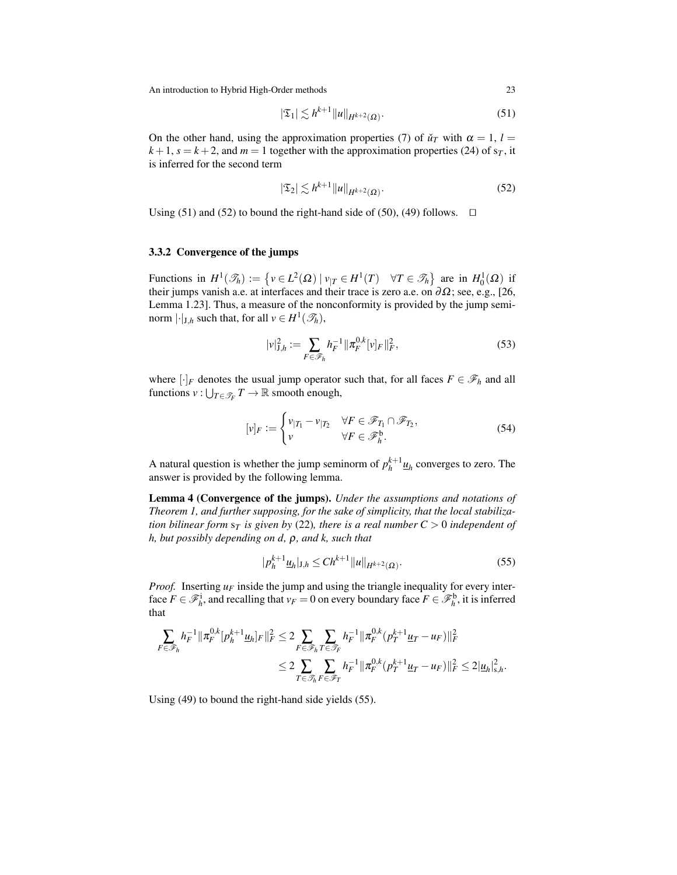<span id="page-22-0"></span>
$$
|\mathfrak{T}_1| \lesssim h^{k+1} ||u||_{H^{k+2}(\Omega)}.
$$
\n(51)

On the other hand, using the approximation properties [\(7\)](#page-8-3) of  $\tilde{u}_T$  with  $\alpha = 1$ ,  $l =$  $k+1$ ,  $s = k+2$ , and  $m = 1$  together with the approximation properties [\(24\)](#page-13-0) of  $s<sub>T</sub>$ , it is inferred for the second term

<span id="page-22-1"></span>
$$
|\mathfrak{T}_2| \lesssim h^{k+1} ||u||_{H^{k+2}(\Omega)}.
$$
\n
$$
(52)
$$

Using [\(51\)](#page-22-0) and [\(52\)](#page-22-1) to bound the right-hand side of [\(50\)](#page-21-2), [\(49\)](#page-21-1) follows.  $\Box$ 

#### 3.3.2 Convergence of the jumps

Functions in  $H^1(\mathcal{I}_h) := \{ v \in L^2(\Omega) \mid v_{|T} \in H^1(T) \quad \forall T \in \mathcal{I}_h \}$  are in  $H_0^1(\Omega)$  if their jumps vanish a.e. at interfaces and their trace is zero a.e. on  $\partial\Omega$ ; see, e.g., [\[26,](#page-48-14) Lemma 1.23]. Thus, a measure of the nonconformity is provided by the jump seminorm  $|\cdot|_{J,h}$  such that, for all  $v \in H^1(\mathcal{I}_h)$ ,

$$
|\nu|_{J,h}^2 := \sum_{F \in \mathscr{F}_h} h_F^{-1} ||\pi_F^{0,k} [\nu]_F ||_F^2, \tag{53}
$$

where  $[\cdot]_F$  denotes the usual jump operator such that, for all faces  $F \in \mathcal{F}_h$  and all functions  $v: \bigcup_{T \in \mathcal{T}_F} T \to \mathbb{R}$  smooth enough,

<span id="page-22-4"></span><span id="page-22-3"></span>
$$
[v]_F := \begin{cases} v_{|T_1} - v_{|T_2} & \forall F \in \mathscr{F}_{T_1} \cap \mathscr{F}_{T_2}, \\ v & \forall F \in \mathscr{F}_h^{\mathsf{b}}.\end{cases} \tag{54}
$$

A natural question is whether the jump seminorm of  $p_h^{k+1} \underline{u}_h$  converges to zero. The answer is provided by the following lemma.

Lemma 4 (Convergence of the jumps). *Under the assumptions and notations of Theorem [1,](#page-21-0) and further supposing, for the sake of simplicity, that the local stabilization bilinear form*  $s_T$  *is given by* [\(22\)](#page-12-3)*, there is a real number C > 0 independent of h, but possibly depending on d,* ρ*, and k, such that*

<span id="page-22-2"></span>
$$
|p_h^{k+1} \underline{u}_h|_{\mathbf{J},h} \le C h^{k+1} \|u\|_{H^{k+2}(\Omega)}.
$$
\n(55)

*Proof.* Inserting *u<sup>F</sup>* inside the jump and using the triangle inequality for every interface  $F \in \mathcal{F}_h^i$ , and recalling that  $v_F = 0$  on every boundary face  $F \in \mathcal{F}_h^b$ , it is inferred that

$$
\begin{aligned} \sum_{F \in \mathscr{F}_h} h_F^{-1} ||\pi_F^{0,k} [p_h^{k+1} \underline{u}_h]_F ||_F^2 &\leq 2 \sum_{F \in \mathscr{F}_h} \sum_{T \in \mathscr{F}_F} h_F^{-1} ||\pi_F^{0,k} (p_T^{k+1} \underline{u}_T - u_F) ||_F^2 \\ &\leq 2 \sum_{T \in \mathscr{F}_h} \sum_{F \in \mathscr{F}_T} h_F^{-1} ||\pi_F^{0,k} (p_T^{k+1} \underline{u}_T - u_F) ||_F^2 \leq 2 |\underline{u}_h|_{s,h}^2. \end{aligned}
$$

Using [\(49\)](#page-21-1) to bound the right-hand side yields [\(55\)](#page-22-2).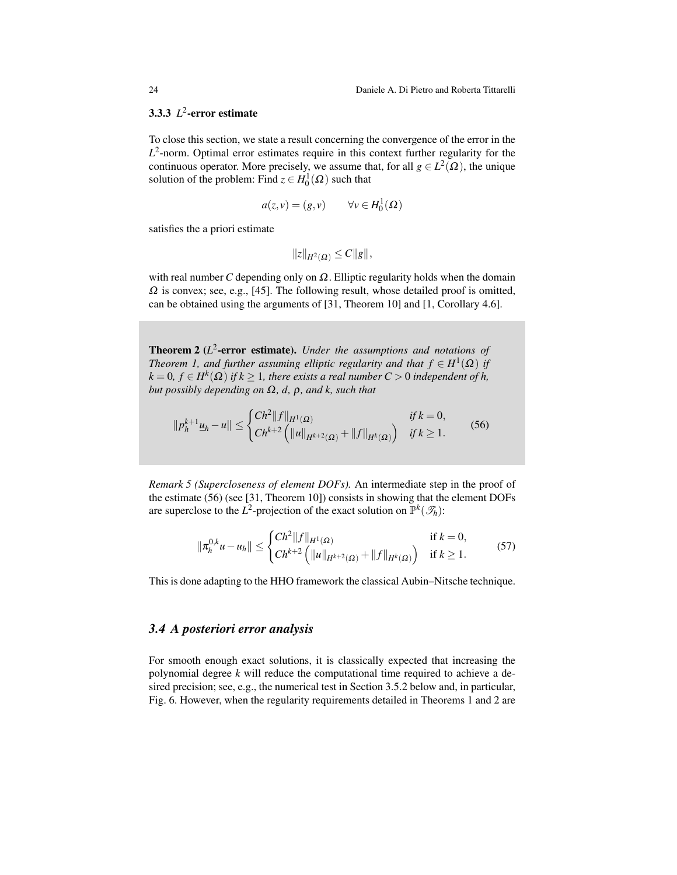# 3.3.3 *L* 2 -error estimate

To close this section, we state a result concerning the convergence of the error in the  $L^2$ -norm. Optimal error estimates require in this context further regularity for the continuous operator. More precisely, we assume that, for all  $g \in L^2(\Omega)$ , the unique solution of the problem: Find  $z \in H_0^1(\Omega)$  such that

$$
a(z,v) = (g,v) \qquad \forall v \in H_0^1(\Omega)
$$

satisfies the a priori estimate

$$
||z||_{H^2(\Omega)} \leq C||g||,
$$

with real number *C* depending only on  $\Omega$ . Elliptic regularity holds when the domain  $\Omega$  is convex; see, e.g., [\[45\]](#page-48-18). The following result, whose detailed proof is omitted, can be obtained using the arguments of [\[31,](#page-48-1) Theorem 10] and [\[1,](#page-46-0) Corollary 4.6].

<span id="page-23-1"></span>Theorem 2 (*L* 2 -error estimate). *Under the assumptions and notations of Theorem [1,](#page-21-0) and further assuming elliptic regularity and that*  $f \in H^1(\Omega)$  *if*  $k = 0, f \in H^k(\Omega)$  *if*  $k \geq 1$ *, there exists a real number*  $C > 0$  *independent of h, but possibly depending on* Ω*, d,* ρ*, and k, such that*

<span id="page-23-2"></span>
$$
||p_h^{k+1} \underline{u}_h - u|| \leq \begin{cases} Ch^2 ||f||_{H^1(\Omega)} & \text{if } k = 0, \\ Ch^{k+2} \left( ||u||_{H^{k+2}(\Omega)} + ||f||_{H^k(\Omega)} \right) & \text{if } k \geq 1. \end{cases} \tag{56}
$$

*Remark 5 (Supercloseness of element DOFs).* An intermediate step in the proof of the estimate [\(56\)](#page-23-2) (see [\[31,](#page-48-1) Theorem 10]) consists in showing that the element DOFs are superclose to the  $L^2$ -projection of the exact solution on  $\mathbb{P}^k(\mathcal{I}_h)$ :

<span id="page-23-3"></span>
$$
\|\pi_h^{0,k}u - u_h\| \le \begin{cases} Ch^2 \|f\|_{H^1(\Omega)} & \text{if } k = 0, \\ Ch^{k+2} \left( \|u\|_{H^{k+2}(\Omega)} + \|f\|_{H^k(\Omega)} \right) & \text{if } k \ge 1. \end{cases}
$$
(57)

This is done adapting to the HHO framework the classical Aubin–Nitsche technique.

### <span id="page-23-0"></span>*3.4 A posteriori error analysis*

For smooth enough exact solutions, it is classically expected that increasing the polynomial degree *k* will reduce the computational time required to achieve a desired precision; see, e.g., the numerical test in Section [3.5.2](#page-30-1) below and, in particular, Fig. [6.](#page-32-0) However, when the regularity requirements detailed in Theorems [1](#page-21-0) and [2](#page-23-1) are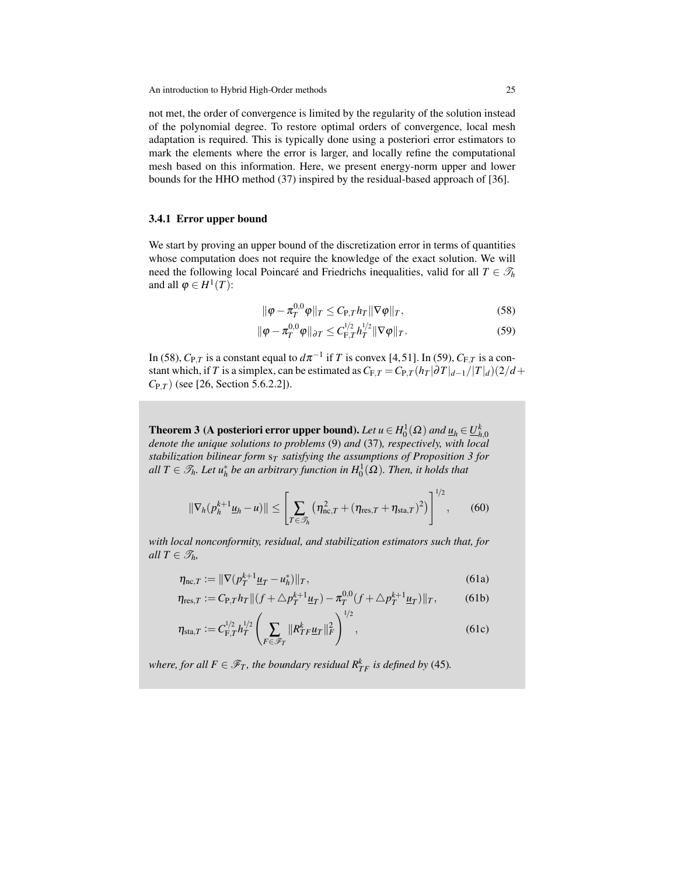not met, the order of convergence is limited by the regularity of the solution instead of the polynomial degree. To restore optimal orders of convergence, local mesh adaptation is required. This is typically done using a posteriori error estimators to mark the elements where the error is larger, and locally refine the computational mesh based on this information. Here, we present energy-norm upper and lower bounds for the HHO method [\(37\)](#page-16-2) inspired by the residual-based approach of [\[36\]](#page-48-6).

#### 3.4.1 Error upper bound

We start by proving an upper bound of the discretization error in terms of quantities whose computation does not require the knowledge of the exact solution. We will need the following local Poincaré and Friedrichs inequalities, valid for all  $T \in \mathcal{T}_h$ and all  $\varphi \in H^1(T)$ :

<span id="page-24-1"></span><span id="page-24-0"></span>
$$
\|\varphi - \pi_T^{0,0}\varphi\|_T \le C_{\mathcal{P},T} h_T \|\nabla \varphi\|_T, \tag{58}
$$

$$
\|\varphi - \pi_T^{0,0}\varphi\|_{\partial T} \leq C_{\mathrm{F},T}^{1/2} h_T^{1/2} \|\nabla \varphi\|_T.
$$
 (59)

In [\(58\)](#page-24-0),  $C_{P,T}$  is a constant equal to  $d\pi^{-1}$  if  $T$  is convex [\[4,](#page-47-19)[51\]](#page-49-3). In [\(59\)](#page-24-1),  $C_{F,T}$  is a constant which, if *T* is a simplex, can be estimated as  $C_{F,T} = C_{P,T} (h_T | \partial T |_{d-1} / |T|_d) (2/d +$ *C*P,*<sup>T</sup>* ) (see [\[26,](#page-48-14) Section 5.6.2.2]).

<span id="page-24-5"></span>Theorem 3 (A posteriori error upper bound). Let  $u \in H_0^1(\Omega)$  and  $\underline{u}_h \in \underline{U}_{h,0}^k$ *denote the unique solutions to problems* [\(9\)](#page-9-6) *and* [\(37\)](#page-16-2)*, respectively, with local stabilization bilinear form* s*<sup>T</sup> satisfying the assumptions of Proposition [3](#page-18-3) for all*  $T \in \mathscr{T}_h$ *. Let*  $u_h^*$  *be an arbitrary function in*  $H_0^1(\Omega)$ *. Then, it holds that* 

<span id="page-24-6"></span>
$$
\|\nabla_h(p_h^{k+1}\underline{u}_h-\underline{u})\| \le \left[\sum_{T\in\mathscr{T}_h} \left(\eta_{\text{nc},T}^2+(\eta_{\text{res},T}+\eta_{\text{sta},T})^2\right)\right]^{1/2},\tag{60}
$$

*with local nonconformity, residual, and stabilization estimators such that, for all*  $T \in \mathcal{T}_h$ *,* 

<span id="page-24-2"></span>
$$
\eta_{\text{nc},T} := \|\nabla (p_T^{k+1} \underline{u}_T - u_h^*)\|_T,\tag{61a}
$$

<span id="page-24-3"></span>
$$
\eta_{\text{res},T} := C_{P,T} h_T \| (f + \triangle p_T^{k+1} \underline{u}_T) - \pi_T^{0,0} (f + \triangle p_T^{k+1} \underline{u}_T) \|_T, \tag{61b}
$$

<span id="page-24-4"></span>
$$
\eta_{\text{sta},T} := C_{F,T}^{1/2} h_T^{1/2} \left( \sum_{F \in \mathscr{F}_T} \|R_{TF}^k \underline{u}_T\|_F^2 \right)^{1/2},\tag{61c}
$$

*where, for all*  $F \in \mathscr{F}_T$ *, the boundary residual*  $R^k_{TF}$  *is defined by* [\(45\)](#page-19-0).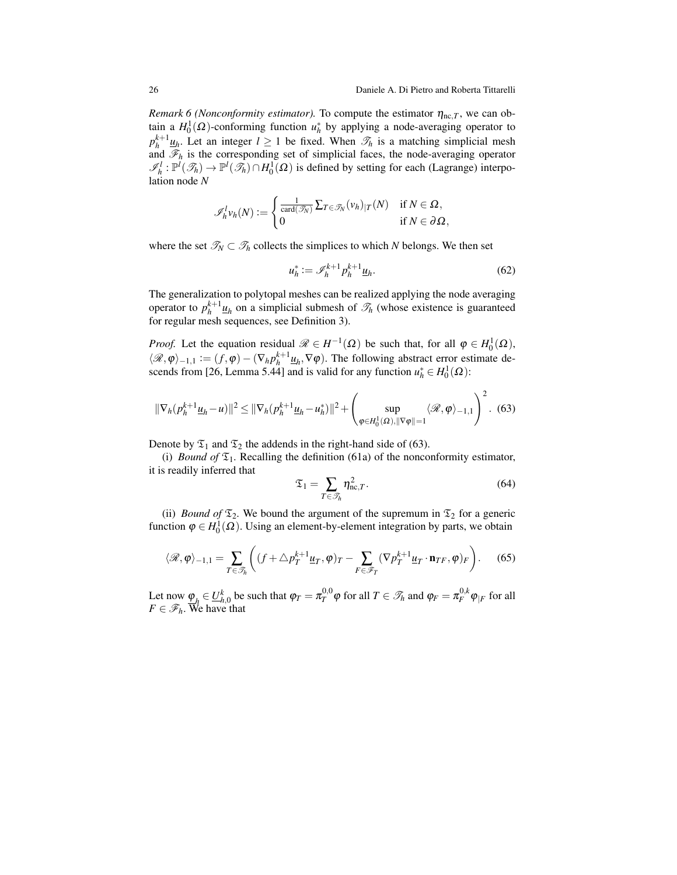*Remark 6 (Nonconformity estimator)*. To compute the estimator  $\eta_{nc,T}$ , we can obtain a  $H_0^1(\Omega)$ -conforming function  $u_h^*$  by applying a node-averaging operator to  $p_h^{k+1}$  *u<sub>h</sub>*. Let an integer *l* ≥ 1 be fixed. When  $\mathcal{T}_h$  is a matching simplicial mesh and  $\mathscr{F}_h$  is the corresponding set of simplicial faces, the node-averaging operator  $\mathscr{I}_h^l: \mathbb{P}^l(\mathscr{T}_h) \to \mathbb{P}^l(\mathscr{T}_h) \cap H_0^l(\Omega)$  is defined by setting for each (Lagrange) interpolation node *N*

$$
\mathscr{I}_h^l v_h(N) := \begin{cases} \frac{1}{\text{card}(\mathscr{T}_N)} \sum_{T \in \mathscr{T}_N} (v_h)_{|T}(N) & \text{if } N \in \Omega, \\ 0 & \text{if } N \in \partial \Omega, \end{cases}
$$

where the set  $\mathcal{T}_N \subset \mathcal{T}_h$  collects the simplices to which *N* belongs. We then set

$$
u_h^* := \mathcal{I}_h^{k+1} p_h^{k+1} \underline{u}_h. \tag{62}
$$

The generalization to polytopal meshes can be realized applying the node averaging operator to  $p_h^{k+1} \underline{u}_h$  on a simplicial submesh of  $\mathcal{T}_h$  (whose existence is guaranteed for regular mesh sequences, see Definition [3\)](#page-6-2).

*Proof.* Let the equation residual  $\mathcal{R} \in H^{-1}(\Omega)$  be such that, for all  $\varphi \in H_0^1(\Omega)$ ,  $\langle \mathcal{R}, \varphi \rangle_{-1,1} := (f, \varphi) - (\nabla_h p_h^{k+1} \underline{u}_h, \nabla \varphi)$ . The following abstract error estimate de-scends from [\[26,](#page-48-14) Lemma 5.44] and is valid for any function  $u_h^* \in H_0^1(\Omega)$ :

<span id="page-25-0"></span>
$$
\|\nabla_h (p_h^{k+1} \underline{u}_h - u)\|^2 \le \|\nabla_h (p_h^{k+1} \underline{u}_h - u_h^*)\|^2 + \left(\sup_{\varphi \in H_0^1(\Omega), \|\nabla \varphi\| = 1} \langle \mathcal{R}, \varphi \rangle_{-1, 1}\right)^2. (63)
$$

Denote by  $\mathfrak{T}_1$  and  $\mathfrak{T}_2$  the addends in the right-hand side of [\(63\)](#page-25-0).

(i) *Bound of*  $\mathfrak{T}_1$ . Recalling the definition [\(61a\)](#page-24-2) of the nonconformity estimator, it is readily inferred that

<span id="page-25-2"></span>
$$
\mathfrak{T}_1 = \sum_{T \in \mathcal{T}_h} \eta_{\text{nc},T}^2.
$$
 (64)

(ii) *Bound of*  $\mathfrak{T}_2$ . We bound the argument of the supremum in  $\mathfrak{T}_2$  for a generic function  $\varphi \in H_0^1(\Omega)$ . Using an element-by-element integration by parts, we obtain

<span id="page-25-1"></span>
$$
\langle \mathcal{R}, \varphi \rangle_{-1,1} = \sum_{T \in \mathcal{F}_h} \left( (f + \triangle p_T^{k+1} \underline{u}_T, \varphi)_T - \sum_{F \in \mathcal{F}_T} (\nabla p_T^{k+1} \underline{u}_T \cdot \mathbf{n}_{TF}, \varphi)_F \right). \tag{65}
$$

Let now  $\varphi_{h} \in \mathcal{U}_{h,0}^{k}$  be such that  $\varphi_{T} = \pi_{T}^{0,0} \varphi$  for all  $T \in \mathcal{I}_{h}$  and  $\varphi_{F} = \pi_{F}^{0,k} \varphi_{|F}$  for all  $F \in \mathscr{F}_h$ . We have that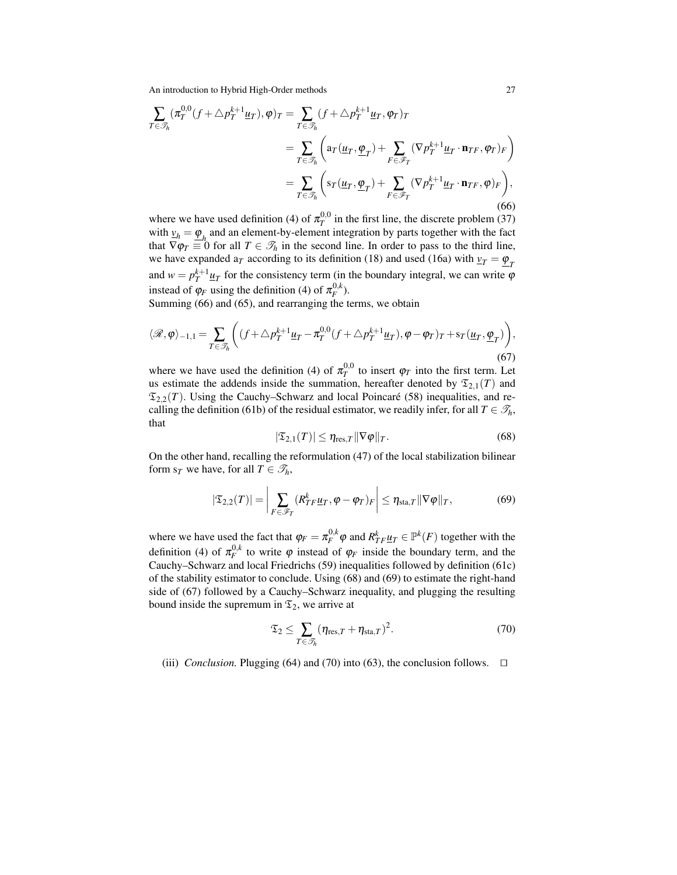<span id="page-26-0"></span>
$$
\sum_{T \in \mathcal{T}_h} (\pi_T^{0,0}(f + \triangle p_T^{k+1} \underline{u}_T), \varphi)_T = \sum_{T \in \mathcal{T}_h} (f + \triangle p_T^{k+1} \underline{u}_T, \varphi_T)_T
$$
\n
$$
= \sum_{T \in \mathcal{T}_h} \left( \operatorname{ar}( \underline{u}_T, \underline{\varphi}_T) + \sum_{F \in \mathcal{F}_T} (\nabla p_T^{k+1} \underline{u}_T \cdot \mathbf{n}_{TF}, \varphi_T)_F \right)
$$
\n
$$
= \sum_{T \in \mathcal{T}_h} \left( \operatorname{sr}( \underline{u}_T, \underline{\varphi}_T) + \sum_{F \in \mathcal{F}_T} (\nabla p_T^{k+1} \underline{u}_T \cdot \mathbf{n}_{TF}, \varphi)_F \right), \tag{66}
$$

where we have used definition [\(4\)](#page-7-1) of  $\pi_T^{0,0}$  in the first line, the discrete problem [\(37\)](#page-16-2) with  $v_h = \underline{\varphi}_h$  and an element-by-element integration by parts together with the fact that  $\nabla \varphi_T \equiv 0$  for all  $T \in \mathcal{T}_h$  in the second line. In order to pass to the third line, we have expanded a<sub>T</sub> according to its definition [\(18\)](#page-11-2) and used [\(16a\)](#page-11-4) with  $v_T = \underline{\varphi}_T$ and  $w = p_T^{k+1} \underline{u}_T$  for the consistency term (in the boundary integral, we can write  $\varphi$ instead of  $\varphi_F$  using the definition [\(4\)](#page-7-1) of  $\pi_F^{0,k}$ ).

Summing [\(66\)](#page-26-0) and [\(65\)](#page-25-1), and rearranging the terms, we obtain

<span id="page-26-3"></span>
$$
\langle \mathcal{R}, \varphi \rangle_{-1,1} = \sum_{T \in \mathcal{F}_h} \left( (f + \triangle p_T^{k+1} \underline{u}_T - \pi_T^{0,0} (f + \triangle p_T^{k+1} \underline{u}_T), \varphi - \varphi_T) \frac{T + s_T(\underline{u}_T, \underline{\varphi}_T)}{S(T)} \right),\tag{67}
$$

where we have used the definition [\(4\)](#page-7-1) of  $\pi_T^{0,0}$  to insert  $\varphi_T$  into the first term. Let us estimate the addends inside the summation, hereafter denoted by  $\mathfrak{T}_{2,1}(T)$  and  $\mathfrak{T}_{2,2}(T)$ . Using the Cauchy–Schwarz and local Poincaré [\(58\)](#page-24-0) inequalities, and re-calling the definition [\(61b\)](#page-24-3) of the residual estimator, we readily infer, for all  $T \in \mathcal{T}_h$ , that

<span id="page-26-1"></span>
$$
|\mathfrak{T}_{2,1}(T)| \leq \eta_{\text{res},T} \|\nabla \varphi\|_T. \tag{68}
$$

On the other hand, recalling the reformulation [\(47\)](#page-20-3) of the local stabilization bilinear form  $s_T$  we have, for all  $T \in \mathcal{T}_h$ ,

<span id="page-26-2"></span>
$$
|\mathfrak{T}_{2,2}(T)| = \left| \sum_{F \in \mathscr{F}_T} (R_{TF}^k \underline{u}_T, \varphi - \varphi_T)_F \right| \le \eta_{\text{sta},T} \|\nabla \varphi\|_T, \tag{69}
$$

where we have used the fact that  $\varphi_F = \pi_F^{0,k} \varphi$  and  $R_{TF}^k \underline{u}_T \in \mathbb{P}^k(F)$  together with the definition [\(4\)](#page-7-1) of  $\pi_F^{0,k}$  to write  $\varphi$  instead of  $\varphi_F$  inside the boundary term, and the Cauchy–Schwarz and local Friedrichs [\(59\)](#page-24-1) inequalities followed by definition [\(61c\)](#page-24-4) of the stability estimator to conclude. Using [\(68\)](#page-26-1) and [\(69\)](#page-26-2) to estimate the right-hand side of [\(67\)](#page-26-3) followed by a Cauchy–Schwarz inequality, and plugging the resulting bound inside the supremum in  $\mathfrak{T}_2$ , we arrive at

<span id="page-26-4"></span>
$$
\mathfrak{T}_2 \leq \sum_{T \in \mathcal{T}_h} (\eta_{\text{res},T} + \eta_{\text{sta},T})^2.
$$
 (70)

(iii) *Conclusion*. Plugging [\(64\)](#page-25-2) and [\(70\)](#page-26-4) into [\(63\)](#page-25-0), the conclusion follows.  $\Box$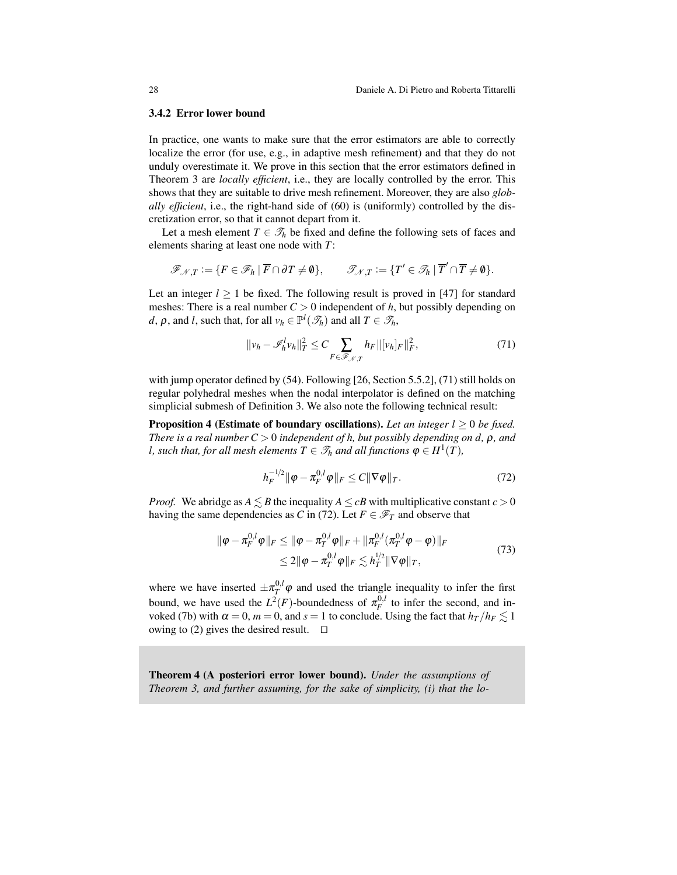#### 3.4.2 Error lower bound

In practice, one wants to make sure that the error estimators are able to correctly localize the error (for use, e.g., in adaptive mesh refinement) and that they do not unduly overestimate it. We prove in this section that the error estimators defined in Theorem [3](#page-24-5) are *locally efficient*, i.e., they are locally controlled by the error. This shows that they are suitable to drive mesh refinement. Moreover, they are also *globally efficient*, i.e., the right-hand side of [\(60\)](#page-24-6) is (uniformly) controlled by the discretization error, so that it cannot depart from it.

Let a mesh element  $T \in \mathcal{T}_h$  be fixed and define the following sets of faces and elements sharing at least one node with *T*:

$$
\mathscr{F}_{\mathscr{N},T} := \{ F \in \mathscr{F}_h \mid \overline{F} \cap \partial T \neq \emptyset \}, \qquad \mathscr{T}_{\mathscr{N},T} := \{ T' \in \mathscr{T}_h \mid \overline{T}' \cap \overline{T} \neq \emptyset \}.
$$

Let an integer  $l > 1$  be fixed. The following result is proved in [\[47\]](#page-48-19) for standard meshes: There is a real number  $C > 0$  independent of  $h$ , but possibly depending on *d*,  $\rho$ , and *l*, such that, for all  $v_h \in \mathbb{P}^l(\mathcal{F}_h)$  and all  $T \in \mathcal{F}_h$ ,

<span id="page-27-0"></span>
$$
||v_h - \mathscr{I}_h^l v_h||_T^2 \le C \sum_{F \in \mathscr{F}_{\mathscr{N},T}} h_F ||[v_h]_F||_F^2, \tag{71}
$$

with jump operator defined by [\(54\)](#page-22-3). Following [\[26,](#page-48-14) Section 5.5.2], [\(71\)](#page-27-0) still holds on regular polyhedral meshes when the nodal interpolator is defined on the matching simplicial submesh of Definition [3.](#page-6-2) We also note the following technical result:

**Proposition 4 (Estimate of boundary oscillations).** Let an integer  $l \geq 0$  be fixed. *There is a real number C* > 0 *independent of h, but possibly depending on d,* ρ*, and l*, such that, for all mesh elements  $T \in \mathcal{T}_h$  and all functions  $\varphi \in H^1(T)$ ,

<span id="page-27-1"></span>
$$
h_F^{-1/2} \|\varphi - \pi_F^{0,l} \varphi\|_F \le C \|\nabla \varphi\|_T. \tag{72}
$$

*Proof.* We abridge as  $A \leq B$  the inequality  $A \leq cB$  with multiplicative constant  $c > 0$ having the same dependencies as *C* in [\(72\)](#page-27-1). Let  $F \in \mathcal{F}_T$  and observe that

$$
\|\varphi - \pi_F^{0,l}\varphi\|_F \le \|\varphi - \pi_T^{0,l}\varphi\|_F + \|\pi_F^{0,l}(\pi_T^{0,l}\varphi - \varphi)\|_F
$$
  

$$
\le 2\|\varphi - \pi_T^{0,l}\varphi\|_F \lesssim h_T^{1/2} \|\nabla\varphi\|_T,
$$
 (73)

where we have inserted  $\pm \pi_T^{0,l} \varphi$  and used the triangle inequality to infer the first bound, we have used the  $L^2(F)$ -boundedness of  $\pi_F^{0,l}$  to infer the second, and in-voked [\(7b\)](#page-8-6) with  $\alpha = 0$ ,  $m = 0$ , and  $s = 1$  to conclude. Using the fact that  $h_T/h_F \lesssim 1$ owing to [\(2\)](#page-6-1) gives the desired result.  $\square$ 

<span id="page-27-2"></span>Theorem 4 (A posteriori error lower bound). *Under the assumptions of Theorem [3,](#page-24-5) and further assuming, for the sake of simplicity, (i) that the lo-*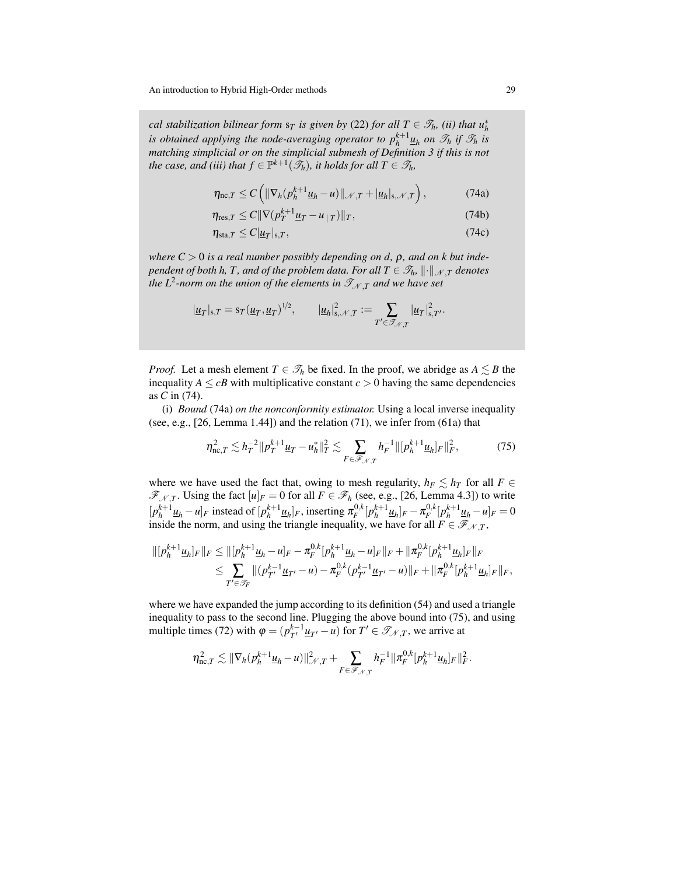*cal stabilization bilinear form*  $s_T$  *is given by* [\(22\)](#page-12-3) *for all*  $T \in \mathcal{T}_h$ *, (ii) that*  $u_h^*$ *is obtained applying the node-averaging operator to*  $p_h^{k+1} \underline{u}_h$  *on*  $\mathscr{T}_h$  *if*  $\mathscr{T}_h$  *<i>is matching simplicial or on the simplicial submesh of Definition [3](#page-6-2) if this is not the case, and (iii) that*  $f \in \mathbb{P}^{k+1}(\mathcal{F}_h)$ *, it holds for all*  $T \in \mathcal{F}_h$ *,* 

<span id="page-28-1"></span><span id="page-28-0"></span>
$$
\eta_{\text{nc},T} \le C \left( \|\nabla_h (p_h^{k+1} \underline{u}_h - u) \|_{\mathcal{N},T} + |\underline{u}_h|_{s,\mathcal{N},T} \right),\tag{74a}
$$

<span id="page-28-3"></span>
$$
\eta_{\text{res},T} \le C \|\nabla (p_T^{k+1} \underline{u}_T - u_{|T})\|_T, \tag{74b}
$$

<span id="page-28-4"></span>
$$
\eta_{\text{sta},T} \le C|\underline{u}_T|_{\text{s},T},\tag{74c}
$$

*where*  $C > 0$  *is a real number possibly depending on d,*  $\rho$ *, and on k but independent of both h, T, and of the problem data. For all*  $T \in \mathcal{T}_h$ *,*  $\|\cdot\|_{\mathcal{N}}$  *<i>T denotes the L*<sup>2</sup>-norm on the union of the elements in  $\mathscr{T}_{\mathscr{N},\mathcal{T}}$  and we have set

$$
|\underline{u}_T|_{s,T} = s_T (\underline{u}_T, \underline{u}_T)^{1/2}, \qquad |\underline{u}_h|_{s,\mathcal{N},T}^2 := \sum_{T' \in \mathcal{T}_{\mathcal{N},T}} |\underline{u}_T|_{s,T'}^2.
$$

*Proof.* Let a mesh element  $T \in \mathcal{T}_h$  be fixed. In the proof, we abridge as  $A \leq B$  the inequality  $A \leq cB$  with multiplicative constant  $c > 0$  having the same dependencies as *C* in [\(74\)](#page-28-0).

(i) *Bound* [\(74a\)](#page-28-1) *on the nonconformity estimator.* Using a local inverse inequality (see, e.g.,  $[26, \text{Lemma } 1.44]$  $[26, \text{Lemma } 1.44]$ ) and the relation  $(71)$ , we infer from  $(61a)$  that

<span id="page-28-2"></span>
$$
\eta_{\text{nc},T}^2 \lesssim h_T^{-2} \| p_T^{k+1} \underline{u}_T - u_h^* \|_T^2 \lesssim \sum_{F \in \mathscr{F}_{\mathscr{N},T}} h_F^{-1} \| [ p_h^{k+1} \underline{u}_h]_F \|_F^2, \tag{75}
$$

where we have used the fact that, owing to mesh regularity,  $h_F \leq h_T$  for all  $F \in$  $\mathscr{F}_{N,T}$ . Using the fact  $[u]_F = 0$  for all  $F \in \mathscr{F}_h$  (see, e.g., [\[26,](#page-48-14) Lemma 4.3]) to write  $[p_h^{k+1} \underline{u}_h - u]_F$  instead of  $[p_h^{k+1} \underline{u}_h]_F$ , inserting  $\pi_F^{0,k} [p_h^{k+1} \underline{u}_h]_F - \pi_F^{0,k} [p_h^{k+1} \underline{u}_h - u]_F = 0$ inside the norm, and using the triangle inequality, we have for all  $F \in \mathcal{F}_{N,T}$ ,

$$
\| [p_h^{k+1} \underline{u}_h]_F \|_F \le \| [p_h^{k+1} \underline{u}_h - u]_F - \pi_F^{0,k} [p_h^{k+1} \underline{u}_h - u]_F \|_F + \| \pi_F^{0,k} [p_h^{k+1} \underline{u}_h]_F \|_F
$$
  

$$
\le \sum_{T' \in \mathcal{F}_F} \| (p_{T'}^{k-1} \underline{u}_{T'} - u) - \pi_F^{0,k} (p_{T'}^{k-1} \underline{u}_{T'} - u) \|_F + \| \pi_F^{0,k} [p_h^{k+1} \underline{u}_h]_F \|_F,
$$

where we have expanded the jump according to its definition [\(54\)](#page-22-3) and used a triangle inequality to pass to the second line. Plugging the above bound into [\(75\)](#page-28-2), and using multiple times [\(72\)](#page-27-1) with  $\varphi = (p_{T'}^{k-1} \underline{u}_{T'} - u)$  for  $T' \in \mathcal{T}_{\mathcal{N},T}$ , we arrive at

$$
\eta_{\text{nc},T}^2 \lesssim \|\nabla_h (p_h^{k+1} \underline{u}_h - u)\|_{\mathcal{N},T}^2 + \sum_{F \in \mathscr{F}_{\mathcal{N},T}} h_F^{-1} \|\pi_F^{0,k} [p_h^{k+1} \underline{u}_h]_F\|_F^2.
$$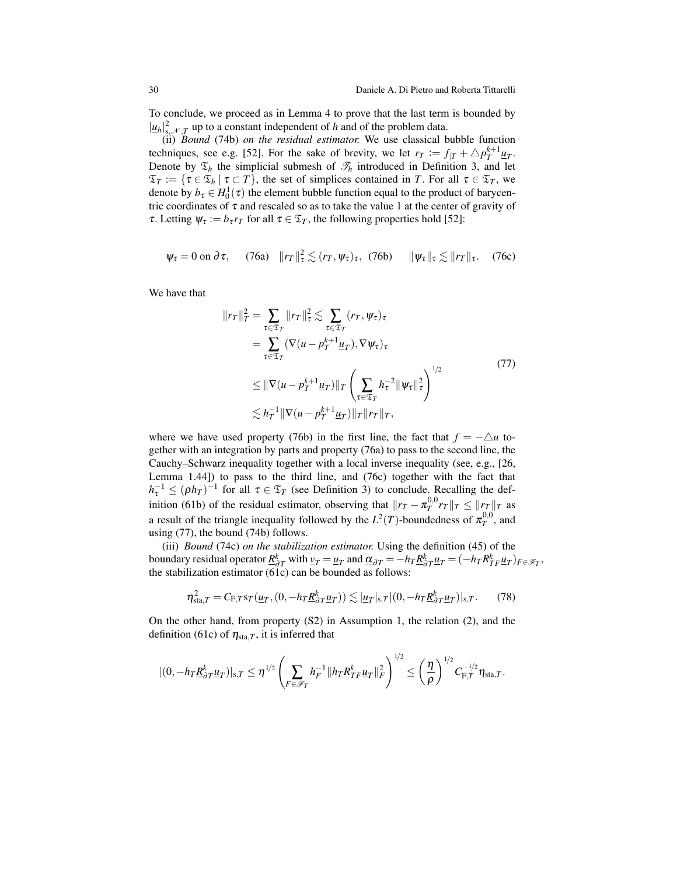To conclude, we proceed as in Lemma [4](#page-22-4) to prove that the last term is bounded by  $|\mu_h|_{s,\mathcal{N},T}^2$  up to a constant independent of *h* and of the problem data.

(ii) *Bound* [\(74b\)](#page-28-3) *on the residual estimator.* We use classical bubble function techniques, see e.g. [\[52\]](#page-49-4). For the sake of brevity, we let  $r_T := f_{|T} + \Delta p_T^{k+1} \mu_T$ . Denote by  $\mathfrak{T}_h$  the simplicial submesh of  $\mathfrak{T}_h$  introduced in Definition [3,](#page-6-2) and let  $\mathfrak{T}_T := \{ \tau \in \mathfrak{T}_h \mid \tau \subset T \}$ , the set of simplices contained in *T*. For all  $\tau \in \mathfrak{T}_T$ , we denote by  $b_{\tau} \in H_0^1(\tau)$  the element bubble function equal to the product of barycentric coordinates of  $\tau$  and rescaled so as to take the value 1 at the center of gravity of *τ*. Letting  $ψ<sub>τ</sub> := b<sub>τ</sub>r<sub>T</sub>$  for all  $τ ∈ ξ<sub>T</sub>$ , the following properties hold [\[52\]](#page-49-4):

<span id="page-29-1"></span>
$$
\psi_{\tau} = 0 \text{ on } \partial \tau, \quad (76a) \quad ||r_T||_{\tau}^2 \lesssim (r_T, \psi_{\tau})_{\tau}, \quad (76b) \quad ||\psi_{\tau}||_{\tau} \lesssim ||r_T||_{\tau}. \quad (76c)
$$

We have that

<span id="page-29-3"></span><span id="page-29-2"></span><span id="page-29-0"></span>
$$
||r_T||_T^2 = \sum_{\tau \in \mathfrak{T}_T} ||r_T||_{\tau}^2 \lesssim \sum_{\tau \in \mathfrak{T}_T} (r_T, \psi_{\tau})_{\tau}
$$
  
\n
$$
= \sum_{\tau \in \mathfrak{T}_T} (\nabla (u - p_T^{k+1} \underline{u}_T), \nabla \psi_{\tau})_{\tau}
$$
  
\n
$$
\leq ||\nabla (u - p_T^{k+1} \underline{u}_T)||_T \left( \sum_{\tau \in \mathfrak{T}_T} h_{\tau}^{-2} ||\psi_{\tau}||_{\tau}^2 \right)^{1/2}
$$
  
\n
$$
\lesssim h_T^{-1} ||\nabla (u - p_T^{k+1} \underline{u}_T)||_T ||r_T||_T,
$$
\n(77)

where we have used property [\(76b\)](#page-29-0) in the first line, the fact that  $f = -\Delta u$  together with an integration by parts and property [\(76a\)](#page-29-1) to pass to the second line, the Cauchy–Schwarz inequality together with a local inverse inequality (see, e.g., [\[26,](#page-48-14) Lemma 1.44]) to pass to the third line, and [\(76c\)](#page-29-2) together with the fact that  $h_{\tau}^{-1} \leq (\rho h_T)^{-1}$  for all  $\tau \in \mathfrak{T}_T$  (see Definition [3\)](#page-6-2) to conclude. Recalling the def-inition [\(61b\)](#page-24-3) of the residual estimator, observing that  $||r_T - \pi_T^{0,0} r_T||_T \le ||r_T||_T$  as a result of the triangle inequality followed by the  $L^2(T)$ -boundedness of  $\pi_T^{0,0}$ , and using [\(77\)](#page-29-3), the bound [\(74b\)](#page-28-3) follows.

(iii) *Bound* [\(74c\)](#page-28-4) *on the stabilization estimator.* Using the definition [\(45\)](#page-19-0) of the boundary residual operator  $\underline{R}^k_{\partial T}$  with  $\underline{v}_T = \underline{u}_T$  and  $\underline{\alpha}_{\partial T} = -h_T \underline{R}^k_{\partial T} \underline{u}_T = (-h_T R^k_{TF} \underline{u}_T)_{F \in \mathscr{F}_T}$ , the stabilization estimator [\(61c\)](#page-24-4) can be bounded as follows:

<span id="page-29-4"></span>
$$
\eta_{\mathrm{sta},T}^2 = C_{\mathrm{F},T}\mathrm{sr}(\underline{u}_T,(0,-h_T\underline{R}_{\partial T}^k\underline{u}_T)) \lesssim |\underline{u}_T|_{\mathrm{s},T}|(0,-h_T\underline{R}_{\partial T}^k\underline{u}_T)|_{\mathrm{s},T}.\tag{78}
$$

On the other hand, from property (S2) in Assumption [1,](#page-11-5) the relation [\(2\)](#page-6-1), and the definition [\(61c\)](#page-24-4) of  $\eta_{sta,T}$ , it is inferred that

$$
|(0,-h_T\underline{R}_{\partial T}^k \underline{u}_T)|_{s,T} \leq \eta^{1/2} \left(\sum_{F \in \mathscr{F}_T} h_F^{-1} \|h_T R_{TF}^k \underline{u}_T\|_F^2\right)^{1/2} \leq \left(\frac{\eta}{\rho}\right)^{1/2} C_{F,T}^{-1/2} \eta_{\text{sta},T}.
$$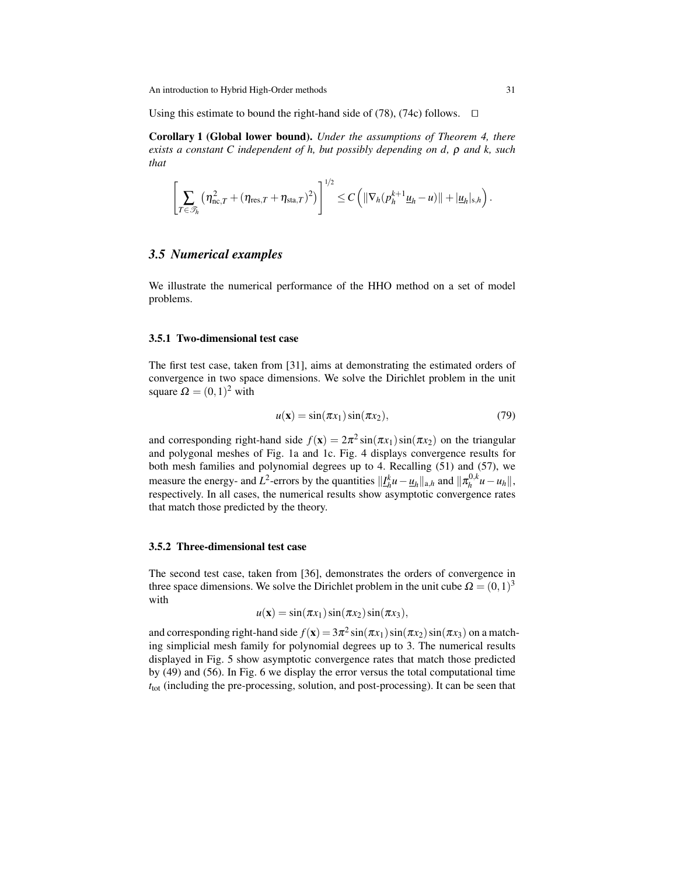Using this estimate to bound the right-hand side of  $(78)$ ,  $(74c)$  follows.  $\Box$ 

Corollary 1 (Global lower bound). *Under the assumptions of Theorem [4,](#page-27-2) there exists a constant C independent of h, but possibly depending on d,* ρ *and k, such that*

$$
\left[\sum_{T\in\mathscr{T}_h}\left(\eta_{\text{nc},T}^2+(\eta_{\text{res},T}+\eta_{\text{sta},T})^2\right)\right]^{1/2}\leq C\left(\|\nabla_h(p_h^{k+1}\underline{u}_h-\underline{u})\|+\|\underline{u}_h\|_{s,h}\right).
$$

## <span id="page-30-0"></span>*3.5 Numerical examples*

We illustrate the numerical performance of the HHO method on a set of model problems.

#### <span id="page-30-2"></span>3.5.1 Two-dimensional test case

The first test case, taken from [\[31\]](#page-48-1), aims at demonstrating the estimated orders of convergence in two space dimensions. We solve the Dirichlet problem in the unit square  $\Omega = (0,1)^2$  with

<span id="page-30-3"></span>
$$
u(\mathbf{x}) = \sin(\pi x_1)\sin(\pi x_2),\tag{79}
$$

and corresponding right-hand side  $f(\mathbf{x}) = 2\pi^2 \sin(\pi x_1) \sin(\pi x_2)$  on the triangular and polygonal meshes of Fig. [1a](#page-4-2) and [1c.](#page-4-2) Fig. [4](#page-31-0) displays convergence results for both mesh families and polynomial degrees up to 4. Recalling [\(51\)](#page-22-0) and [\(57\)](#page-23-3), we measure the energy- and *L*<sup>2</sup>-errors by the quantities  $||I_h^k u - \underline{u}_h||_{a,h}$  and  $||\pi_h^{0,k}||$  $\left| \int_{h}^{0,k} u - u_{h} \right|$ , respectively. In all cases, the numerical results show asymptotic convergence rates that match those predicted by the theory.

### <span id="page-30-1"></span>3.5.2 Three-dimensional test case

The second test case, taken from [\[36\]](#page-48-6), demonstrates the orders of convergence in three space dimensions. We solve the Dirichlet problem in the unit cube  $\Omega = (0,1)^3$ with

$$
u(\mathbf{x}) = \sin(\pi x_1) \sin(\pi x_2) \sin(\pi x_3),
$$

and corresponding right-hand side  $f(\mathbf{x}) = 3\pi^2 \sin(\pi x_1) \sin(\pi x_2) \sin(\pi x_3)$  on a matching simplicial mesh family for polynomial degrees up to 3. The numerical results displayed in Fig. [5](#page-32-1) show asymptotic convergence rates that match those predicted by [\(49\)](#page-21-1) and [\(56\)](#page-23-2). In Fig. [6](#page-32-0) we display the error versus the total computational time *t*tot (including the pre-processing, solution, and post-processing). It can be seen that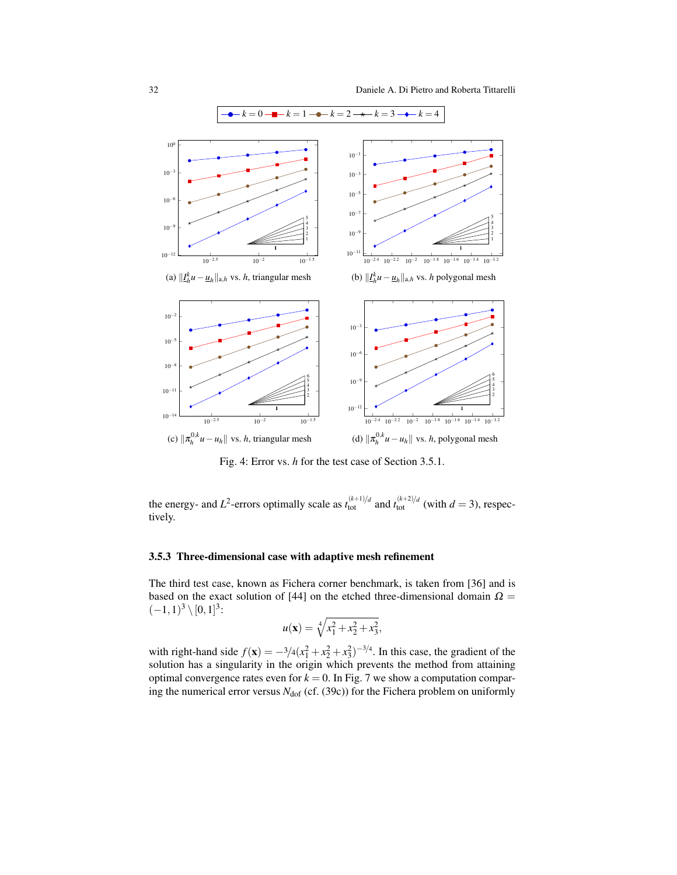<span id="page-31-1"></span><span id="page-31-0"></span>

Fig. 4: Error vs. *h* for the test case of Section [3.5.1.](#page-30-2)

the energy- and  $L^2$ -errors optimally scale as  $t_{\text{tot}}^{(k+1)/d}$  and  $t_{\text{tot}}^{(k+2)/d}$  (with  $d = 3$ ), respectively.

### <span id="page-31-2"></span>3.5.3 Three-dimensional case with adaptive mesh refinement

The third test case, known as Fichera corner benchmark, is taken from [\[36\]](#page-48-6) and is based on the exact solution of [\[44\]](#page-48-20) on the etched three-dimensional domain  $\Omega =$  $(-1,1)^3 \setminus [0,1]^3$ :

$$
u(\mathbf{x}) = \sqrt[4]{x_1^2 + x_2^2 + x_3^2},
$$

with right-hand side  $f(\mathbf{x}) = -\frac{3}{4}(x_1^2 + x_2^2 + x_3^2)^{-\frac{3}{4}}$ . In this case, the gradient of the solution has a singularity in the origin which prevents the method from attaining optimal convergence rates even for  $k = 0$ . In Fig. [7](#page-33-1) we show a computation comparing the numerical error versus  $N_{\text{dof}}$  (cf. [\(39c\)](#page-18-6)) for the Fichera problem on uniformly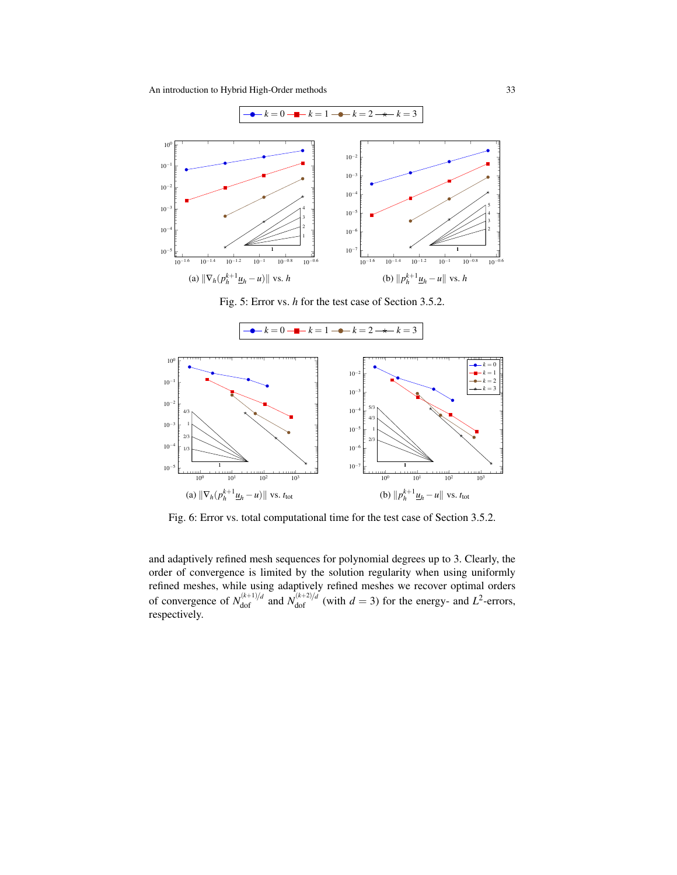<span id="page-32-2"></span><span id="page-32-1"></span>

<span id="page-32-3"></span>Fig. 5: Error vs. *h* for the test case of Section [3.5.2.](#page-30-1)

<span id="page-32-0"></span>

Fig. 6: Error vs. total computational time for the test case of Section [3.5.2.](#page-30-1)

and adaptively refined mesh sequences for polynomial degrees up to 3. Clearly, the order of convergence is limited by the solution regularity when using uniformly refined meshes, while using adaptively refined meshes we recover optimal orders of convergence of  $N_{\text{dof}}^{(k+1)/d}$  and  $N_{\text{dof}}^{(k+2)/d}$  (with  $d = 3$ ) for the energy- and  $L^2$ -errors, respectively.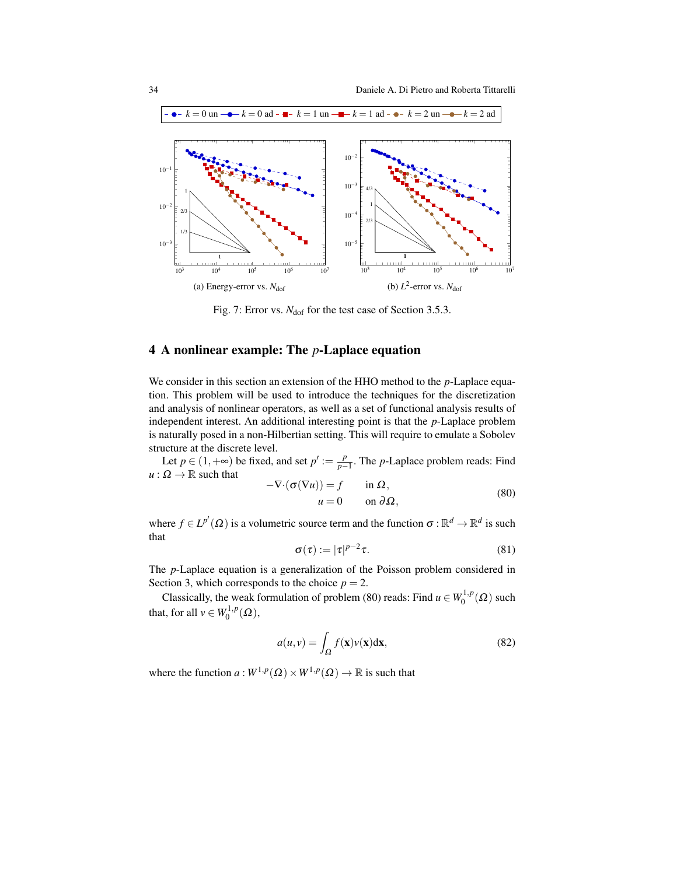<span id="page-33-2"></span><span id="page-33-1"></span>

Fig. 7: Error vs. *N*<sub>dof</sub> for the test case of Section [3.5.3.](#page-31-2)

# <span id="page-33-0"></span>4 A nonlinear example: The *p*-Laplace equation

We consider in this section an extension of the HHO method to the *p*-Laplace equation. This problem will be used to introduce the techniques for the discretization and analysis of nonlinear operators, as well as a set of functional analysis results of independent interest. An additional interesting point is that the *p*-Laplace problem is naturally posed in a non-Hilbertian setting. This will require to emulate a Sobolev structure at the discrete level.

Let  $p \in (1, +\infty)$  be fixed, and set  $p' := \frac{p}{p-1}$ *p*<sup>−1</sup> The *p*-Laplace problem reads: Find  $u : \Omega \to \mathbb{R}$  such that  $-\nabla \cdot (\sigma(\nabla u)) = f$  in

<span id="page-33-3"></span>
$$
\sigma(Vu)) = f \qquad \text{in } \Omega,
$$
  
\n
$$
u = 0 \qquad \text{on } \partial\Omega,
$$
 (80)

where  $f \in L^{p'}(\Omega)$  is a volumetric source term and the function  $\sigma : \mathbb{R}^d \to \mathbb{R}^d$  is such that

$$
\sigma(\tau) := |\tau|^{p-2}\tau. \tag{81}
$$

The *p*-Laplace equation is a generalization of the Poisson problem considered in Section [3,](#page-9-0) which corresponds to the choice  $p = 2$ .

Classically, the weak formulation of problem [\(80\)](#page-33-3) reads: Find  $u \in W_0^{1,p}$  $\binom{1}{0}^{\prime}(\Omega)$  such that, for all  $v \in W_0^{1,p}$  $\mathcal{O}^{1,p}(\Omega),$ 

<span id="page-33-4"></span>
$$
a(u,v) = \int_{\Omega} f(\mathbf{x})v(\mathbf{x})d\mathbf{x},\tag{82}
$$

where the function  $a: W^{1,p}(\Omega) \times W^{1,p}(\Omega) \to \mathbb{R}$  is such that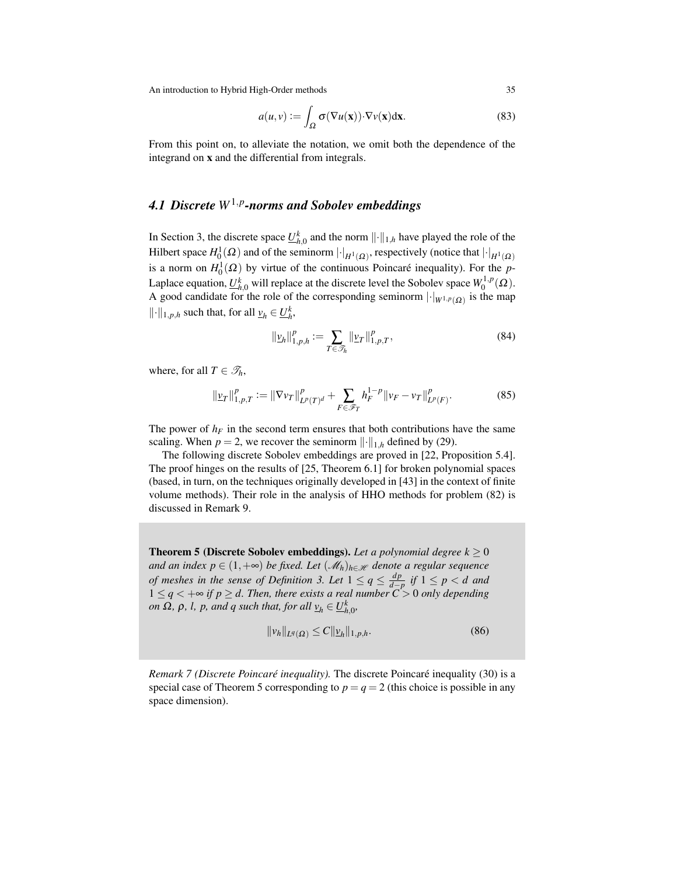<span id="page-34-2"></span>
$$
a(u,v) := \int_{\Omega} \sigma(\nabla u(\mathbf{x})) \cdot \nabla v(\mathbf{x}) d\mathbf{x}.
$$
 (83)

From this point on, to alleviate the notation, we omit both the dependence of the integrand on x and the differential from integrals.

# <span id="page-34-0"></span>*4.1 Discrete W*1,*<sup>p</sup> -norms and Sobolev embeddings*

In Section [3,](#page-9-0) the discrete space  $\underline{U}_{h,0}^k$  and the norm  $\|\cdot\|_{1,h}$  have played the role of the Hilbert space  $H_0^1(\Omega)$  and of the seminorm  $\lvert \cdot \rvert_{H^1(\Omega)}$ , respectively (notice that  $\lvert \cdot \rvert_{H^1(\Omega)}$ is a norm on  $H_0^1(\Omega)$  by virtue of the continuous Poincaré inequality). For the *p*-Laplace equation,  $\underline{U}_{h,0}^k$  will replace at the discrete level the Sobolev space  $W_0^{1,p}$  $\eta_0^{1,p}(\Omega)$ . A good candidate for the role of the corresponding seminorm  $|\cdot|_{W^{1,p}(\Omega)}$  is the map  $\|\cdot\|_{1,p,h}$  such that, for all  $\underline{v}_h \in \underline{U}_h^k$ ,

$$
\|\underline{\nu}_h\|_{1,p,h}^p := \sum_{T \in \mathcal{T}_h} \|\underline{\nu}_T\|_{1,p,T}^p,\tag{84}
$$

where, for all  $T \in \mathcal{T}_h$ ,

$$
\|\underline{\nu}_T\|_{1,p,T}^p := \|\nabla \nu_T\|_{L^p(T)^d}^p + \sum_{F \in \mathscr{F}_T} h_F^{1-p} \|\nu_F - \nu_T\|_{L^p(F)}^p. \tag{85}
$$

The power of  $h_F$  in the second term ensures that both contributions have the same scaling. When  $p = 2$ , we recover the seminorm  $\lVert \cdot \rVert_{1,h}$  defined by [\(29\)](#page-14-1).

The following discrete Sobolev embeddings are proved in [\[22,](#page-47-3) Proposition 5.4]. The proof hinges on the results of [\[25,](#page-47-20) Theorem 6.1] for broken polynomial spaces (based, in turn, on the techniques originally developed in [\[43\]](#page-48-10) in the context of finite volume methods). Their role in the analysis of HHO methods for problem [\(82\)](#page-33-4) is discussed in Remark [9.](#page-36-1)

<span id="page-34-1"></span>**Theorem 5 (Discrete Sobolev embeddings).** Let a polynomial degree  $k \geq 0$ *and an index p* ∈  $(1, +\infty)$  *be fixed. Let*  $(\mathcal{M}_h)_{h \in \mathcal{H}}$  *denote a regular sequence of meshes in the sense of Definition* [3.](#page-6-2) Let  $1 \le q \le \frac{dp}{d-p}$  $\frac{dp}{d-p}$  *if* 1 ≤ *p* < *d* and 1 ≤ *q* < +∞ *if p* ≥ *d. Then, there exists a real number C* > 0 *only depending on*  $\Omega$ ,  $\rho$ ,  $l$ ,  $p$ , and  $q$  such that, for all  $\underline{v}_h \in \underline{U}_{h,0}^k$ ,

<span id="page-34-3"></span>
$$
||v_h||_{L^q(\Omega)} \le C ||v_h||_{1,p,h}.
$$
\n(86)

*Remark 7 (Discrete Poincaré inequality)*. The discrete Poincaré inequality [\(30\)](#page-15-0) is a special case of Theorem [5](#page-34-1) corresponding to  $p = q = 2$  (this choice is possible in any space dimension).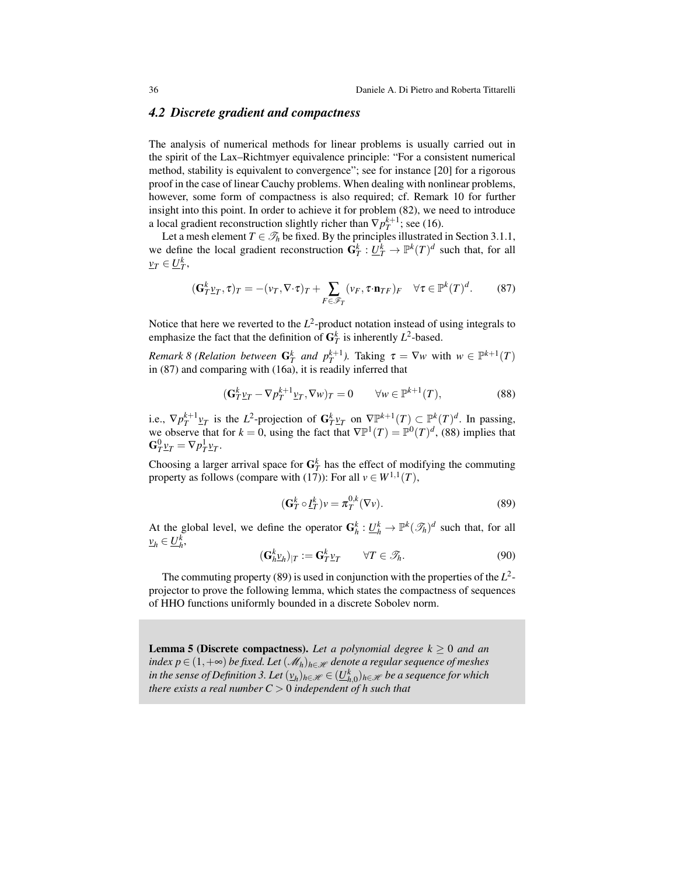### <span id="page-35-0"></span>*4.2 Discrete gradient and compactness*

The analysis of numerical methods for linear problems is usually carried out in the spirit of the Lax–Richtmyer equivalence principle: "For a consistent numerical method, stability is equivalent to convergence"; see for instance [\[20\]](#page-47-21) for a rigorous proof in the case of linear Cauchy problems. When dealing with nonlinear problems, however, some form of compactness is also required; cf. Remark [10](#page-37-1) for further insight into this point. In order to achieve it for problem [\(82\)](#page-33-4), we need to introduce a local gradient reconstruction slightly richer than  $\nabla p_T^{k+1}$ ; see [\(16\)](#page-11-3).

Let a mesh element  $T \in \mathcal{T}_h$  be fixed. By the principles illustrated in Section [3.1.1,](#page-9-7) we define the local gradient reconstruction  $G_T^k : \underline{U}_T^k \to \mathbb{P}^k(T)^d$  such that, for all  $\nu_T \in \underline{U}_T^k$ ,

<span id="page-35-1"></span>
$$
(\mathbf{G}_{T}^{k}\underline{v}_{T},\tau)_{T} = -(\nu_{T},\nabla\cdot\tau)_{T} + \sum_{F\in\mathscr{F}_{T}} (\nu_{F},\tau\cdot\mathbf{n}_{TF})_{F} \quad \forall \tau \in \mathbb{P}^{k}(T)^{d}.
$$
 (87)

Notice that here we reverted to the  $L^2$ -product notation instead of using integrals to emphasize the fact that the definition of  $G_T^k$  is inherently  $L^2$ -based.

*Remark 8 (Relation between*  $G_T^k$  *and*  $p_T^{k+1}$ *).* Taking  $\tau = \nabla w$  with  $w \in \mathbb{P}^{k+1}(T)$ in [\(87\)](#page-35-1) and comparing with [\(16a\)](#page-11-4), it is readily inferred that

<span id="page-35-2"></span>
$$
(\mathbf{G}_T^k \underline{v}_T - \nabla p_T^{k+1} \underline{v}_T, \nabla w)_T = 0 \qquad \forall w \in \mathbb{P}^{k+1}(T), \tag{88}
$$

i.e.,  $\nabla p_T^{k+1} \mathbf{v}_T$  is the  $L^2$ -projection of  $\mathbf{G}_T^k \mathbf{v}_T$  on  $\nabla \mathbb{P}^{k+1}(T) \subset \mathbb{P}^k(T)^d$ . In passing, we observe that for  $k = 0$ , using the fact that  $\nabla \mathbb{P}^1(T) = \mathbb{P}^0(T)^d$ , [\(88\)](#page-35-2) implies that  $\mathbf{G}^0_T \underline{v}_T = \nabla p_T^1 \underline{v}_T.$ 

Choosing a larger arrival space for  $G_T^k$  has the effect of modifying the commuting property as follows (compare with [\(17\)](#page-11-0)): For all  $v \in W^{1,1}(T)$ ,

<span id="page-35-3"></span>
$$
(\mathbf{G}_T^k \circ \underline{I}_T^k) v = \pi_T^{0,k} (\nabla v).
$$
 (89)

At the global level, we define the operator  $G_h^k: \underline{U}_h^k \to \mathbb{P}^k(\mathcal{F}_h)^d$  such that, for all  $\nu_h \in \underline{U}_h^k$ ,

$$
(\mathbf{G}_h^k \underline{v}_h)_{|T} := \mathbf{G}_T^k \underline{v}_T \qquad \forall T \in \mathcal{T}_h. \tag{90}
$$

The commuting property [\(89\)](#page-35-3) is used in conjunction with the properties of the  $L^2$ projector to prove the following lemma, which states the compactness of sequences of HHO functions uniformly bounded in a discrete Sobolev norm.

<span id="page-35-4"></span>**Lemma 5 (Discrete compactness).** Let a polynomial degree  $k \geq 0$  and an *index p* ∈ (1, +∞) *be fixed. Let*  $(M_h)_{h \in \mathcal{H}}$  *denote a regular sequence of meshes*  $i$ *n the sense of Definition [3.](#page-6-2) Let*  $(v_h)_{h \in \mathscr{H}} \in (\underline{U}_{h,0}^k)_{h \in \mathscr{H}}$  *be a sequence for which there exists a real number C* > 0 *independent of h such that*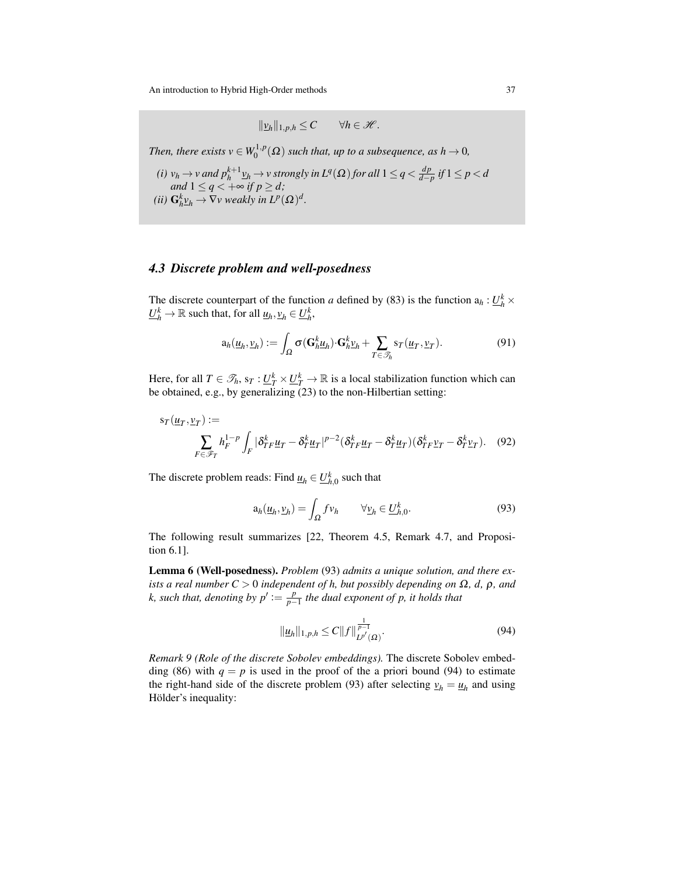$$
\|\underline{v}_h\|_{1,p,h}\leq C\qquad\forall h\in\mathscr{H}.
$$

*Then, there exists*  $v \in W_0^{1,p}$  $\mathcal{O}_0^{(1,p)}(\Omega)$  such that, up to a subsequence, as  $h \to 0$ ,

\n- (i) 
$$
v_h \to v
$$
 and  $p_h^{k+1} \underline{v}_h \to v$  strongly in  $L^q(\Omega)$  for all  $1 \leq q < \frac{dp}{d-p}$  if  $1 \leq p < d$  and  $1 \leq q < +\infty$  if  $p \geq d$ ;
\n- (ii)  $\mathbf{G}_h^k \underline{v}_h \to \nabla v$  weakly in  $L^p(\Omega)^d$ .
\n

(*ii*) 
$$
\mathbf{G}_h^k \underline{v}_h \to \nabla v
$$
 weakly in  $L^p(\Omega)^d$ .

# <span id="page-36-0"></span>*4.3 Discrete problem and well-posedness*

The discrete counterpart of the function *a* defined by [\(83\)](#page-34-2) is the function  $a_h: U_h^k \times$  $\underline{U}_h^k \to \mathbb{R}$  such that, for all  $\underline{u}_h, \underline{v}_h \in \underline{U}_h^k$ ,

$$
\mathbf{a}_h(\underline{u}_h, \underline{v}_h) := \int_{\Omega} \sigma(\mathbf{G}_h^k \underline{u}_h) \cdot \mathbf{G}_h^k \underline{v}_h + \sum_{T \in \mathcal{T}_h} \mathbf{s}_T(\underline{u}_T, \underline{v}_T).
$$
(91)

Here, for all  $T \in \mathcal{T}_h$ ,  $s_T : \underline{U}_T^k \times \underline{U}_T^k \to \mathbb{R}$  is a local stabilization function which can be obtained, e.g., by generalizing [\(23\)](#page-12-0) to the non-Hilbertian setting:

$$
s_T(\underline{u}_T, \underline{v}_T) := \sum_{F \in \mathcal{F}_T} h_F^{1-p} \int_F |\delta_{TF}^k \underline{u}_T - \delta_{T}^k \underline{u}_T|^{p-2} (\delta_{TF}^k \underline{u}_T - \delta_{T}^k \underline{u}_T) (\delta_{TF}^k \underline{v}_T - \delta_{T}^k \underline{v}_T). \tag{92}
$$

The discrete problem reads: Find  $\underline{u}_h \in \underline{U}_{h,0}^k$  such that

<span id="page-36-4"></span><span id="page-36-2"></span>
$$
a_h(\underline{u}_h, \underline{v}_h) = \int_{\Omega} f v_h \qquad \forall \underline{v}_h \in \underline{U}_{h,0}^k. \tag{93}
$$

The following result summarizes [\[22,](#page-47-3) Theorem 4.5, Remark 4.7, and Proposition 6.1].

Lemma 6 (Well-posedness). *Problem* [\(93\)](#page-36-2) *admits a unique solution, and there exists a real number C* > 0 *independent of h, but possibly depending on*  $\Omega$ , *d,*  $\rho$ *, and k, such that, denoting by*  $p' := \frac{p}{p}$ *p*−1 *the dual exponent of p, it holds that*

<span id="page-36-3"></span>
$$
\|\underline{u}_h\|_{1,p,h} \le C \|f\|_{L^{p'}(\Omega)}^{\frac{1}{p-1}}.
$$
\n(94)

<span id="page-36-1"></span>*Remark 9 (Role of the discrete Sobolev embeddings).* The discrete Sobolev embed-ding [\(86\)](#page-34-3) with  $q = p$  is used in the proof of the a priori bound [\(94\)](#page-36-3) to estimate the right-hand side of the discrete problem [\(93\)](#page-36-2) after selecting  $v_h = u_h$  and using Hölder's inequality: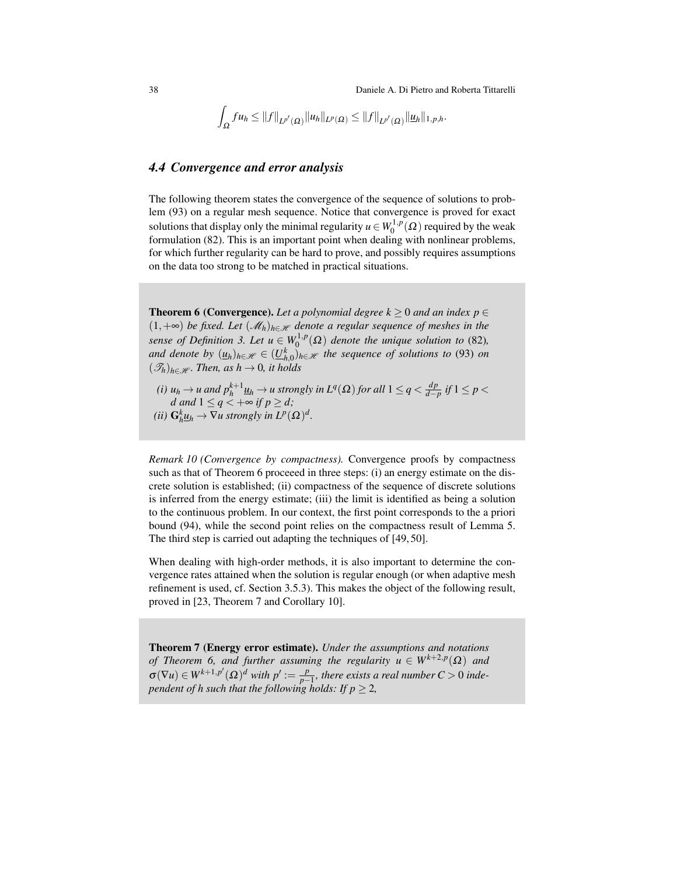38 Daniele A. Di Pietro and Roberta Tittarelli

$$
\int_{\Omega} fu_h \leq ||f||_{L^{p'}(\Omega)} ||u_h||_{L^p(\Omega)} \leq ||f||_{L^{p'}(\Omega)} ||u_h||_{1,p,h}.
$$

### <span id="page-37-0"></span>*4.4 Convergence and error analysis*

The following theorem states the convergence of the sequence of solutions to problem [\(93\)](#page-36-2) on a regular mesh sequence. Notice that convergence is proved for exact solutions that display only the minimal regularity  $u \in W_0^{1,p}$  $\binom{1}{0}^{\prime}$  ( $\Omega$ ) required by the weak formulation [\(82\)](#page-33-4). This is an important point when dealing with nonlinear problems, for which further regularity can be hard to prove, and possibly requires assumptions on the data too strong to be matched in practical situations.

<span id="page-37-2"></span>**Theorem 6 (Convergence).** Let a polynomial degree  $k > 0$  and an index  $p \in$  $(1, +∞)$  *be fixed. Let*  $(\mathcal{M}_h)_{h \in \mathcal{H}}$  *denote a regular sequence of meshes in the sense of Definition* [3.](#page-6-2) Let  $u \in W_0^{1,p}$  $\mathcal{O}_0^{1,p}(\Omega)$  denote the unique solution to [\(82\)](#page-33-4), *and denote by*  $(\underline{u}_h)_{h \in \mathscr{H}} \in (\underline{U}_{h,0}^k)_{h \in \mathscr{H}}$  *the sequence of solutions to* [\(93\)](#page-36-2) *on*  $(\mathscr{T}_h)_{h \in \mathscr{H}}$ *. Then, as h*  $\rightarrow$  0*, it holds* 

*(i)*  $u_h \to u$  and  $p_h^{k+1} \underline{u}_h \to u$  strongly in  $L^q(\Omega)$  for all  $1 \leq q < \frac{dp}{d-p}$  $\frac{ap}{d-p}$  *if* 1 ≤ *p* < *d* and  $1 \leq q < +\infty$  if  $p \geq d$ ; *(ii)*  $G_h^k \underline{u}_h \to \nabla u$  strongly in  $L^p(\Omega)^d$ .

<span id="page-37-1"></span>*Remark 10 (Convergence by compactness).* Convergence proofs by compactness such as that of Theorem [6](#page-37-2) proceeed in three steps: (i) an energy estimate on the discrete solution is established; (ii) compactness of the sequence of discrete solutions is inferred from the energy estimate; (iii) the limit is identified as being a solution to the continuous problem. In our context, the first point corresponds to the a priori bound [\(94\)](#page-36-3), while the second point relies on the compactness result of Lemma [5.](#page-35-4) The third step is carried out adapting the techniques of [\[49,](#page-49-5) [50\]](#page-49-6).

When dealing with high-order methods, it is also important to determine the convergence rates attained when the solution is regular enough (or when adaptive mesh refinement is used, cf. Section [3.5.3\)](#page-31-2). This makes the object of the following result, proved in [\[23,](#page-47-4) Theorem 7 and Corollary 10].

<span id="page-37-4"></span><span id="page-37-3"></span>Theorem 7 (Energy error estimate). *Under the assumptions and notations of Theorem 6,* and further assuming the regularity  $u \in W^{k+2,p}(\Omega)$  and  $\sigma(\nabla u) \in W^{k+1,p'}(\Omega)^d$  with  $p' := \frac{p}{p-1}$ *p*<sup>−1</sup></sup>, there exists a real number C > 0 inde*pendent of h such that the following holds: If*  $p > 2$ *,*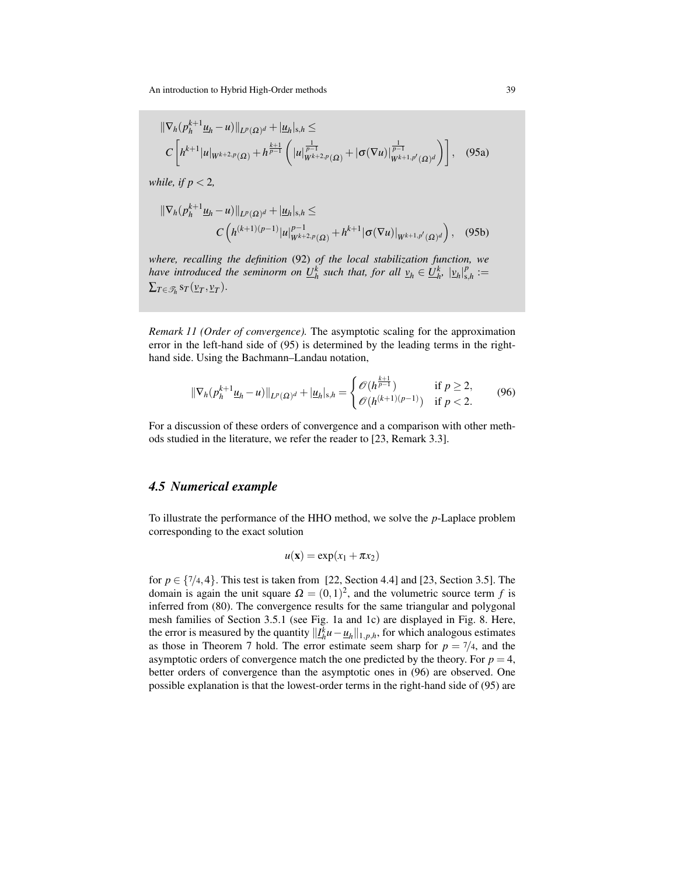$$
\|\nabla_h (p_h^{k+1} \underline{u}_h - u) \|_{L^p(\Omega)^d} + |\underline{u}_h|_{s,h} \leq
$$
\n
$$
C \left[ h^{k+1} |u|_{W^{k+2,p}(\Omega)} + h^{\frac{k+1}{p-1}} \left( |u|_{W^{k+2,p}(\Omega)}^{\frac{1}{p-1}} + |\sigma(\nabla u)|_{W^{k+1,p'}(\Omega)^d}^{\frac{1}{p-1}} \right) \right], \quad (95a)
$$

*while, if p* < 2*,*

$$
\|\nabla_h (p_h^{k+1} \underline{u}_h - u)\|_{L^p(\Omega)^d} + |\underline{u}_h|_{s,h} \leq
$$
  

$$
C\left(h^{(k+1)(p-1)}|u|_{W^{k+2,p}(\Omega)}^{p-1} + h^{k+1}|\sigma(\nabla u)|_{W^{k+1,p'}(\Omega)^d}\right), \quad (95b)
$$

*where, recalling the definition* [\(92\)](#page-36-4) *of the local stabilization function, we have introduced the seminorm on*  $\underline{U}_h^k$  *such that, for all*  $v_h \in \underline{U}_h^k$ *,*  $|v_h|_{s,h}^p$  $s_{,h}^p :=$  $\Sigma_{T\in\mathscr{T}_h}$  s<sub>*T*</sub>( $\underline{v}_T$ , $\underline{v}_T$ ).

*Remark 11 (Order of convergence).* The asymptotic scaling for the approximation error in the left-hand side of [\(95\)](#page-37-3) is determined by the leading terms in the righthand side. Using the Bachmann–Landau notation,

<span id="page-38-1"></span>
$$
\|\nabla_h(p_h^{k+1}\underline{u}_h - u)\|_{L^p(\Omega)^d} + |\underline{u}_h|_{s,h} = \begin{cases} \mathcal{O}(h^{\frac{k+1}{p-1}}) & \text{if } p \ge 2, \\ \mathcal{O}(h^{(k+1)(p-1)}) & \text{if } p < 2. \end{cases}
$$
(96)

For a discussion of these orders of convergence and a comparison with other methods studied in the literature, we refer the reader to [\[23,](#page-47-4) Remark 3.3].

### <span id="page-38-0"></span>*4.5 Numerical example*

To illustrate the performance of the HHO method, we solve the *p*-Laplace problem corresponding to the exact solution

$$
u(\mathbf{x}) = \exp(x_1 + \pi x_2)
$$

for  $p \in \{7/4, 4\}$ . This test is taken from [\[22,](#page-47-3) Section 4.4] and [\[23,](#page-47-4) Section 3.5]. The domain is again the unit square  $\Omega = (0,1)^2$ , and the volumetric source term f is inferred from [\(80\)](#page-33-3). The convergence results for the same triangular and polygonal mesh families of Section [3.5.1](#page-30-2) (see Fig. [1a](#page-4-2) and [1c\)](#page-4-2) are displayed in Fig. [8.](#page-39-1) Here, the error is measured by the quantity  $||I_{h}^{k}u - \underline{u}_{h}||_{1,p,h}$ , for which analogous estimates as those in Theorem [7](#page-37-4) hold. The error estimate seem sharp for  $p = \frac{7}{4}$ , and the asymptotic orders of convergence match the one predicted by the theory. For  $p = 4$ , better orders of convergence than the asymptotic ones in [\(96\)](#page-38-1) are observed. One possible explanation is that the lowest-order terms in the right-hand side of [\(95\)](#page-37-3) are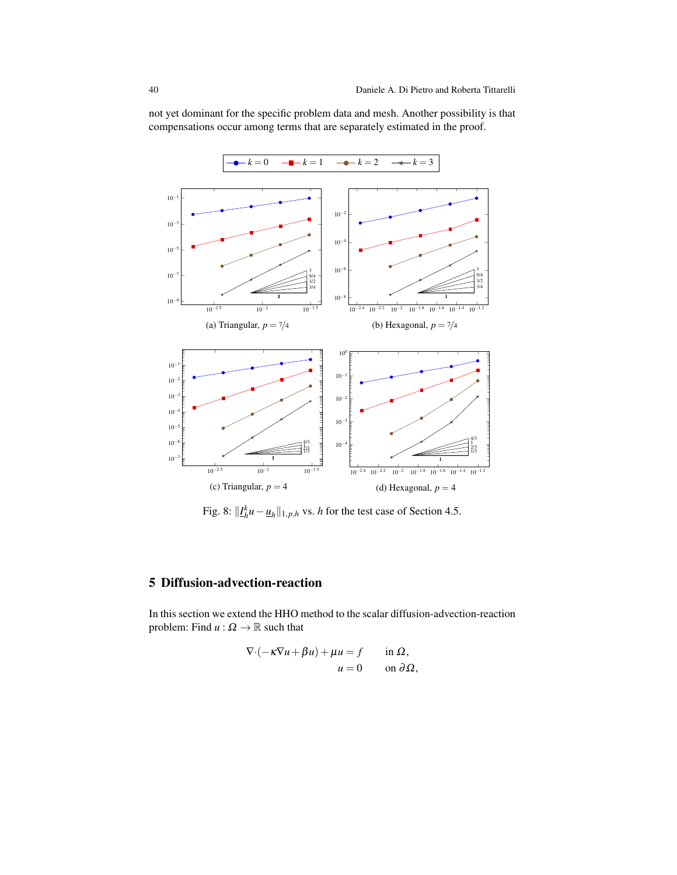<span id="page-39-2"></span><span id="page-39-1"></span>

not yet dominant for the specific problem data and mesh. Another possibility is that compensations occur among terms that are separately estimated in the proof.

Fig. 8:  $||I_h^k u - \underline{u}_h||_{1,p,h}$  vs. *h* for the test case of Section [4.5.](#page-38-0)

# <span id="page-39-0"></span>5 Diffusion-advection-reaction

In this section we extend the HHO method to the scalar diffusion-advection-reaction problem: Find  $u : \Omega \to \mathbb{R}$  such that

$$
\nabla \cdot (-\kappa \nabla u + \beta u) + \mu u = f \quad \text{in } \Omega,
$$
  

$$
u = 0 \quad \text{on } \partial \Omega,
$$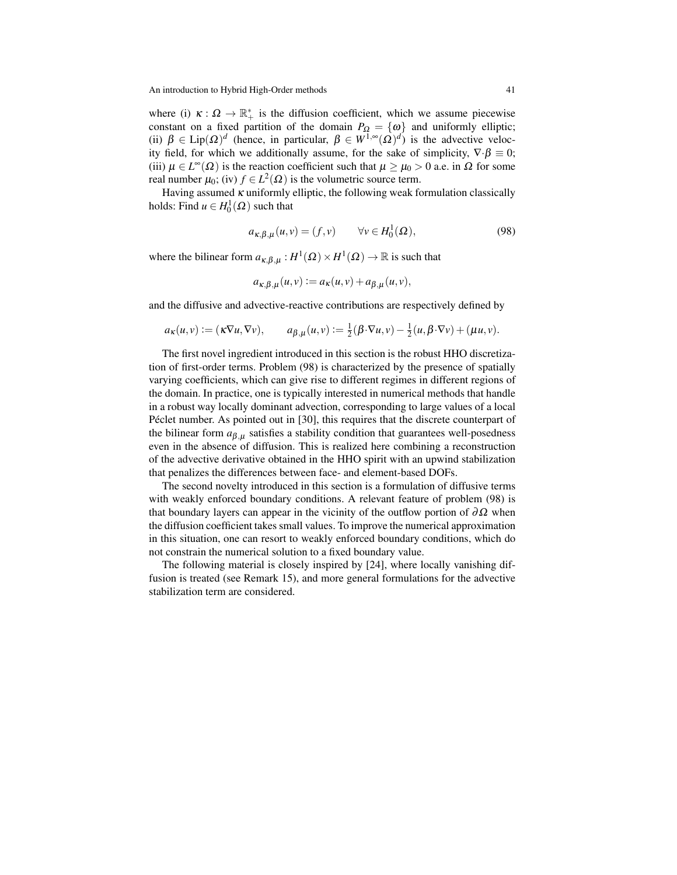where (i)  $\kappa : \Omega \to \mathbb{R}_+^*$  is the diffusion coefficient, which we assume piecewise constant on a fixed partition of the domain  $P_{\Omega} = \{\omega\}$  and uniformly elliptic; (ii)  $\beta \in \text{Lip}(\Omega)^d$  (hence, in particular,  $\beta \in W^{1,\infty}(\Omega)^d$ ) is the advective velocity field, for which we additionally assume, for the sake of simplicity,  $\nabla \cdot \beta \equiv 0$ ; (iii)  $\mu \in L^{\infty}(\Omega)$  is the reaction coefficient such that  $\mu \ge \mu_0 > 0$  a.e. in  $\Omega$  for some real number  $\mu_0$ ; (iv)  $f \in L^2(\Omega)$  is the volumetric source term.

Having assumed  $\kappa$  uniformly elliptic, the following weak formulation classically holds: Find  $u \in H_0^1(\Omega)$  such that

<span id="page-40-0"></span>
$$
a_{\kappa,\beta,\mu}(u,v) = (f,v) \qquad \forall v \in H_0^1(\Omega), \tag{98}
$$

where the bilinear form  $a_{\kappa,\beta,\mu}: H^1(\Omega) \times H^1(\Omega) \to \mathbb{R}$  is such that

$$
a_{\kappa,\beta,\mu}(u,v) := a_{\kappa}(u,v) + a_{\beta,\mu}(u,v),
$$

and the diffusive and advective-reactive contributions are respectively defined by

$$
a_{\kappa}(u,v) := (\kappa \nabla u, \nabla v), \qquad a_{\beta,\mu}(u,v) := \frac{1}{2} (\beta \cdot \nabla u, v) - \frac{1}{2} (u, \beta \cdot \nabla v) + (\mu u, v).
$$

The first novel ingredient introduced in this section is the robust HHO discretization of first-order terms. Problem [\(98\)](#page-40-0) is characterized by the presence of spatially varying coefficients, which can give rise to different regimes in different regions of the domain. In practice, one is typically interested in numerical methods that handle in a robust way locally dominant advection, corresponding to large values of a local Péclet number. As pointed out in [\[30\]](#page-48-21), this requires that the discrete counterpart of the bilinear form  $a_{\beta,\mu}$  satisfies a stability condition that guarantees well-posedness even in the absence of diffusion. This is realized here combining a reconstruction of the advective derivative obtained in the HHO spirit with an upwind stabilization that penalizes the differences between face- and element-based DOFs.

The second novelty introduced in this section is a formulation of diffusive terms with weakly enforced boundary conditions. A relevant feature of problem [\(98\)](#page-40-0) is that boundary layers can appear in the vicinity of the outflow portion of  $\partial\Omega$  when the diffusion coefficient takes small values. To improve the numerical approximation in this situation, one can resort to weakly enforced boundary conditions, which do not constrain the numerical solution to a fixed boundary value.

The following material is closely inspired by [\[24\]](#page-47-0), where locally vanishing diffusion is treated (see Remark [15\)](#page-45-1), and more general formulations for the advective stabilization term are considered.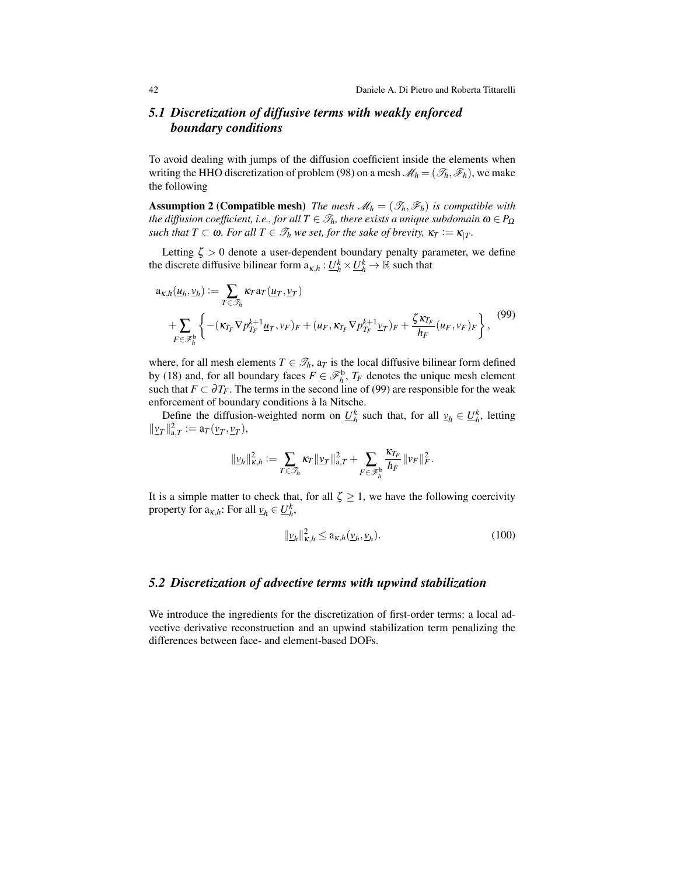# <span id="page-41-0"></span>*5.1 Discretization of diffusive terms with weakly enforced boundary conditions*

To avoid dealing with jumps of the diffusion coefficient inside the elements when writing the HHO discretization of problem [\(98\)](#page-40-0) on a mesh  $\mathcal{M}_h = (\mathcal{I}_h, \mathcal{F}_h)$ , we make the following

**Assumption 2 (Compatible mesh)** *The mesh*  $\mathcal{M}_h = (\mathcal{I}_h, \mathcal{F}_h)$  *is compatible with the diffusion coefficient, i.e., for all*  $T \in \mathcal{T}_h$ *, there exists a unique subdomain*  $\omega \in P_{\Omega}$ *such that T*  $\subset \omega$ *. For all T*  $\in \mathcal{T}_h$  *we set, for the sake of brevity,*  $\kappa_T := \kappa_{|T}$ *.* 

Letting  $\zeta > 0$  denote a user-dependent boundary penalty parameter, we define the discrete diffusive bilinear form  $a_{\kappa,h}: \underline{U}_h^k \times \underline{U}_h^k \to \mathbb{R}$  such that

<span id="page-41-2"></span>
$$
a_{\kappa,h}(\underline{u}_h, \underline{v}_h) := \sum_{T \in \mathcal{F}_h} \kappa_T a_T(\underline{u}_T, \underline{v}_T)
$$
  
+ 
$$
\sum_{F \in \mathcal{F}_h^b} \left\{ -( \kappa_{T_F} \nabla p_{T_F}^{k+1} \underline{u}_T, \nu_F)_F + (\mu_F, \kappa_{T_F} \nabla p_{T_F}^{k+1} \underline{v}_T)_F + \frac{\zeta \kappa_{T_F}}{h_F} (\mu_F, \nu_F)_F \right\},
$$
<sup>(99)</sup>

where, for all mesh elements  $T \in \mathcal{T}_h$ ,  $a_T$  is the local diffusive bilinear form defined by [\(18\)](#page-11-2) and, for all boundary faces  $F \in \mathcal{F}_h^b$ ,  $T_F$  denotes the unique mesh element such that  $F \subset \partial T_F$ . The terms in the second line of [\(99\)](#page-41-2) are responsible for the weak enforcement of boundary conditions à la Nitsche.

Define the diffusion-weighted norm on  $\underline{U}_h^k$  such that, for all  $\underline{v}_h \in \underline{U}_h^k$ , letting  $||\underline{v}_T||_{a,T}^2 := a_T(\underline{v}_T, \underline{v}_T),$ 

$$
\|\underline{\nu}_h\|_{\kappa,h}^2:=\sum_{T\in\mathscr{T}_h}\kappa_T\|\underline{\nu}_T\|_{\mathbf{a},T}^2+\sum_{F\in\mathscr{F}_h^{\mathbf{b}}}\frac{\kappa_{T_F}}{h_F}\|\nu_F\|_F^2.
$$

It is a simple matter to check that, for all  $\zeta \geq 1$ , we have the following coercivity property for  $a_{\kappa,h}$ : For all  $\underline{v}_h \in \underline{U}_h^k$ ,

<span id="page-41-3"></span>
$$
\|\underline{\nu}_h\|_{\kappa,h}^2 \le a_{\kappa,h}(\underline{\nu}_h,\underline{\nu}_h). \tag{100}
$$

### <span id="page-41-1"></span>*5.2 Discretization of advective terms with upwind stabilization*

We introduce the ingredients for the discretization of first-order terms: a local advective derivative reconstruction and an upwind stabilization term penalizing the differences between face- and element-based DOFs.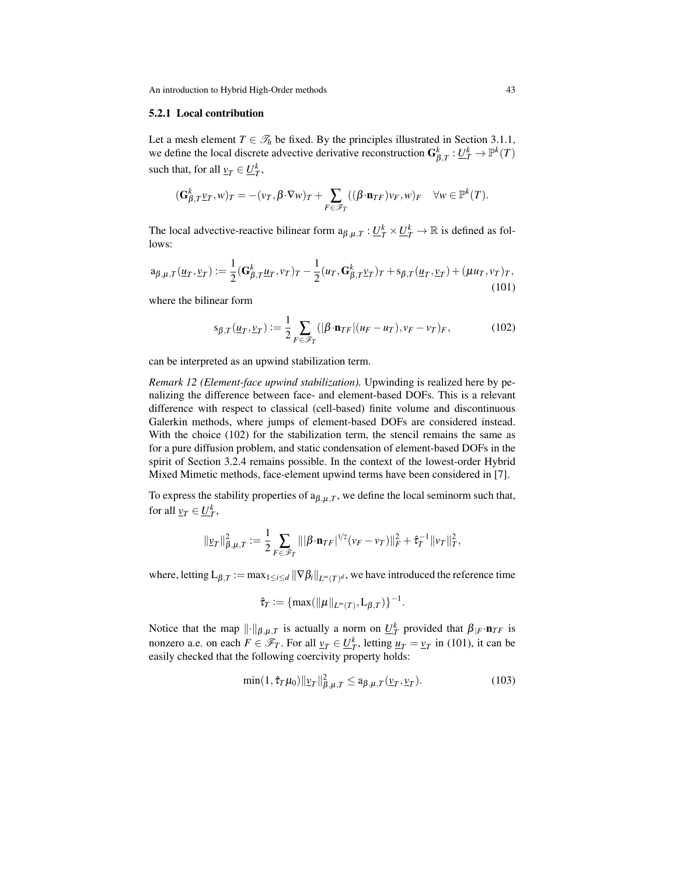#### 5.2.1 Local contribution

Let a mesh element  $T \in \mathcal{T}_h$  be fixed. By the principles illustrated in Section [3.1.1,](#page-9-7) we define the local discrete advective derivative reconstruction  $G_{\beta,T}^k : \underline{U}_T^k \to \mathbb{P}^k(T)$ such that, for all  $v_T \in \underline{U}_T^k$ ,

$$
(\mathbf{G}^k_{\beta,T}\underline{v}_T,w)_T=-(v_T,\beta\cdot\nabla w)_T+\sum_{F\in\mathscr{F}_T}((\beta\cdot\mathbf{n}_{TF})v_F,w)_F\quad\forall w\in\mathbb{P}^k(T).
$$

The local advective-reactive bilinear form  $a_{\beta,\mu,T}: \underline{U_T^k} \times \underline{U_T^k} \to \mathbb{R}$  is defined as follows:

<span id="page-42-1"></span>
$$
\mathbf{a}_{\beta,\mu,T}(\underline{u}_T,\underline{v}_T) := \frac{1}{2} (\mathbf{G}^k_{\beta,T} \underline{u}_T, v_T)_T - \frac{1}{2} (u_T, \mathbf{G}^k_{\beta,T} \underline{v}_T)_T + \mathbf{s}_{\beta,T} (\underline{u}_T, \underline{v}_T) + (\mu u_T, v_T)_T, \tag{101}
$$

where the bilinear form

<span id="page-42-0"></span>
$$
s_{\beta,T}(\underline{u}_T, \underline{v}_T) := \frac{1}{2} \sum_{F \in \mathscr{F}_T} (|\beta \cdot \mathbf{n}_{TF}| (u_F - u_T), v_F - v_T)_F, \tag{102}
$$

can be interpreted as an upwind stabilization term.

*Remark 12 (Element-face upwind stabilization).* Upwinding is realized here by penalizing the difference between face- and element-based DOFs. This is a relevant difference with respect to classical (cell-based) finite volume and discontinuous Galerkin methods, where jumps of element-based DOFs are considered instead. With the choice [\(102\)](#page-42-0) for the stabilization term, the stencil remains the same as for a pure diffusion problem, and static condensation of element-based DOFs in the spirit of Section [3.2.4](#page-17-3) remains possible. In the context of the lowest-order Hybrid Mixed Mimetic methods, face-element upwind terms have been considered in [\[7\]](#page-47-22).

To express the stability properties of  $a_{\beta,\mu,T}$ , we define the local seminorm such that, for all  $\underline{v}_T \in \underline{U}_T^k$ ,

$$
\|\underline{\nu}_T\|_{\beta,\mu,T}^2 := \frac{1}{2} \sum_{F \in \mathscr{F}_T} \| |\beta \cdot \mathbf{n}_{TF}|^{1/2} (\nu_F - \nu_T) \|_F^2 + \hat{\tau}_T^{-1} \| \nu_T \|_T^2,
$$

where, letting  $L_{\beta,T}:=\max_{1\leq i\leq d}\|\nabla\beta_i\|_{L^\infty(T)^d}$ , we have introduced the reference time

$$
\hat{\tau}_T := \{ \max(\|\mu\|_{L^\infty(T)}, L_{\beta,T}) \}^{-1}.
$$

Notice that the map  $\|\cdot\|_{\beta,\mu,T}$  is actually a norm on  $\underline{U}_T^k$  provided that  $\beta_{|F} \cdot \mathbf{n}_{TF}$  is nonzero a.e. on each  $F \in \mathcal{F}_T$ . For all  $v_T \in \underline{U}_T^k$ , letting  $u_T = v_T$  in [\(101\)](#page-42-1), it can be easily checked that the following coercivity property holds:

<span id="page-42-2"></span>
$$
\min(1, \hat{\tau}_T \mu_0) \|\underline{\nu}_T\|_{\beta, \mu, T}^2 \le a_{\beta, \mu, T} (\underline{\nu}_T, \underline{\nu}_T). \tag{103}
$$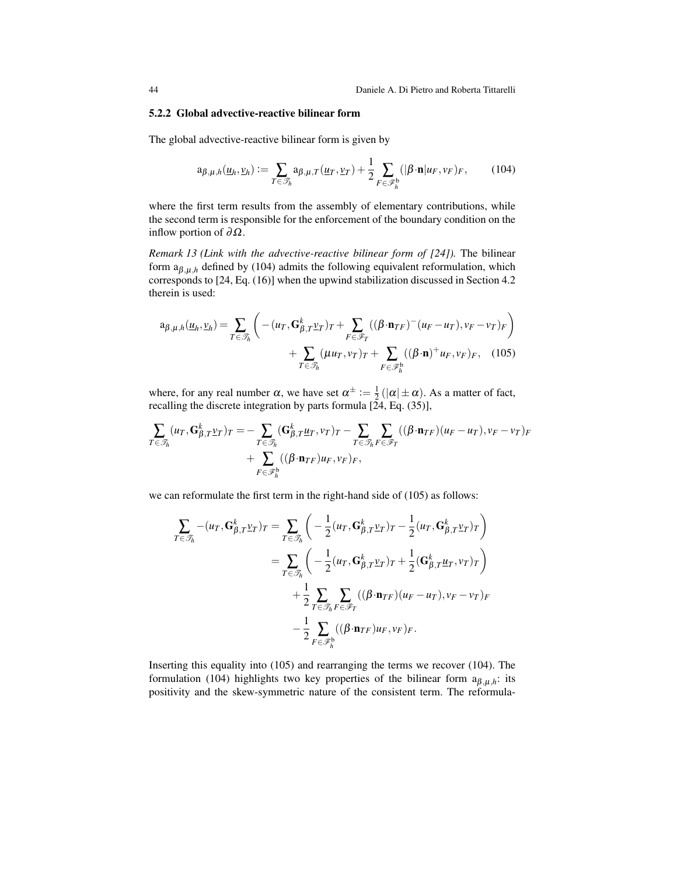#### 5.2.2 Global advective-reactive bilinear form

The global advective-reactive bilinear form is given by

<span id="page-43-0"></span>
$$
\mathbf{a}_{\beta,\mu,h}(\underline{u}_h, \underline{v}_h) := \sum_{T \in \mathcal{S}_h} \mathbf{a}_{\beta,\mu,T}(\underline{u}_T, \underline{v}_T) + \frac{1}{2} \sum_{F \in \mathcal{S}_h^b} (|\beta \cdot \mathbf{n}| u_F, v_F)_F, \quad (104)
$$

where the first term results from the assembly of elementary contributions, while the second term is responsible for the enforcement of the boundary condition on the inflow portion of  $\partial \Omega$ .

*Remark 13 (Link with the advective-reactive bilinear form of [\[24\]](#page-47-0)).* The bilinear form  $a_{\beta,\mu,h}$  defined by [\(104\)](#page-43-0) admits the following equivalent reformulation, which corresponds to [\[24,](#page-47-0) Eq. (16)] when the upwind stabilization discussed in Section 4.2 therein is used:

<span id="page-43-1"></span>
$$
a_{\beta,\mu,h}(\underline{u}_h, \underline{v}_h) = \sum_{T \in \mathcal{T}_h} \left( -(u_T, \mathbf{G}^k_{\beta,T} \underline{v}_T)_T + \sum_{F \in \mathcal{F}_T} ((\beta \cdot \mathbf{n}_{TF})^-(u_F - u_T), v_F - v_T)_F \right) + \sum_{T \in \mathcal{F}_h} (\mu u_T, v_T)_T + \sum_{F \in \mathcal{F}_h^b} ((\beta \cdot \mathbf{n})^+ u_F, v_F)_F, \quad (105)
$$

where, for any real number  $\alpha$ , we have set  $\alpha^{\pm} := \frac{1}{2}(|\alpha| \pm \alpha)$ . As a matter of fact, recalling the discrete integration by parts formula [\[24,](#page-47-0) Eq. (35)],

$$
\sum_{T \in \mathcal{T}_h} (u_T, \mathbf{G}_{\beta,T}^k \underline{v}_T)_T = -\sum_{T \in \mathcal{T}_h} (\mathbf{G}_{\beta,T}^k \underline{u}_T, v_T)_T - \sum_{T \in \mathcal{T}_h} \sum_{F \in \mathcal{F}_T} ((\beta \cdot \mathbf{n}_{TF})(u_F - u_T), v_F - v_T)_F + \sum_{F \in \mathcal{F}_h^b} ((\beta \cdot \mathbf{n}_{TF})u_F, v_F)_F,
$$

we can reformulate the first term in the right-hand side of [\(105\)](#page-43-1) as follows:

$$
\sum_{T \in \mathcal{T}_h} -(u_T, \mathbf{G}_{\beta,T}^k \underline{v}_T)_T = \sum_{T \in \mathcal{T}_h} \left( -\frac{1}{2} (u_T, \mathbf{G}_{\beta,T}^k \underline{v}_T)_T - \frac{1}{2} (u_T, \mathbf{G}_{\beta,T}^k \underline{v}_T)_T \right)
$$
\n
$$
= \sum_{T \in \mathcal{T}_h} \left( -\frac{1}{2} (u_T, \mathbf{G}_{\beta,T}^k \underline{v}_T)_T + \frac{1}{2} (\mathbf{G}_{\beta,T}^k \underline{u}_T, v_T)_T \right)
$$
\n
$$
+ \frac{1}{2} \sum_{T \in \mathcal{T}_h} \sum_{F \in \mathcal{F}_T} ((\beta \cdot \mathbf{n}_{TF})(u_F - u_T), v_F - v_T)_F
$$
\n
$$
- \frac{1}{2} \sum_{F \in \mathcal{F}_h^h} ((\beta \cdot \mathbf{n}_{TF}) u_F, v_F)_F.
$$

Inserting this equality into [\(105\)](#page-43-1) and rearranging the terms we recover [\(104\)](#page-43-0). The formulation [\(104\)](#page-43-0) highlights two key properties of the bilinear form  $a_{\beta,\mu,h}$ : its positivity and the skew-symmetric nature of the consistent term. The reformula-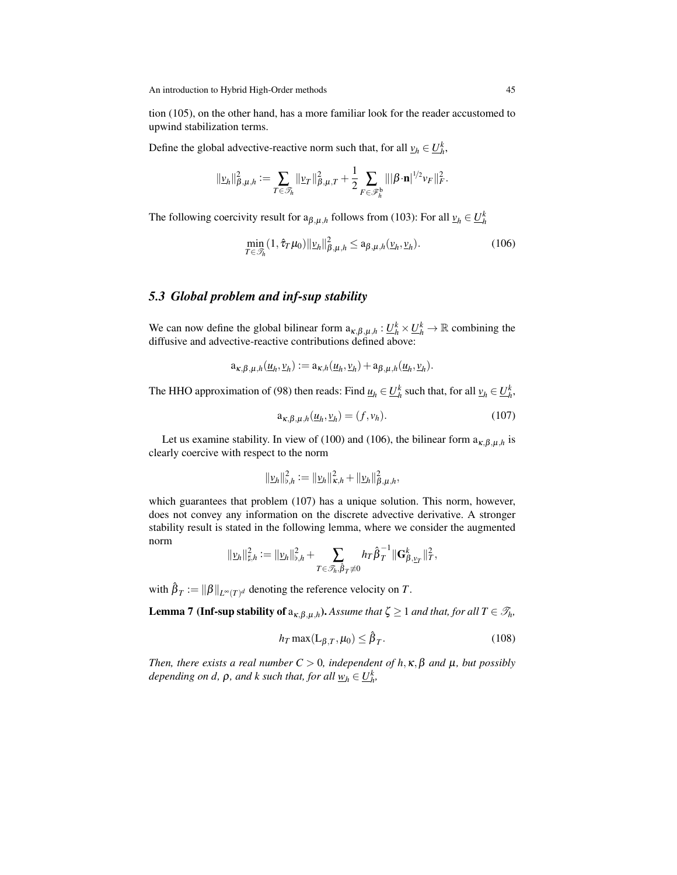tion [\(105\)](#page-43-1), on the other hand, has a more familiar look for the reader accustomed to upwind stabilization terms.

Define the global advective-reactive norm such that, for all  $v_h \in U_h^k$ ,

$$
\|\underline{v}_h\|_{\beta,\mu,h}^2 := \sum_{T \in \mathscr{T}_h} \|\underline{v}_T\|_{\beta,\mu,T}^2 + \frac{1}{2} \sum_{F \in \mathscr{F}_h^b} \| |\beta \cdot \mathbf{n}|^{1/2} v_F \|_F^2.
$$

The following coercivity result for  $a_{\beta,\mu,h}$  follows from [\(103\)](#page-42-2): For all  $v_h \in U_h^k$ 

<span id="page-44-1"></span>
$$
\min_{T \in \mathcal{F}_h} (1, \hat{\tau}_T \mu_0) \|\underline{\nu}_h\|_{\beta, \mu, h}^2 \le a_{\beta, \mu, h} (\underline{\nu}_h, \underline{\nu}_h). \tag{106}
$$

## <span id="page-44-0"></span>*5.3 Global problem and inf-sup stability*

We can now define the global bilinear form  $a_{\kappa,\beta,\mu,h} : \underline{U}_h^k \times \underline{U}_h^k \to \mathbb{R}$  combining the diffusive and advective-reactive contributions defined above:

$$
a_{\kappa,\beta,\mu,h}(\underline{u}_h,\underline{v}_h) := a_{\kappa,h}(\underline{u}_h,\underline{v}_h) + a_{\beta,\mu,h}(\underline{u}_h,\underline{v}_h).
$$

The HHO approximation of [\(98\)](#page-40-0) then reads: Find  $\underline{u}_h \in \underline{U}_h^k$  such that, for all  $\underline{v}_h \in \underline{U}_h^k$ ,

<span id="page-44-2"></span>
$$
\mathbf{a}_{\kappa,\beta,\mu,h}(\underline{u}_h,\underline{v}_h) = (f,v_h). \tag{107}
$$

Let us examine stability. In view of [\(100\)](#page-41-3) and [\(106\)](#page-44-1), the bilinear form  $a_{\kappa,\beta,\mu,h}$  is clearly coercive with respect to the norm

$$
\|\underline{v}_h\|_{\mathfrak{b},h}^2 := \|\underline{v}_h\|_{\kappa,h}^2 + \|\underline{v}_h\|_{\beta,\mu,h}^2,
$$

which guarantees that problem [\(107\)](#page-44-2) has a unique solution. This norm, however, does not convey any information on the discrete advective derivative. A stronger stability result is stated in the following lemma, where we consider the augmented norm

$$
\|\underline{v}_h\|_{\sharp,h}^2 := \|\underline{v}_h\|_{\flat,h}^2 + \sum_{T \in \mathscr{T}_h, \hat{\beta}_T \neq 0} h_T \hat{\beta}_T^{-1} \|\mathbf{G}_{\beta, \underline{v}_T}^k\|_T^2,
$$

with  $\hat{\beta}_T := \| \beta \|_{L^\infty(T)^d}$  denoting the reference velocity on  $T$ .

**Lemma 7 (Inf-sup stability of**  $a_{\kappa,\beta,\mu,h}$ ). Assume that  $\zeta \ge 1$  and that, for all  $T \in \mathscr{T}_h$ ,

<span id="page-44-4"></span><span id="page-44-3"></span>
$$
h_T \max(\mathcal{L}_{\beta,T}, \mu_0) \le \hat{\beta}_T. \tag{108}
$$

*Then, there exists a real number*  $C > 0$ *, independent of h, x,*  $\beta$  *and*  $\mu$ *, but possibly depending on d,*  $\rho$ *, and k such that, for all*  $\underline{w}_h \in \underline{U}_h^k$ ,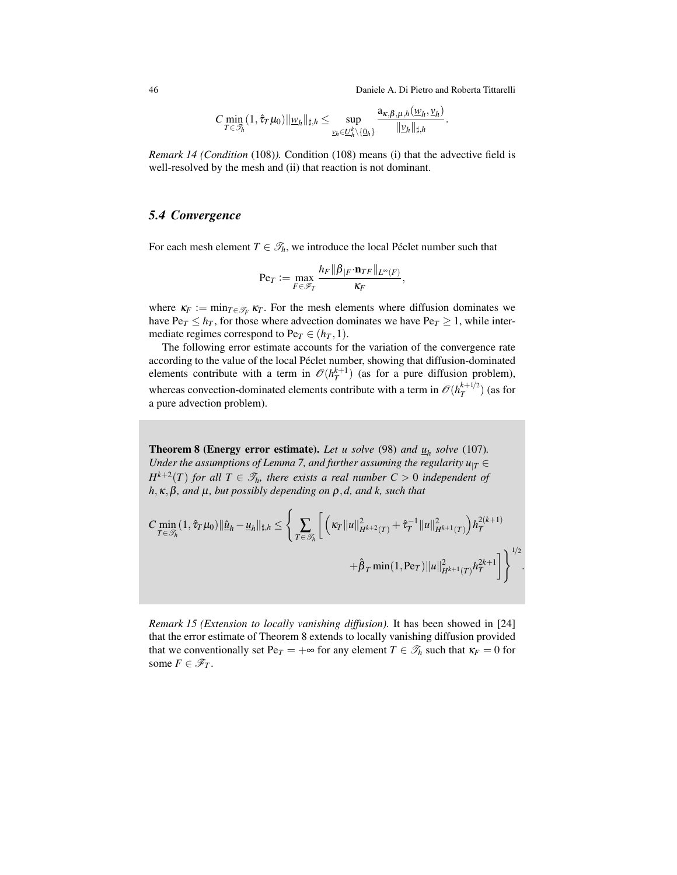46 Daniele A. Di Pietro and Roberta Tittarelli

$$
C \min_{T \in \mathscr{T}_h} (1, \hat{\tau}_T \mu_0) \|\underline{w}_h\|_{\sharp,h} \leq \sup_{\underline{v}_h \in \underline{U}_h^k \setminus \{\underline{0}_h\}} \frac{a_{\kappa,\beta,\mu,h}(\underline{w}_h, \underline{v}_h)}{\|\underline{v}_h\|_{\sharp,h}}.
$$

*Remark 14 (Condition* [\(108\)](#page-44-3)*).* Condition [\(108\)](#page-44-3) means (i) that the advective field is well-resolved by the mesh and (ii) that reaction is not dominant.

# <span id="page-45-0"></span>*5.4 Convergence*

For each mesh element  $T \in \mathcal{T}_h$ , we introduce the local Péclet number such that

$$
\mathrm{Pe}_T := \max_{F \in \mathscr{F}_T} \frac{h_F ||\beta_{|F} \cdot \mathbf{n}_{TF}||_{L^{\infty}(F)}}{\kappa_F},
$$

where  $\kappa_F := \min_{T \in \mathcal{T}_F} \kappa_T$ . For the mesh elements where diffusion dominates we have  $\text{Pe}_T \leq h_T$ , for those where advection dominates we have  $\text{Pe}_T \geq 1$ , while intermediate regimes correspond to  $Pe_T \in (h_T, 1)$ .

The following error estimate accounts for the variation of the convergence rate according to the value of the local Péclet number, showing that diffusion-dominated elements contribute with a term in  $\mathcal{O}(h_T^{k+1})$  (as for a pure diffusion problem), whereas convection-dominated elements contribute with a term in  $\mathcal{O}(h_T^{k+1/2})$  $\binom{k+1/2}{T}$  (as for a pure advection problem).

<span id="page-45-2"></span>**Theorem 8 (Energy error estimate).** Let u solve [\(98\)](#page-40-0) and  $\underline{u}_h$  solve [\(107\)](#page-44-2). *Under the assumptions of Lemma [7,](#page-44-4) and further assuming the regularity*  $u_{|T} \in$  $H^{k+2}(T)$  *for all*  $T \in \mathcal{T}_h$ *, there exists a real number*  $C > 0$  *independent of h*,κ,β*, and* µ*, but possibly depending on* ρ,*d, and k, such that*

$$
C \min_{T \in \mathcal{T}_h} (1, \hat{\tau}_T \mu_0) \| \hat{\underline{u}}_h - \underline{u}_h \|_{\sharp, h} \leq \left\{ \sum_{T \in \mathcal{T}_h} \left[ \left( \kappa_T \|u\|_{H^{k+2}(T)}^2 + \hat{\tau}_T^{-1} \|u\|_{H^{k+1}(T)}^2 \right) h_T^{2(k+1)} \right. \\ \left. + \hat{\beta}_T \min(1, \text{Pe}_T) \|u\|_{H^{k+1}(T)}^2 h_T^{2k+1} \right] \right\}^{1/2}.
$$

<span id="page-45-1"></span>*Remark 15 (Extension to locally vanishing diffusion).* It has been showed in [\[24\]](#page-47-0) that the error estimate of Theorem [8](#page-45-2) extends to locally vanishing diffusion provided that we conventionally set  $Pe_T = +\infty$  for any element  $T \in \mathcal{T}_h$  such that  $\kappa_F = 0$  for some  $F \in \mathscr{F}_T$ .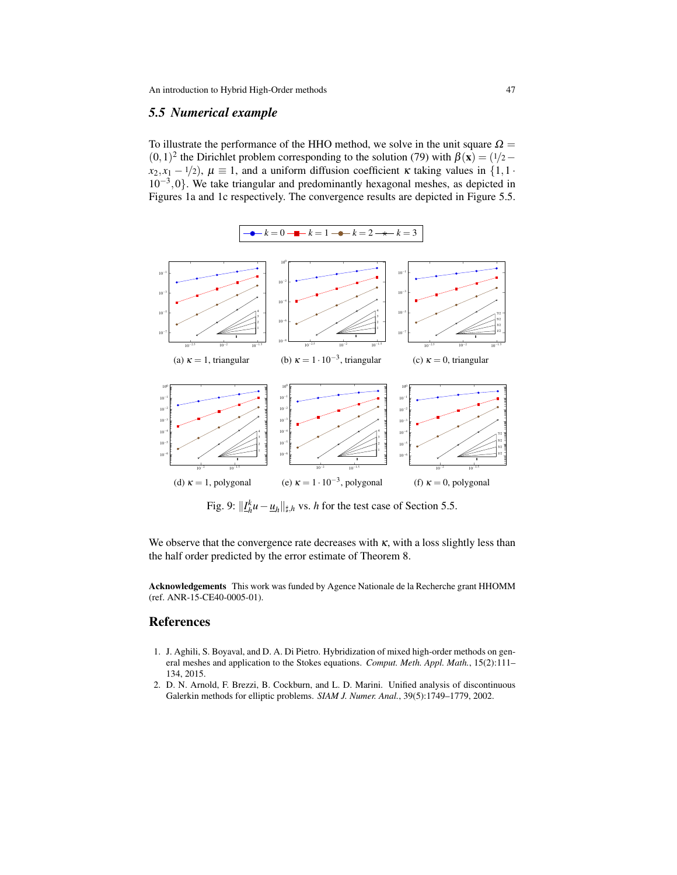# <span id="page-46-2"></span>*5.5 Numerical example*

<span id="page-46-3"></span>To illustrate the performance of the HHO method, we solve in the unit square  $\Omega =$  $(0,1)^2$  the Dirichlet problem corresponding to the solution [\(79\)](#page-30-3) with  $\beta(\mathbf{x}) = (1/2$  $x_2, x_1 - 1/2$ ,  $\mu \equiv 1$ , and a uniform diffusion coefficient  $\kappa$  taking values in  $\{1, 1\}$ −<sup>3</sup> ,0}. We take triangular and predominantly hexagonal meshes, as depicted in Figures [1a](#page-4-2) and [1c](#page-4-2) respectively. The convergence results are depicted in Figure [5.5.](#page-46-2)



Fig. 9:  $||I_h^k u - \underline{u}_h||_{\sharp,h}$  vs. *h* for the test case of Section [5.5.](#page-46-2)

We observe that the convergence rate decreases with  $\kappa$ , with a loss slightly less than the half order predicted by the error estimate of Theorem [8.](#page-45-2)

Acknowledgements This work was funded by Agence Nationale de la Recherche grant HHOMM (ref. ANR-15-CE40-0005-01).

### References

- <span id="page-46-0"></span>1. J. Aghili, S. Boyaval, and D. A. Di Pietro. Hybridization of mixed high-order methods on general meshes and application to the Stokes equations. *Comput. Meth. Appl. Math.*, 15(2):111– 134, 2015.
- <span id="page-46-1"></span>2. D. N. Arnold, F. Brezzi, B. Cockburn, and L. D. Marini. Unified analysis of discontinuous Galerkin methods for elliptic problems. *SIAM J. Numer. Anal.*, 39(5):1749–1779, 2002.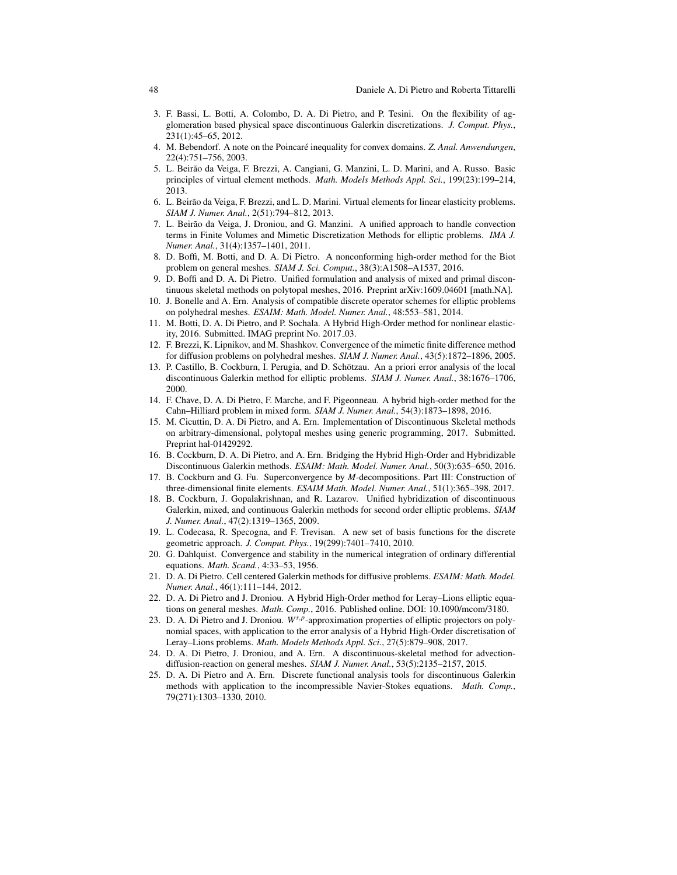- <span id="page-47-13"></span>3. F. Bassi, L. Botti, A. Colombo, D. A. Di Pietro, and P. Tesini. On the flexibility of agglomeration based physical space discontinuous Galerkin discretizations. *J. Comput. Phys.*, 231(1):45–65, 2012.
- <span id="page-47-19"></span>4. M. Bebendorf. A note on the Poincaré inequality for convex domains. Z. Anal. Anwendungen, 22(4):751–756, 2003.
- <span id="page-47-18"></span>5. L. Beirao da Veiga, F. Brezzi, A. Cangiani, G. Manzini, L. D. Marini, and A. Russo. Basic ˜ principles of virtual element methods. *Math. Models Methods Appl. Sci.*, 199(23):199–214, 2013.
- <span id="page-47-17"></span>6. L. Beirão da Veiga, F. Brezzi, and L. D. Marini. Virtual elements for linear elasticity problems. *SIAM J. Numer. Anal.*, 2(51):794–812, 2013.
- <span id="page-47-22"></span>7. L. Beirão da Veiga, J. Droniou, and G. Manzini. A unified approach to handle convection terms in Finite Volumes and Mimetic Discretization Methods for elliptic problems. *IMA J. Numer. Anal.*, 31(4):1357–1401, 2011.
- <span id="page-47-1"></span>8. D. Boffi, M. Botti, and D. A. Di Pietro. A nonconforming high-order method for the Biot problem on general meshes. *SIAM J. Sci. Comput.*, 38(3):A1508–A1537, 2016.
- <span id="page-47-6"></span>9. D. Boffi and D. A. Di Pietro. Unified formulation and analysis of mixed and primal discontinuous skeletal methods on polytopal meshes, 2016. Preprint [arXiv:1609.04601](http://arxiv.org/abs/1609.04601) [math.NA].
- <span id="page-47-11"></span>10. J. Bonelle and A. Ern. Analysis of compatible discrete operator schemes for elliptic problems on polyhedral meshes. *ESAIM: Math. Model. Numer. Anal.*, 48:553–581, 2014.
- <span id="page-47-5"></span>11. M. Botti, D. A. Di Pietro, and P. Sochala. A Hybrid High-Order method for nonlinear elasticity, 2016. Submitted. IMAG preprint No. 2017<sub>-03</sub>.
- <span id="page-47-9"></span>12. F. Brezzi, K. Lipnikov, and M. Shashkov. Convergence of the mimetic finite difference method for diffusion problems on polyhedral meshes. *SIAM J. Numer. Anal.*, 43(5):1872–1896, 2005.
- <span id="page-47-14"></span>13. P. Castillo, B. Cockburn, I. Perugia, and D. Schotzau. An a priori error analysis of the local ¨ discontinuous Galerkin method for elliptic problems. *SIAM J. Numer. Anal.*, 38:1676–1706, 2000.
- <span id="page-47-2"></span>14. F. Chave, D. A. Di Pietro, F. Marche, and F. Pigeonneau. A hybrid high-order method for the Cahn–Hilliard problem in mixed form. *SIAM J. Numer. Anal.*, 54(3):1873–1898, 2016.
- <span id="page-47-8"></span>15. M. Cicuttin, D. A. Di Pietro, and A. Ern. Implementation of Discontinuous Skeletal methods on arbitrary-dimensional, polytopal meshes using generic programming, 2017. Submitted. Preprint [hal-01429292.](http://hal.archives-ouvertes.fr/hal-01429292)
- <span id="page-47-7"></span>16. B. Cockburn, D. A. Di Pietro, and A. Ern. Bridging the Hybrid High-Order and Hybridizable Discontinuous Galerkin methods. *ESAIM: Math. Model. Numer. Anal.*, 50(3):635–650, 2016.
- <span id="page-47-16"></span>17. B. Cockburn and G. Fu. Superconvergence by *M*-decompositions. Part III: Construction of three-dimensional finite elements. *ESAIM Math. Model. Numer. Anal.*, 51(1):365–398, 2017.
- <span id="page-47-15"></span>18. B. Cockburn, J. Gopalakrishnan, and R. Lazarov. Unified hybridization of discontinuous Galerkin, mixed, and continuous Galerkin methods for second order elliptic problems. *SIAM J. Numer. Anal.*, 47(2):1319–1365, 2009.
- <span id="page-47-10"></span>19. L. Codecasa, R. Specogna, and F. Trevisan. A new set of basis functions for the discrete geometric approach. *J. Comput. Phys.*, 19(299):7401–7410, 2010.
- <span id="page-47-21"></span>20. G. Dahlquist. Convergence and stability in the numerical integration of ordinary differential equations. *Math. Scand.*, 4:33–53, 1956.
- <span id="page-47-12"></span>21. D. A. Di Pietro. Cell centered Galerkin methods for diffusive problems. *ESAIM: Math. Model. Numer. Anal.*, 46(1):111–144, 2012.
- <span id="page-47-3"></span>22. D. A. Di Pietro and J. Droniou. A Hybrid High-Order method for Leray–Lions elliptic equations on general meshes. *Math. Comp.*, 2016. Published online. DOI: [10.1090/mcom/3180.](http://dx.doi.org/10.1090/mcom/3180)
- <span id="page-47-4"></span>23. D. A. Di Pietro and J. Droniou. *W<sup>s, p</sup>*-approximation properties of elliptic projectors on polynomial spaces, with application to the error analysis of a Hybrid High-Order discretisation of Leray–Lions problems. *Math. Models Methods Appl. Sci.*, 27(5):879–908, 2017.
- <span id="page-47-0"></span>24. D. A. Di Pietro, J. Droniou, and A. Ern. A discontinuous-skeletal method for advectiondiffusion-reaction on general meshes. *SIAM J. Numer. Anal.*, 53(5):2135–2157, 2015.
- <span id="page-47-20"></span>25. D. A. Di Pietro and A. Ern. Discrete functional analysis tools for discontinuous Galerkin methods with application to the incompressible Navier-Stokes equations. *Math. Comp.*, 79(271):1303–1330, 2010.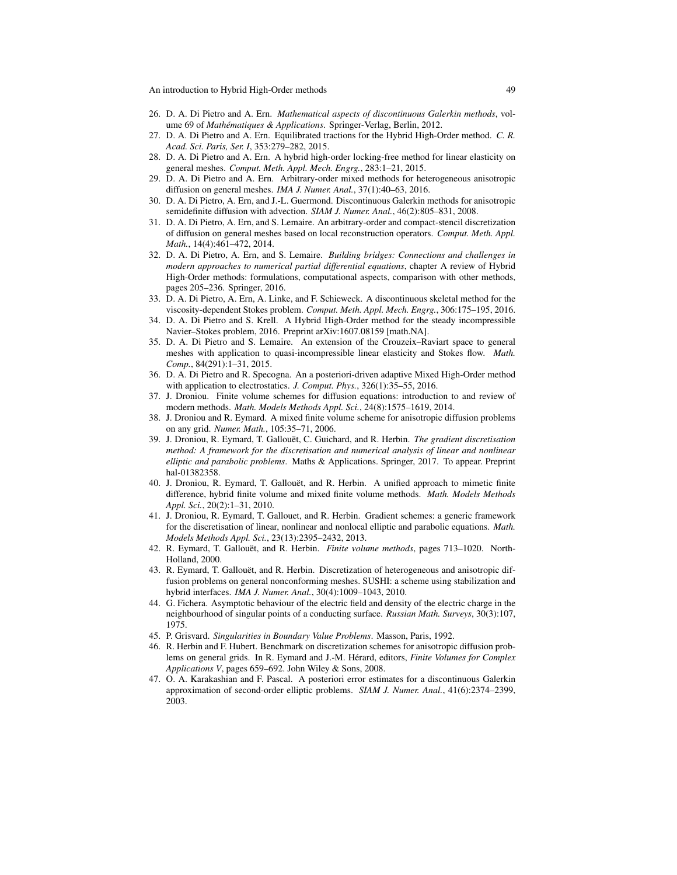- <span id="page-48-14"></span>26. D. A. Di Pietro and A. Ern. *Mathematical aspects of discontinuous Galerkin methods*, volume 69 of *Mathématiques & Applications*. Springer-Verlag, Berlin, 2012.
- <span id="page-48-4"></span>27. D. A. Di Pietro and A. Ern. Equilibrated tractions for the Hybrid High-Order method. *C. R. Acad. Sci. Paris, Ser. I*, 353:279–282, 2015.
- <span id="page-48-0"></span>28. D. A. Di Pietro and A. Ern. A hybrid high-order locking-free method for linear elasticity on general meshes. *Comput. Meth. Appl. Mech. Engrg.*, 283:1–21, 2015.
- <span id="page-48-2"></span>29. D. A. Di Pietro and A. Ern. Arbitrary-order mixed methods for heterogeneous anisotropic diffusion on general meshes. *IMA J. Numer. Anal.*, 37(1):40–63, 2016.
- <span id="page-48-21"></span>30. D. A. Di Pietro, A. Ern, and J.-L. Guermond. Discontinuous Galerkin methods for anisotropic semidefinite diffusion with advection. *SIAM J. Numer. Anal.*, 46(2):805–831, 2008.
- <span id="page-48-1"></span>31. D. A. Di Pietro, A. Ern, and S. Lemaire. An arbitrary-order and compact-stencil discretization of diffusion on general meshes based on local reconstruction operators. *Comput. Meth. Appl. Math.*, 14(4):461–472, 2014.
- <span id="page-48-3"></span>32. D. A. Di Pietro, A. Ern, and S. Lemaire. *Building bridges: Connections and challenges in modern approaches to numerical partial differential equations*, chapter A review of Hybrid High-Order methods: formulations, computational aspects, comparison with other methods, pages 205–236. Springer, 2016.
- <span id="page-48-5"></span>33. D. A. Di Pietro, A. Ern, A. Linke, and F. Schieweck. A discontinuous skeletal method for the viscosity-dependent Stokes problem. *Comput. Meth. Appl. Mech. Engrg.*, 306:175–195, 2016.
- <span id="page-48-7"></span>34. D. A. Di Pietro and S. Krell. A Hybrid High-Order method for the steady incompressible Navier–Stokes problem, 2016. Preprint [arXiv:1607.08159](http://arxiv.org/abs/1607.08159) [math.NA].
- <span id="page-48-12"></span>35. D. A. Di Pietro and S. Lemaire. An extension of the Crouzeix–Raviart space to general meshes with application to quasi-incompressible linear elasticity and Stokes flow. *Math. Comp.*, 84(291):1–31, 2015.
- <span id="page-48-6"></span>36. D. A. Di Pietro and R. Specogna. An a posteriori-driven adaptive Mixed High-Order method with application to electrostatics. *J. Comput. Phys.*, 326(1):35–55, 2016.
- <span id="page-48-8"></span>37. J. Droniou. Finite volume schemes for diffusion equations: introduction to and review of modern methods. *Math. Models Methods Appl. Sci.*, 24(8):1575–1619, 2014.
- <span id="page-48-9"></span>38. J. Droniou and R. Eymard. A mixed finite volume scheme for anisotropic diffusion problems on any grid. *Numer. Math.*, 105:35–71, 2006.
- <span id="page-48-17"></span>39. J. Droniou, R. Eymard, T. Gallouet, C. Guichard, and R. Herbin. ¨ *The gradient discretisation method: A framework for the discretisation and numerical analysis of linear and nonlinear elliptic and parabolic problems*. Maths & Applications. Springer, 2017. To appear. Preprint [hal-01382358.](http://hal.archives-ouvertes.fr/hal-01382358)
- <span id="page-48-11"></span>40. J. Droniou, R. Eymard, T. Gallouët, and R. Herbin. A unified approach to mimetic finite difference, hybrid finite volume and mixed finite volume methods. *Math. Models Methods Appl. Sci.*, 20(2):1–31, 2010.
- <span id="page-48-13"></span>41. J. Droniou, R. Eymard, T. Gallouet, and R. Herbin. Gradient schemes: a generic framework for the discretisation of linear, nonlinear and nonlocal elliptic and parabolic equations. *Math. Models Methods Appl. Sci.*, 23(13):2395–2432, 2013.
- <span id="page-48-16"></span>42. R. Eymard, T. Gallouët, and R. Herbin. *Finite volume methods*, pages 713–1020. North-Holland, 2000.
- <span id="page-48-10"></span>43. R. Eymard, T. Gallouët, and R. Herbin. Discretization of heterogeneous and anisotropic diffusion problems on general nonconforming meshes. SUSHI: a scheme using stabilization and hybrid interfaces. *IMA J. Numer. Anal.*, 30(4):1009–1043, 2010.
- <span id="page-48-20"></span>44. G. Fichera. Asymptotic behaviour of the electric field and density of the electric charge in the neighbourhood of singular points of a conducting surface. *Russian Math. Surveys*, 30(3):107, 1975.
- <span id="page-48-18"></span>45. P. Grisvard. *Singularities in Boundary Value Problems*. Masson, Paris, 1992.
- <span id="page-48-15"></span>46. R. Herbin and F. Hubert. Benchmark on discretization schemes for anisotropic diffusion problems on general grids. In R. Eymard and J.-M. Hérard, editors, *Finite Volumes for Complex Applications V*, pages 659–692. John Wiley & Sons, 2008.
- <span id="page-48-19"></span>47. O. A. Karakashian and F. Pascal. A posteriori error estimates for a discontinuous Galerkin approximation of second-order elliptic problems. *SIAM J. Numer. Anal.*, 41(6):2374–2399, 2003.